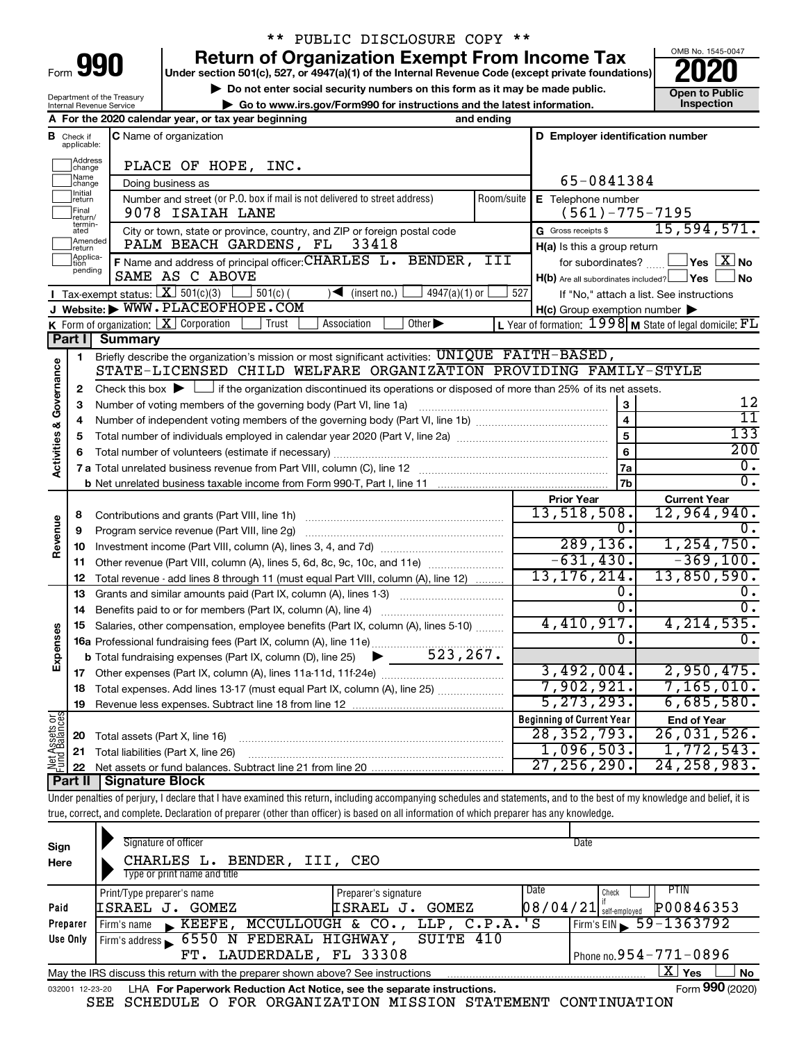| Form |  |  |
|------|--|--|

## \*\* PUBLIC DISCLOSURE COPY \*\*

**990** Return of Organization Exempt From Income Tax <br>
Under section 501(c), 527, or 4947(a)(1) of the Internal Revenue Code (except private foundations)<br> **PO20** 

**▶ Do not enter social security numbers on this form as it may be made public. Open to Public**<br>
inspection and the latest information. Inspection **| Go to www.irs.gov/Form990 for instructions and the latest information. Inspection**



Department of the Treasury Internal Revenue Service

|                         |                                  | A For the 2020 calendar year, or tax year beginning                                                                                                                        | and ending |                                                     |                                                             |
|-------------------------|----------------------------------|----------------------------------------------------------------------------------------------------------------------------------------------------------------------------|------------|-----------------------------------------------------|-------------------------------------------------------------|
|                         | <b>B</b> Check if<br>applicable: | C Name of organization                                                                                                                                                     |            | D Employer identification number                    |                                                             |
|                         | Address<br> change               | PLACE OF HOPE, INC.                                                                                                                                                        |            |                                                     |                                                             |
|                         | ]Name<br>]change                 | Doing business as                                                                                                                                                          |            | 65-0841384                                          |                                                             |
|                         | Initial<br>return                | Number and street (or P.O. box if mail is not delivered to street address)                                                                                                 | Room/suite | E Telephone number                                  |                                                             |
|                         | Final<br>return/                 | 9078 ISAIAH LANE                                                                                                                                                           |            | $(561) - 775 - 7195$                                |                                                             |
|                         | termin-<br>ated                  | City or town, state or province, country, and ZIP or foreign postal code                                                                                                   |            | G Gross receipts \$                                 | 15,594,571.                                                 |
|                         | Amended<br> return               | PALM BEACH GARDENS, FL<br>33418                                                                                                                                            |            | H(a) Is this a group return                         |                                                             |
|                         | Applica-<br>Ition                | F Name and address of principal officer: CHARLES L. BENDER,                                                                                                                | III        | for subordinates?                                   | $\Box$ Yes $~\boxed{\text{X}}$ No                           |
|                         | pending                          | SAME AS C ABOVE                                                                                                                                                            |            | H(b) Are all subordinates included? Ves             | ⊿ No                                                        |
|                         |                                  | Tax-exempt status: $X \overline{3} 501(c)(3)$<br>$501(c)$ (<br>$4947(a)(1)$ or<br>$\sqrt{\bullet}$ (insert no.)                                                            | 527        |                                                     | If "No," attach a list. See instructions                    |
|                         |                                  | J Website: WWW.PLACEOFHOPE.COM                                                                                                                                             |            | $H(c)$ Group exemption number $\blacktriangleright$ |                                                             |
|                         |                                  | <b>K</b> Form of organization: $\boxed{\mathbf{X}}$ Corporation<br>Other $\blacktriangleright$<br>Association<br>Trust                                                     |            |                                                     | L Year of formation: $1998$ M State of legal domicile: $FL$ |
|                         | Part I                           | <b>Summary</b>                                                                                                                                                             |            |                                                     |                                                             |
|                         | 1                                | Briefly describe the organization's mission or most significant activities: UNIQUE FAITH-BASED,                                                                            |            |                                                     |                                                             |
| Governance              |                                  | STATE-LICENSED CHILD WELFARE ORGANIZATION PROVIDING FAMILY-STYLE                                                                                                           |            |                                                     |                                                             |
|                         | 2                                | Check this box $\blacktriangleright$ $\Box$ if the organization discontinued its operations or disposed of more than 25% of its net assets.                                |            |                                                     |                                                             |
|                         | 3                                | Number of voting members of the governing body (Part VI, line 1a)                                                                                                          |            | 3                                                   | 12                                                          |
|                         | 4                                |                                                                                                                                                                            |            | $\overline{\mathbf{4}}$                             | 11                                                          |
|                         | 5                                |                                                                                                                                                                            |            | 5                                                   | 133                                                         |
|                         | 6                                |                                                                                                                                                                            |            | 6                                                   | 200                                                         |
| <b>Activities &amp;</b> |                                  |                                                                                                                                                                            |            | 7a                                                  | $\overline{0}$ .                                            |
|                         |                                  |                                                                                                                                                                            |            | 7b                                                  | $\overline{0}$ .                                            |
|                         |                                  |                                                                                                                                                                            |            | <b>Prior Year</b>                                   | <b>Current Year</b>                                         |
|                         | 8                                |                                                                                                                                                                            |            | 13,518,508.                                         | 12,964,940.                                                 |
|                         | 9                                | Program service revenue (Part VIII, line 2g)                                                                                                                               |            | 0.                                                  |                                                             |
| Revenue                 | 10                               |                                                                                                                                                                            |            | 289, 136.                                           | 1, 254, 750.                                                |
|                         | 11                               | Other revenue (Part VIII, column (A), lines 5, 6d, 8c, 9c, 10c, and 11e)                                                                                                   |            | $-631,430.$                                         | $-369,100.$                                                 |
|                         | 12                               | Total revenue - add lines 8 through 11 (must equal Part VIII, column (A), line 12)                                                                                         |            | 13, 176, 214.                                       | 13,850,590.                                                 |
|                         | 13                               | Grants and similar amounts paid (Part IX, column (A), lines 1-3)                                                                                                           |            | о.                                                  |                                                             |
|                         | 14                               |                                                                                                                                                                            |            | σ.                                                  | $\overline{0}$ .                                            |
|                         | 15                               | Salaries, other compensation, employee benefits (Part IX, column (A), lines 5-10)                                                                                          |            | 4,410,917.                                          | 4, 214, 535.                                                |
| Expenses                |                                  | 16a Professional fundraising fees (Part IX, column (A), line 11e)                                                                                                          |            | 0.                                                  | 0.                                                          |
|                         |                                  | <b>b</b> Total fundraising expenses (Part IX, column (D), line 25) $\bullet$ 523, 267.                                                                                     |            |                                                     |                                                             |
|                         |                                  |                                                                                                                                                                            |            | 3,492,004.                                          | 2,950,475.                                                  |
|                         |                                  | 18 Total expenses. Add lines 13-17 (must equal Part IX, column (A), line 25)                                                                                               |            | 7,902,921.                                          | 7, 165, 010.                                                |
|                         |                                  | 19 Revenue less expenses. Subtract line 18 from line 12                                                                                                                    |            | $\overline{5, 273, 293.}$                           | 6,685,580.                                                  |
| Net Assets or           |                                  |                                                                                                                                                                            |            | <b>Beginning of Current Year</b>                    | <b>End of Year</b>                                          |
|                         | 20                               | Total assets (Part X, line 16)                                                                                                                                             |            | 28, 352, 793.                                       | 26,031,526.                                                 |
|                         | 21                               | Total liabilities (Part X, line 26)                                                                                                                                        |            | 1,096,503.                                          | 1,772,543.                                                  |
|                         | 22                               |                                                                                                                                                                            |            | 27, 256, 290.                                       | 24, 258, 983.                                               |
|                         |                                  | <b>Part II   Signature Block</b>                                                                                                                                           |            |                                                     |                                                             |
|                         |                                  | Under penalties of perjury, I declare that I have examined this return, including accompanying schedules and statements, and to the best of my knowledge and belief, it is |            |                                                     |                                                             |
|                         |                                  | true, correct, and complete. Declaration of preparer (other than officer) is based on all information of which preparer has any knowledge.                                 |            |                                                     |                                                             |
|                         |                                  |                                                                                                                                                                            |            |                                                     |                                                             |
| Sign                    |                                  | Signature of officer                                                                                                                                                       |            | Date                                                |                                                             |
| Here                    |                                  | CHARLES L. BENDER, III, CEO                                                                                                                                                |            |                                                     |                                                             |

|                 | Type or print name and title                                                                       |                                        |                                                                  |  |  |  |  |
|-----------------|----------------------------------------------------------------------------------------------------|----------------------------------------|------------------------------------------------------------------|--|--|--|--|
|                 | Print/Type preparer's name                                                                         | Preparer's signature                   | PTIN<br>Date<br>Check                                            |  |  |  |  |
| Paid            | <b>ISRAEL J. GOMEZ</b>                                                                             | ISRAEL J.<br>GOMEZ                     | P00846353<br>$\left[0\,8\,/\,0\,4\,/\,2\,1\right]$ self-employed |  |  |  |  |
| Preparer        | Firm's name                                                                                        | KEEFE, MCCULLOUGH & CO., LLP, C.P.A.'S | $Firm's EIN \ 59 - 1363792$                                      |  |  |  |  |
| Use Only        | Firm's address 6550 N FEDERAL HIGHWAY, SUITE 410                                                   |                                        |                                                                  |  |  |  |  |
|                 | FT. LAUDERDALE, FL 33308                                                                           |                                        | Phone no. $954 - 771 - 0896$                                     |  |  |  |  |
|                 | x.<br>Yes<br>No<br>May the IRS discuss this return with the preparer shown above? See instructions |                                        |                                                                  |  |  |  |  |
| 032001 12-23-20 | LHA For Paperwork Reduction Act Notice, see the separate instructions.                             |                                        | Form 990 (2020)                                                  |  |  |  |  |

SEE SCHEDULE O FOR ORGANIZATION MISSION STATEMENT CONTINUATION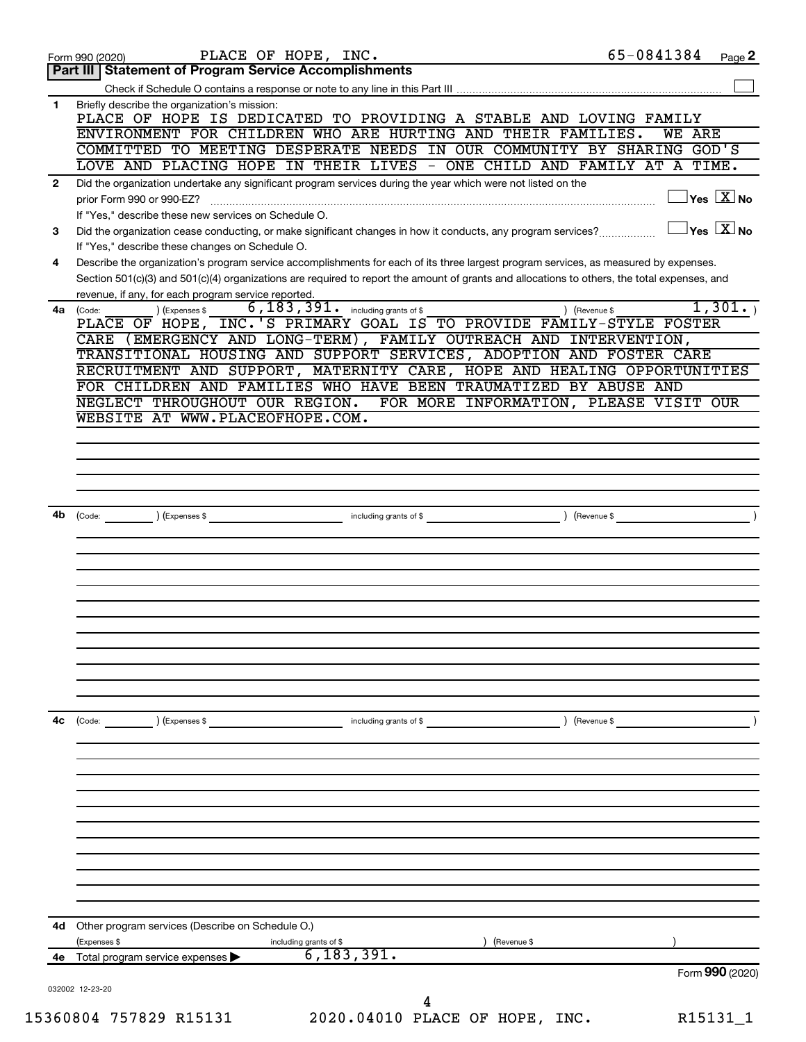| 1<br>$\mathbf{2}$<br>3<br>4<br>4a (Code:<br>4b<br>(Code:<br>4с | Part III   Statement of Program Service Accomplishments<br>Briefly describe the organization's mission:<br>PLACE OF HOPE IS DEDICATED TO PROVIDING A STABLE AND LOVING FAMILY<br>ENVIRONMENT FOR CHILDREN WHO ARE HURTING AND THEIR FAMILIES.<br>COMMITTED TO MEETING DESPERATE NEEDS IN OUR COMMUNITY BY SHARING GOD'S<br>LOVE AND PLACING HOPE IN THEIR LIVES - ONE CHILD AND FAMILY AT A TIME.<br>Did the organization undertake any significant program services during the year which were not listed on the<br>prior Form 990 or 990-EZ?<br>If "Yes," describe these new services on Schedule O.<br>Did the organization cease conducting, or make significant changes in how it conducts, any program services?<br>If "Yes," describe these changes on Schedule O.<br>Describe the organization's program service accomplishments for each of its three largest program services, as measured by expenses.<br>Section 501(c)(3) and 501(c)(4) organizations are required to report the amount of grants and allocations to others, the total expenses, and<br>revenue, if any, for each program service reported.<br>$\overline{6}$ , $\overline{183}$ , $\overline{391}$ . including grants of \$<br>(Expenses \$<br>PLACE OF HOPE, INC.'S PRIMARY GOAL IS TO PROVIDE FAMILY-STYLE FOSTER<br>CARE (EMERGENCY AND LONG-TERM), FAMILY OUTREACH AND INTERVENTION,<br>TRANSITIONAL HOUSING AND SUPPORT SERVICES, ADOPTION AND FOSTER CARE<br>RECRUITMENT AND SUPPORT, MATERNITY CARE, HOPE AND HEALING OPPORTUNITIES<br>FOR CHILDREN AND FAMILIES WHO HAVE BEEN TRAUMATIZED BY ABUSE AND<br>NEGLECT THROUGHOUT OUR REGION.<br>FOR MORE INFORMATION, PLEASE VISIT OUR<br>WEBSITE AT WWW.PLACEOFHOPE.COM.<br>(Expenses \$<br>including grants of \$ | <b>WE ARE</b><br>$\overline{\ }$ Yes $\overline{\phantom{a}X}$ No<br>$\overline{\ }$ Yes $\overline{\phantom{a}X}$ No<br>1,301.<br>) (Revenue \$<br>(Revenue \$ |
|----------------------------------------------------------------|-------------------------------------------------------------------------------------------------------------------------------------------------------------------------------------------------------------------------------------------------------------------------------------------------------------------------------------------------------------------------------------------------------------------------------------------------------------------------------------------------------------------------------------------------------------------------------------------------------------------------------------------------------------------------------------------------------------------------------------------------------------------------------------------------------------------------------------------------------------------------------------------------------------------------------------------------------------------------------------------------------------------------------------------------------------------------------------------------------------------------------------------------------------------------------------------------------------------------------------------------------------------------------------------------------------------------------------------------------------------------------------------------------------------------------------------------------------------------------------------------------------------------------------------------------------------------------------------------------------------------------------------------------------------------------------------------------------------------------------------------------|-----------------------------------------------------------------------------------------------------------------------------------------------------------------|
|                                                                |                                                                                                                                                                                                                                                                                                                                                                                                                                                                                                                                                                                                                                                                                                                                                                                                                                                                                                                                                                                                                                                                                                                                                                                                                                                                                                                                                                                                                                                                                                                                                                                                                                                                                                                                                       |                                                                                                                                                                 |
|                                                                |                                                                                                                                                                                                                                                                                                                                                                                                                                                                                                                                                                                                                                                                                                                                                                                                                                                                                                                                                                                                                                                                                                                                                                                                                                                                                                                                                                                                                                                                                                                                                                                                                                                                                                                                                       |                                                                                                                                                                 |
|                                                                |                                                                                                                                                                                                                                                                                                                                                                                                                                                                                                                                                                                                                                                                                                                                                                                                                                                                                                                                                                                                                                                                                                                                                                                                                                                                                                                                                                                                                                                                                                                                                                                                                                                                                                                                                       |                                                                                                                                                                 |
|                                                                |                                                                                                                                                                                                                                                                                                                                                                                                                                                                                                                                                                                                                                                                                                                                                                                                                                                                                                                                                                                                                                                                                                                                                                                                                                                                                                                                                                                                                                                                                                                                                                                                                                                                                                                                                       |                                                                                                                                                                 |
|                                                                |                                                                                                                                                                                                                                                                                                                                                                                                                                                                                                                                                                                                                                                                                                                                                                                                                                                                                                                                                                                                                                                                                                                                                                                                                                                                                                                                                                                                                                                                                                                                                                                                                                                                                                                                                       |                                                                                                                                                                 |
|                                                                |                                                                                                                                                                                                                                                                                                                                                                                                                                                                                                                                                                                                                                                                                                                                                                                                                                                                                                                                                                                                                                                                                                                                                                                                                                                                                                                                                                                                                                                                                                                                                                                                                                                                                                                                                       |                                                                                                                                                                 |
|                                                                |                                                                                                                                                                                                                                                                                                                                                                                                                                                                                                                                                                                                                                                                                                                                                                                                                                                                                                                                                                                                                                                                                                                                                                                                                                                                                                                                                                                                                                                                                                                                                                                                                                                                                                                                                       |                                                                                                                                                                 |
|                                                                |                                                                                                                                                                                                                                                                                                                                                                                                                                                                                                                                                                                                                                                                                                                                                                                                                                                                                                                                                                                                                                                                                                                                                                                                                                                                                                                                                                                                                                                                                                                                                                                                                                                                                                                                                       |                                                                                                                                                                 |
|                                                                |                                                                                                                                                                                                                                                                                                                                                                                                                                                                                                                                                                                                                                                                                                                                                                                                                                                                                                                                                                                                                                                                                                                                                                                                                                                                                                                                                                                                                                                                                                                                                                                                                                                                                                                                                       |                                                                                                                                                                 |
|                                                                |                                                                                                                                                                                                                                                                                                                                                                                                                                                                                                                                                                                                                                                                                                                                                                                                                                                                                                                                                                                                                                                                                                                                                                                                                                                                                                                                                                                                                                                                                                                                                                                                                                                                                                                                                       |                                                                                                                                                                 |
|                                                                |                                                                                                                                                                                                                                                                                                                                                                                                                                                                                                                                                                                                                                                                                                                                                                                                                                                                                                                                                                                                                                                                                                                                                                                                                                                                                                                                                                                                                                                                                                                                                                                                                                                                                                                                                       |                                                                                                                                                                 |
|                                                                |                                                                                                                                                                                                                                                                                                                                                                                                                                                                                                                                                                                                                                                                                                                                                                                                                                                                                                                                                                                                                                                                                                                                                                                                                                                                                                                                                                                                                                                                                                                                                                                                                                                                                                                                                       |                                                                                                                                                                 |
|                                                                |                                                                                                                                                                                                                                                                                                                                                                                                                                                                                                                                                                                                                                                                                                                                                                                                                                                                                                                                                                                                                                                                                                                                                                                                                                                                                                                                                                                                                                                                                                                                                                                                                                                                                                                                                       |                                                                                                                                                                 |
|                                                                |                                                                                                                                                                                                                                                                                                                                                                                                                                                                                                                                                                                                                                                                                                                                                                                                                                                                                                                                                                                                                                                                                                                                                                                                                                                                                                                                                                                                                                                                                                                                                                                                                                                                                                                                                       |                                                                                                                                                                 |
|                                                                |                                                                                                                                                                                                                                                                                                                                                                                                                                                                                                                                                                                                                                                                                                                                                                                                                                                                                                                                                                                                                                                                                                                                                                                                                                                                                                                                                                                                                                                                                                                                                                                                                                                                                                                                                       |                                                                                                                                                                 |
|                                                                |                                                                                                                                                                                                                                                                                                                                                                                                                                                                                                                                                                                                                                                                                                                                                                                                                                                                                                                                                                                                                                                                                                                                                                                                                                                                                                                                                                                                                                                                                                                                                                                                                                                                                                                                                       |                                                                                                                                                                 |
|                                                                |                                                                                                                                                                                                                                                                                                                                                                                                                                                                                                                                                                                                                                                                                                                                                                                                                                                                                                                                                                                                                                                                                                                                                                                                                                                                                                                                                                                                                                                                                                                                                                                                                                                                                                                                                       |                                                                                                                                                                 |
|                                                                |                                                                                                                                                                                                                                                                                                                                                                                                                                                                                                                                                                                                                                                                                                                                                                                                                                                                                                                                                                                                                                                                                                                                                                                                                                                                                                                                                                                                                                                                                                                                                                                                                                                                                                                                                       |                                                                                                                                                                 |
|                                                                |                                                                                                                                                                                                                                                                                                                                                                                                                                                                                                                                                                                                                                                                                                                                                                                                                                                                                                                                                                                                                                                                                                                                                                                                                                                                                                                                                                                                                                                                                                                                                                                                                                                                                                                                                       |                                                                                                                                                                 |
|                                                                |                                                                                                                                                                                                                                                                                                                                                                                                                                                                                                                                                                                                                                                                                                                                                                                                                                                                                                                                                                                                                                                                                                                                                                                                                                                                                                                                                                                                                                                                                                                                                                                                                                                                                                                                                       |                                                                                                                                                                 |
|                                                                |                                                                                                                                                                                                                                                                                                                                                                                                                                                                                                                                                                                                                                                                                                                                                                                                                                                                                                                                                                                                                                                                                                                                                                                                                                                                                                                                                                                                                                                                                                                                                                                                                                                                                                                                                       |                                                                                                                                                                 |
|                                                                |                                                                                                                                                                                                                                                                                                                                                                                                                                                                                                                                                                                                                                                                                                                                                                                                                                                                                                                                                                                                                                                                                                                                                                                                                                                                                                                                                                                                                                                                                                                                                                                                                                                                                                                                                       |                                                                                                                                                                 |
|                                                                |                                                                                                                                                                                                                                                                                                                                                                                                                                                                                                                                                                                                                                                                                                                                                                                                                                                                                                                                                                                                                                                                                                                                                                                                                                                                                                                                                                                                                                                                                                                                                                                                                                                                                                                                                       |                                                                                                                                                                 |
|                                                                |                                                                                                                                                                                                                                                                                                                                                                                                                                                                                                                                                                                                                                                                                                                                                                                                                                                                                                                                                                                                                                                                                                                                                                                                                                                                                                                                                                                                                                                                                                                                                                                                                                                                                                                                                       |                                                                                                                                                                 |
|                                                                |                                                                                                                                                                                                                                                                                                                                                                                                                                                                                                                                                                                                                                                                                                                                                                                                                                                                                                                                                                                                                                                                                                                                                                                                                                                                                                                                                                                                                                                                                                                                                                                                                                                                                                                                                       |                                                                                                                                                                 |
|                                                                |                                                                                                                                                                                                                                                                                                                                                                                                                                                                                                                                                                                                                                                                                                                                                                                                                                                                                                                                                                                                                                                                                                                                                                                                                                                                                                                                                                                                                                                                                                                                                                                                                                                                                                                                                       |                                                                                                                                                                 |
|                                                                |                                                                                                                                                                                                                                                                                                                                                                                                                                                                                                                                                                                                                                                                                                                                                                                                                                                                                                                                                                                                                                                                                                                                                                                                                                                                                                                                                                                                                                                                                                                                                                                                                                                                                                                                                       |                                                                                                                                                                 |
|                                                                |                                                                                                                                                                                                                                                                                                                                                                                                                                                                                                                                                                                                                                                                                                                                                                                                                                                                                                                                                                                                                                                                                                                                                                                                                                                                                                                                                                                                                                                                                                                                                                                                                                                                                                                                                       |                                                                                                                                                                 |
|                                                                |                                                                                                                                                                                                                                                                                                                                                                                                                                                                                                                                                                                                                                                                                                                                                                                                                                                                                                                                                                                                                                                                                                                                                                                                                                                                                                                                                                                                                                                                                                                                                                                                                                                                                                                                                       |                                                                                                                                                                 |
|                                                                |                                                                                                                                                                                                                                                                                                                                                                                                                                                                                                                                                                                                                                                                                                                                                                                                                                                                                                                                                                                                                                                                                                                                                                                                                                                                                                                                                                                                                                                                                                                                                                                                                                                                                                                                                       |                                                                                                                                                                 |
|                                                                |                                                                                                                                                                                                                                                                                                                                                                                                                                                                                                                                                                                                                                                                                                                                                                                                                                                                                                                                                                                                                                                                                                                                                                                                                                                                                                                                                                                                                                                                                                                                                                                                                                                                                                                                                       |                                                                                                                                                                 |
|                                                                |                                                                                                                                                                                                                                                                                                                                                                                                                                                                                                                                                                                                                                                                                                                                                                                                                                                                                                                                                                                                                                                                                                                                                                                                                                                                                                                                                                                                                                                                                                                                                                                                                                                                                                                                                       |                                                                                                                                                                 |
|                                                                |                                                                                                                                                                                                                                                                                                                                                                                                                                                                                                                                                                                                                                                                                                                                                                                                                                                                                                                                                                                                                                                                                                                                                                                                                                                                                                                                                                                                                                                                                                                                                                                                                                                                                                                                                       |                                                                                                                                                                 |
|                                                                |                                                                                                                                                                                                                                                                                                                                                                                                                                                                                                                                                                                                                                                                                                                                                                                                                                                                                                                                                                                                                                                                                                                                                                                                                                                                                                                                                                                                                                                                                                                                                                                                                                                                                                                                                       |                                                                                                                                                                 |
|                                                                |                                                                                                                                                                                                                                                                                                                                                                                                                                                                                                                                                                                                                                                                                                                                                                                                                                                                                                                                                                                                                                                                                                                                                                                                                                                                                                                                                                                                                                                                                                                                                                                                                                                                                                                                                       |                                                                                                                                                                 |
|                                                                |                                                                                                                                                                                                                                                                                                                                                                                                                                                                                                                                                                                                                                                                                                                                                                                                                                                                                                                                                                                                                                                                                                                                                                                                                                                                                                                                                                                                                                                                                                                                                                                                                                                                                                                                                       |                                                                                                                                                                 |
|                                                                | $\left(\text{Code:} \right)$ $\left(\text{Expenses $}\right)$<br>including grants of \$                                                                                                                                                                                                                                                                                                                                                                                                                                                                                                                                                                                                                                                                                                                                                                                                                                                                                                                                                                                                                                                                                                                                                                                                                                                                                                                                                                                                                                                                                                                                                                                                                                                               | Revenue \$                                                                                                                                                      |
|                                                                |                                                                                                                                                                                                                                                                                                                                                                                                                                                                                                                                                                                                                                                                                                                                                                                                                                                                                                                                                                                                                                                                                                                                                                                                                                                                                                                                                                                                                                                                                                                                                                                                                                                                                                                                                       |                                                                                                                                                                 |
|                                                                |                                                                                                                                                                                                                                                                                                                                                                                                                                                                                                                                                                                                                                                                                                                                                                                                                                                                                                                                                                                                                                                                                                                                                                                                                                                                                                                                                                                                                                                                                                                                                                                                                                                                                                                                                       |                                                                                                                                                                 |
|                                                                |                                                                                                                                                                                                                                                                                                                                                                                                                                                                                                                                                                                                                                                                                                                                                                                                                                                                                                                                                                                                                                                                                                                                                                                                                                                                                                                                                                                                                                                                                                                                                                                                                                                                                                                                                       |                                                                                                                                                                 |
|                                                                |                                                                                                                                                                                                                                                                                                                                                                                                                                                                                                                                                                                                                                                                                                                                                                                                                                                                                                                                                                                                                                                                                                                                                                                                                                                                                                                                                                                                                                                                                                                                                                                                                                                                                                                                                       |                                                                                                                                                                 |
|                                                                |                                                                                                                                                                                                                                                                                                                                                                                                                                                                                                                                                                                                                                                                                                                                                                                                                                                                                                                                                                                                                                                                                                                                                                                                                                                                                                                                                                                                                                                                                                                                                                                                                                                                                                                                                       |                                                                                                                                                                 |
|                                                                |                                                                                                                                                                                                                                                                                                                                                                                                                                                                                                                                                                                                                                                                                                                                                                                                                                                                                                                                                                                                                                                                                                                                                                                                                                                                                                                                                                                                                                                                                                                                                                                                                                                                                                                                                       |                                                                                                                                                                 |
|                                                                |                                                                                                                                                                                                                                                                                                                                                                                                                                                                                                                                                                                                                                                                                                                                                                                                                                                                                                                                                                                                                                                                                                                                                                                                                                                                                                                                                                                                                                                                                                                                                                                                                                                                                                                                                       |                                                                                                                                                                 |
|                                                                |                                                                                                                                                                                                                                                                                                                                                                                                                                                                                                                                                                                                                                                                                                                                                                                                                                                                                                                                                                                                                                                                                                                                                                                                                                                                                                                                                                                                                                                                                                                                                                                                                                                                                                                                                       |                                                                                                                                                                 |
|                                                                |                                                                                                                                                                                                                                                                                                                                                                                                                                                                                                                                                                                                                                                                                                                                                                                                                                                                                                                                                                                                                                                                                                                                                                                                                                                                                                                                                                                                                                                                                                                                                                                                                                                                                                                                                       |                                                                                                                                                                 |
|                                                                |                                                                                                                                                                                                                                                                                                                                                                                                                                                                                                                                                                                                                                                                                                                                                                                                                                                                                                                                                                                                                                                                                                                                                                                                                                                                                                                                                                                                                                                                                                                                                                                                                                                                                                                                                       |                                                                                                                                                                 |
|                                                                |                                                                                                                                                                                                                                                                                                                                                                                                                                                                                                                                                                                                                                                                                                                                                                                                                                                                                                                                                                                                                                                                                                                                                                                                                                                                                                                                                                                                                                                                                                                                                                                                                                                                                                                                                       |                                                                                                                                                                 |
| 4d                                                             |                                                                                                                                                                                                                                                                                                                                                                                                                                                                                                                                                                                                                                                                                                                                                                                                                                                                                                                                                                                                                                                                                                                                                                                                                                                                                                                                                                                                                                                                                                                                                                                                                                                                                                                                                       |                                                                                                                                                                 |
| 4е                                                             | Other program services (Describe on Schedule O.)                                                                                                                                                                                                                                                                                                                                                                                                                                                                                                                                                                                                                                                                                                                                                                                                                                                                                                                                                                                                                                                                                                                                                                                                                                                                                                                                                                                                                                                                                                                                                                                                                                                                                                      |                                                                                                                                                                 |
|                                                                | (Expenses \$<br>including grants of \$<br>(Revenue \$                                                                                                                                                                                                                                                                                                                                                                                                                                                                                                                                                                                                                                                                                                                                                                                                                                                                                                                                                                                                                                                                                                                                                                                                                                                                                                                                                                                                                                                                                                                                                                                                                                                                                                 |                                                                                                                                                                 |
| 032002 12-23-20                                                | 6, 183, 391.<br>Total program service expenses                                                                                                                                                                                                                                                                                                                                                                                                                                                                                                                                                                                                                                                                                                                                                                                                                                                                                                                                                                                                                                                                                                                                                                                                                                                                                                                                                                                                                                                                                                                                                                                                                                                                                                        | Form 990 (2020)                                                                                                                                                 |
| 15360804 757829 R15131                                         |                                                                                                                                                                                                                                                                                                                                                                                                                                                                                                                                                                                                                                                                                                                                                                                                                                                                                                                                                                                                                                                                                                                                                                                                                                                                                                                                                                                                                                                                                                                                                                                                                                                                                                                                                       |                                                                                                                                                                 |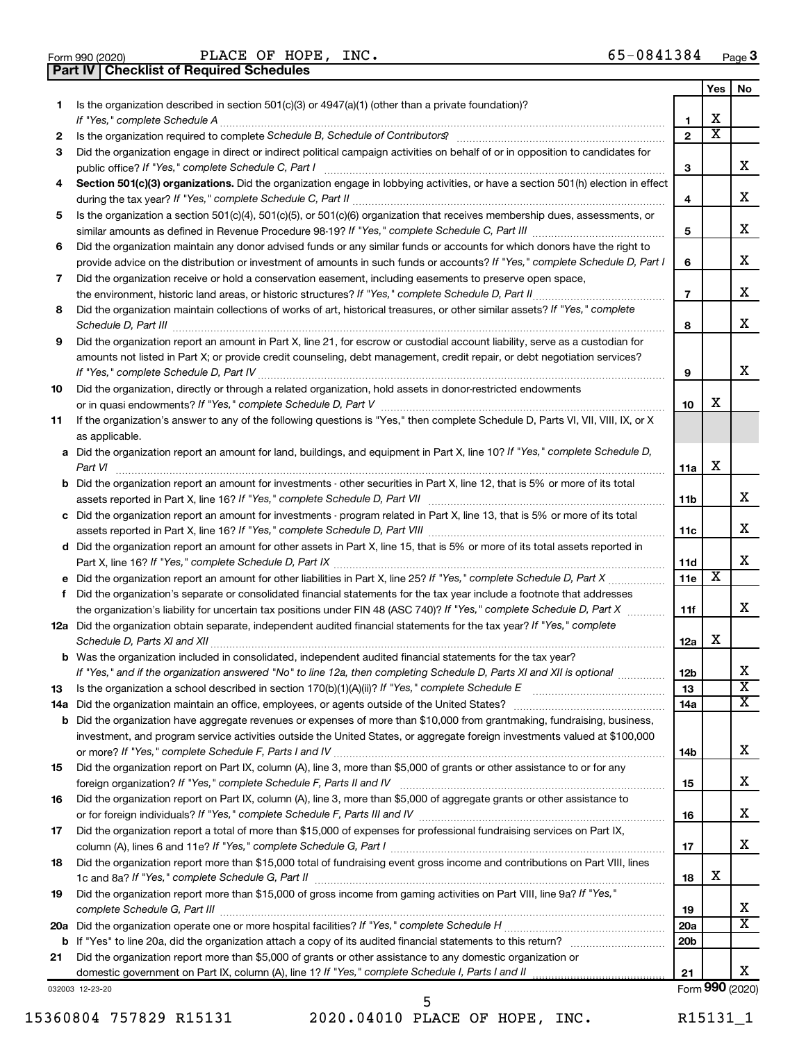|  | Form 990 (2020) |
|--|-----------------|

Form 990 (2020) **PLACE OF HOPE, INC.**  $65-0841384$  Page **Part IV Checklist of Required Schedules**

|           |                                                                                                                                                                                                                                                           |                       | Yes                   | No                      |
|-----------|-----------------------------------------------------------------------------------------------------------------------------------------------------------------------------------------------------------------------------------------------------------|-----------------------|-----------------------|-------------------------|
| 1.        | Is the organization described in section 501(c)(3) or 4947(a)(1) (other than a private foundation)?                                                                                                                                                       |                       |                       |                         |
|           |                                                                                                                                                                                                                                                           | 1                     | X                     |                         |
| 2         |                                                                                                                                                                                                                                                           | $\overline{2}$        | $\overline{\text{x}}$ |                         |
| 3         | Did the organization engage in direct or indirect political campaign activities on behalf of or in opposition to candidates for                                                                                                                           |                       |                       |                         |
|           | public office? If "Yes," complete Schedule C, Part I                                                                                                                                                                                                      | 3                     |                       | x                       |
| 4         | Section 501(c)(3) organizations. Did the organization engage in lobbying activities, or have a section 501(h) election in effect                                                                                                                          |                       |                       |                         |
|           |                                                                                                                                                                                                                                                           | 4                     |                       | х                       |
| 5         | Is the organization a section 501(c)(4), 501(c)(5), or 501(c)(6) organization that receives membership dues, assessments, or                                                                                                                              |                       |                       | х                       |
|           |                                                                                                                                                                                                                                                           | 5                     |                       |                         |
| 6         | Did the organization maintain any donor advised funds or any similar funds or accounts for which donors have the right to<br>provide advice on the distribution or investment of amounts in such funds or accounts? If "Yes," complete Schedule D, Part I |                       |                       | х                       |
|           |                                                                                                                                                                                                                                                           | 6                     |                       |                         |
| 7         | Did the organization receive or hold a conservation easement, including easements to preserve open space,                                                                                                                                                 | $\overline{7}$        |                       | х                       |
| 8         | Did the organization maintain collections of works of art, historical treasures, or other similar assets? If "Yes," complete                                                                                                                              |                       |                       |                         |
|           |                                                                                                                                                                                                                                                           | 8                     |                       | x                       |
| 9         | Did the organization report an amount in Part X, line 21, for escrow or custodial account liability, serve as a custodian for                                                                                                                             |                       |                       |                         |
|           | amounts not listed in Part X; or provide credit counseling, debt management, credit repair, or debt negotiation services?                                                                                                                                 |                       |                       |                         |
|           |                                                                                                                                                                                                                                                           | 9                     |                       | x                       |
| 10        | Did the organization, directly or through a related organization, hold assets in donor-restricted endowments                                                                                                                                              |                       |                       |                         |
|           |                                                                                                                                                                                                                                                           | 10                    | X                     |                         |
| 11        | If the organization's answer to any of the following questions is "Yes," then complete Schedule D, Parts VI, VII, VIII, IX, or X                                                                                                                          |                       |                       |                         |
|           | as applicable.                                                                                                                                                                                                                                            |                       |                       |                         |
|           | a Did the organization report an amount for land, buildings, and equipment in Part X, line 10? If "Yes," complete Schedule D,                                                                                                                             |                       |                       |                         |
|           |                                                                                                                                                                                                                                                           | 11a                   | X                     |                         |
| b         | Did the organization report an amount for investments - other securities in Part X, line 12, that is 5% or more of its total                                                                                                                              |                       |                       |                         |
|           |                                                                                                                                                                                                                                                           | 11b                   |                       | x                       |
|           | c Did the organization report an amount for investments - program related in Part X, line 13, that is 5% or more of its total                                                                                                                             |                       |                       |                         |
|           |                                                                                                                                                                                                                                                           | 11c                   |                       | х                       |
|           | d Did the organization report an amount for other assets in Part X, line 15, that is 5% or more of its total assets reported in                                                                                                                           |                       |                       |                         |
|           |                                                                                                                                                                                                                                                           | 11d                   |                       | x                       |
| е         |                                                                                                                                                                                                                                                           | 11e                   | х                     |                         |
| f         | Did the organization's separate or consolidated financial statements for the tax year include a footnote that addresses                                                                                                                                   |                       |                       |                         |
|           | the organization's liability for uncertain tax positions under FIN 48 (ASC 740)? If "Yes," complete Schedule D, Part X                                                                                                                                    | 11f                   |                       | x                       |
|           | 12a Did the organization obtain separate, independent audited financial statements for the tax year? If "Yes," complete                                                                                                                                   |                       | X                     |                         |
|           |                                                                                                                                                                                                                                                           | 12a                   |                       |                         |
|           | <b>b</b> Was the organization included in consolidated, independent audited financial statements for the tax year?                                                                                                                                        |                       |                       |                         |
|           | If "Yes," and if the organization answered "No" to line 12a, then completing Schedule D, Parts XI and XII is optional                                                                                                                                     | 12 <sub>b</sub><br>13 |                       | $\overline{\textbf{x}}$ |
| 13<br>14a |                                                                                                                                                                                                                                                           | 14a                   |                       | $\overline{\mathbf{X}}$ |
| b         | Did the organization have aggregate revenues or expenses of more than \$10,000 from grantmaking, fundraising, business,                                                                                                                                   |                       |                       |                         |
|           | investment, and program service activities outside the United States, or aggregate foreign investments valued at \$100,000                                                                                                                                |                       |                       |                         |
|           |                                                                                                                                                                                                                                                           | 14b                   |                       | x                       |
| 15        | Did the organization report on Part IX, column (A), line 3, more than \$5,000 of grants or other assistance to or for any                                                                                                                                 |                       |                       |                         |
|           |                                                                                                                                                                                                                                                           | 15                    |                       | x                       |
| 16        | Did the organization report on Part IX, column (A), line 3, more than \$5,000 of aggregate grants or other assistance to                                                                                                                                  |                       |                       |                         |
|           |                                                                                                                                                                                                                                                           | 16                    |                       | x                       |
| 17        | Did the organization report a total of more than \$15,000 of expenses for professional fundraising services on Part IX,                                                                                                                                   |                       |                       |                         |
|           |                                                                                                                                                                                                                                                           | 17                    |                       | x                       |
| 18        | Did the organization report more than \$15,000 total of fundraising event gross income and contributions on Part VIII, lines                                                                                                                              |                       |                       |                         |
|           |                                                                                                                                                                                                                                                           | 18                    | X                     |                         |
| 19        | Did the organization report more than \$15,000 of gross income from gaming activities on Part VIII, line 9a? If "Yes,"                                                                                                                                    |                       |                       |                         |
|           |                                                                                                                                                                                                                                                           | 19                    |                       | х                       |
| 20a       |                                                                                                                                                                                                                                                           | 20a                   |                       | X                       |
| b         |                                                                                                                                                                                                                                                           | 20 <sub>b</sub>       |                       |                         |
| 21        | Did the organization report more than \$5,000 of grants or other assistance to any domestic organization or                                                                                                                                               |                       |                       |                         |
|           |                                                                                                                                                                                                                                                           | 21                    |                       | x                       |
|           | 032003 12-23-20                                                                                                                                                                                                                                           |                       |                       | Form 990 (2020)         |

15360804 757829 R15131 2020.04010 PLACE OF HOPE, INC. R15131\_1

5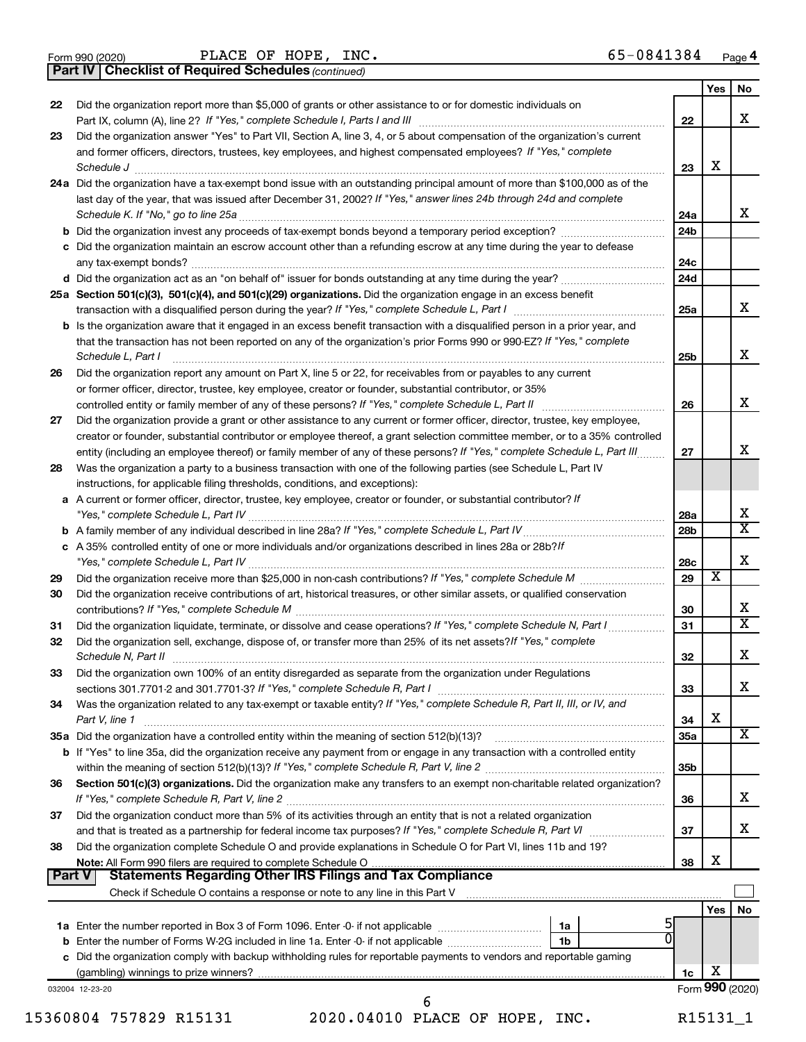|  | Form 990 (2020) |
|--|-----------------|
|  |                 |

**Part IV Checklist of Required Schedules**

 $\frac{1}{2}$ Form 990 (2020) PLACE OF HOPE, INC. PLACE OF HOPE, INC. 65-0841384

*(continued)*

|               |                                                                                                                                                                                                   |     | Yes                     | No                          |
|---------------|---------------------------------------------------------------------------------------------------------------------------------------------------------------------------------------------------|-----|-------------------------|-----------------------------|
| 22            | Did the organization report more than \$5,000 of grants or other assistance to or for domestic individuals on                                                                                     | 22  |                         | х                           |
| 23            | Did the organization answer "Yes" to Part VII, Section A, line 3, 4, or 5 about compensation of the organization's current                                                                        |     |                         |                             |
|               | and former officers, directors, trustees, key employees, and highest compensated employees? If "Yes," complete                                                                                    |     |                         |                             |
|               | Schedule J                                                                                                                                                                                        | 23  | х                       |                             |
|               | 24a Did the organization have a tax-exempt bond issue with an outstanding principal amount of more than \$100,000 as of the                                                                       |     |                         |                             |
|               | last day of the year, that was issued after December 31, 2002? If "Yes," answer lines 24b through 24d and complete                                                                                |     |                         |                             |
|               |                                                                                                                                                                                                   | 24a |                         | x                           |
|               |                                                                                                                                                                                                   | 24b |                         |                             |
|               | c Did the organization maintain an escrow account other than a refunding escrow at any time during the year to defease                                                                            |     |                         |                             |
|               |                                                                                                                                                                                                   | 24c |                         |                             |
|               |                                                                                                                                                                                                   | 24d |                         |                             |
|               | 25a Section 501(c)(3), 501(c)(4), and 501(c)(29) organizations. Did the organization engage in an excess benefit                                                                                  |     |                         |                             |
|               |                                                                                                                                                                                                   | 25a |                         | х                           |
|               | <b>b</b> Is the organization aware that it engaged in an excess benefit transaction with a disqualified person in a prior year, and                                                               |     |                         |                             |
|               | that the transaction has not been reported on any of the organization's prior Forms 990 or 990-EZ? If "Yes," complete                                                                             |     |                         |                             |
|               | Schedule L, Part I                                                                                                                                                                                | 25b |                         | х                           |
| 26            | Did the organization report any amount on Part X, line 5 or 22, for receivables from or payables to any current                                                                                   |     |                         |                             |
|               | or former officer, director, trustee, key employee, creator or founder, substantial contributor, or 35%                                                                                           |     |                         |                             |
|               | controlled entity or family member of any of these persons? If "Yes," complete Schedule L, Part II                                                                                                | 26  |                         | х                           |
| 27            | Did the organization provide a grant or other assistance to any current or former officer, director, trustee, key employee,                                                                       |     |                         |                             |
|               | creator or founder, substantial contributor or employee thereof, a grant selection committee member, or to a 35% controlled                                                                       |     |                         | х                           |
|               | entity (including an employee thereof) or family member of any of these persons? If "Yes," complete Schedule L, Part III.                                                                         | 27  |                         |                             |
| 28            | Was the organization a party to a business transaction with one of the following parties (see Schedule L, Part IV<br>instructions, for applicable filing thresholds, conditions, and exceptions): |     |                         |                             |
|               | a A current or former officer, director, trustee, key employee, creator or founder, or substantial contributor? If                                                                                |     |                         |                             |
|               |                                                                                                                                                                                                   | 28a |                         | x                           |
|               |                                                                                                                                                                                                   | 28b |                         | $\overline{\texttt{x}}$     |
|               | c A 35% controlled entity of one or more individuals and/or organizations described in lines 28a or 28b?If                                                                                        |     |                         |                             |
|               |                                                                                                                                                                                                   | 28c |                         | х                           |
| 29            |                                                                                                                                                                                                   | 29  | $\overline{\textbf{x}}$ |                             |
| 30            | Did the organization receive contributions of art, historical treasures, or other similar assets, or qualified conservation                                                                       |     |                         |                             |
|               |                                                                                                                                                                                                   | 30  |                         | x                           |
| 31            | Did the organization liquidate, terminate, or dissolve and cease operations? If "Yes," complete Schedule N, Part I                                                                                | 31  |                         | $\overline{\textnormal{x}}$ |
| 32            | Did the organization sell, exchange, dispose of, or transfer more than 25% of its net assets? If "Yes," complete                                                                                  |     |                         |                             |
|               | Schedule N, Part II                                                                                                                                                                               | 32  |                         | х                           |
| 33            | Did the organization own 100% of an entity disregarded as separate from the organization under Regulations                                                                                        |     |                         |                             |
|               | sections 301.7701-2 and 301.7701-3? If "Yes," complete Schedule R, Part I                                                                                                                         | 33  |                         | x                           |
| 34            | Was the organization related to any tax-exempt or taxable entity? If "Yes," complete Schedule R, Part II, III, or IV, and                                                                         |     |                         |                             |
|               | Part V, line 1                                                                                                                                                                                    | 34  | х                       | X                           |
|               | 35a Did the organization have a controlled entity within the meaning of section 512(b)(13)?                                                                                                       | 35a |                         |                             |
|               | <b>b</b> If "Yes" to line 35a, did the organization receive any payment from or engage in any transaction with a controlled entity                                                                | 35b |                         |                             |
| 36            | Section 501(c)(3) organizations. Did the organization make any transfers to an exempt non-charitable related organization?                                                                        |     |                         |                             |
|               |                                                                                                                                                                                                   | 36  |                         | х                           |
| 37            | Did the organization conduct more than 5% of its activities through an entity that is not a related organization                                                                                  |     |                         |                             |
|               |                                                                                                                                                                                                   | 37  |                         | x                           |
| 38            | Did the organization complete Schedule O and provide explanations in Schedule O for Part VI, lines 11b and 19?                                                                                    |     |                         |                             |
|               | Note: All Form 990 filers are required to complete Schedule O.                                                                                                                                    | 38  | х                       |                             |
| <b>Part V</b> | <b>Statements Regarding Other IRS Filings and Tax Compliance</b>                                                                                                                                  |     |                         |                             |
|               | Check if Schedule O contains a response or note to any line in this Part V [11] [12] Check if Schedule O contains a response or note to any line in this Part V                                   |     |                         |                             |
|               |                                                                                                                                                                                                   |     | Yes                     | No                          |
|               | <b>1a</b> Enter the number reported in Box 3 of Form 1096. Enter -0- if not applicable <i>manumumumum</i><br>1a                                                                                   |     |                         |                             |
|               | 1 <sub>b</sub>                                                                                                                                                                                    |     |                         |                             |
|               | c Did the organization comply with backup withholding rules for reportable payments to vendors and reportable gaming                                                                              |     | х                       |                             |
|               | 032004 12-23-20                                                                                                                                                                                   | 1c  |                         | Form 990 (2020)             |
|               | 6                                                                                                                                                                                                 |     |                         |                             |

<sup>15360804 757829</sup> R15131 2020.04010 PLACE OF HOPE, INC. R15131\_1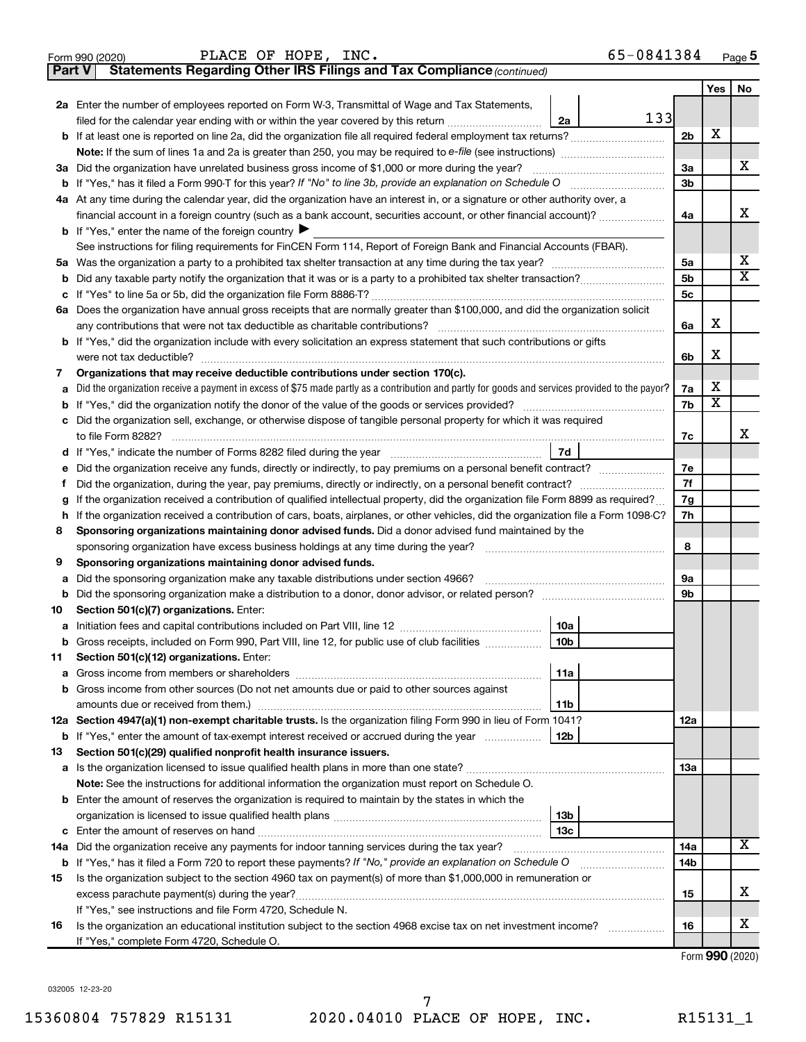|               | PLACE OF HOPE, INC.<br>65-0841384<br>Form 990 (2020)                                                                                            |                |     | Page 5                  |
|---------------|-------------------------------------------------------------------------------------------------------------------------------------------------|----------------|-----|-------------------------|
| <b>Part V</b> | Statements Regarding Other IRS Filings and Tax Compliance (continued)                                                                           |                |     |                         |
|               |                                                                                                                                                 |                | Yes | No                      |
|               | 2a Enter the number of employees reported on Form W-3, Transmittal of Wage and Tax Statements,                                                  |                |     |                         |
|               | 133<br>filed for the calendar year ending with or within the year covered by this return<br>2a                                                  |                |     |                         |
|               |                                                                                                                                                 | 2 <sub>b</sub> | х   |                         |
|               |                                                                                                                                                 |                |     |                         |
|               | 3a Did the organization have unrelated business gross income of \$1,000 or more during the year?                                                | За             |     | х                       |
|               |                                                                                                                                                 | 3b             |     |                         |
|               | 4a At any time during the calendar year, did the organization have an interest in, or a signature or other authority over, a                    |                |     |                         |
|               | financial account in a foreign country (such as a bank account, securities account, or other financial account)?                                | 4a             |     | х                       |
|               | <b>b</b> If "Yes," enter the name of the foreign country $\blacktriangleright$                                                                  |                |     |                         |
|               | See instructions for filing requirements for FinCEN Form 114, Report of Foreign Bank and Financial Accounts (FBAR).                             |                |     |                         |
|               |                                                                                                                                                 | 5а             |     | x                       |
| b             |                                                                                                                                                 | 5b             |     | $\overline{\texttt{x}}$ |
| с             |                                                                                                                                                 | 5c             |     |                         |
|               | 6a Does the organization have annual gross receipts that are normally greater than \$100,000, and did the organization solicit                  |                |     |                         |
|               | any contributions that were not tax deductible as charitable contributions?                                                                     | 6a             | х   |                         |
|               | <b>b</b> If "Yes," did the organization include with every solicitation an express statement that such contributions or gifts                   |                |     |                         |
|               |                                                                                                                                                 | 6b             | х   |                         |
| 7             | Organizations that may receive deductible contributions under section 170(c).                                                                   |                |     |                         |
| а             | Did the organization receive a payment in excess of \$75 made partly as a contribution and partly for goods and services provided to the payor? | 7а             | х   |                         |
| b             |                                                                                                                                                 | 7b             | X   |                         |
| с             | Did the organization sell, exchange, or otherwise dispose of tangible personal property for which it was required                               |                |     |                         |
|               |                                                                                                                                                 | 7с             |     | x                       |
|               | 7d                                                                                                                                              |                |     |                         |
| е             | Did the organization receive any funds, directly or indirectly, to pay premiums on a personal benefit contract?                                 | 7e             |     |                         |
| Ť             |                                                                                                                                                 | 7f<br>7g       |     |                         |
| g             | If the organization received a contribution of qualified intellectual property, did the organization file Form 8899 as required?                |                |     |                         |
| h             | If the organization received a contribution of cars, boats, airplanes, or other vehicles, did the organization file a Form 1098-C?              |                |     |                         |
| 8             | Sponsoring organizations maintaining donor advised funds. Did a donor advised fund maintained by the                                            |                |     |                         |
|               |                                                                                                                                                 | 8              |     |                         |
| 9             | Sponsoring organizations maintaining donor advised funds.                                                                                       |                |     |                         |
| а             | Did the sponsoring organization make any taxable distributions under section 4966?                                                              | 9а             |     |                         |
| b             |                                                                                                                                                 | 9b             |     |                         |
| 10            | Section 501(c)(7) organizations. Enter:<br>  10a                                                                                                |                |     |                         |
|               | 10 <sub>b</sub><br>Gross receipts, included on Form 990, Part VIII, line 12, for public use of club facilities                                  |                |     |                         |
| 11            | Section 501(c)(12) organizations. Enter:                                                                                                        |                |     |                         |
| а             | 11a                                                                                                                                             |                |     |                         |
| b             | Gross income from other sources (Do not net amounts due or paid to other sources against                                                        |                |     |                         |
|               | 11b                                                                                                                                             |                |     |                         |
|               | 12a Section 4947(a)(1) non-exempt charitable trusts. Is the organization filing Form 990 in lieu of Form 1041?                                  | 12a            |     |                         |
|               | 12b<br><b>b</b> If "Yes," enter the amount of tax-exempt interest received or accrued during the year                                           |                |     |                         |
| 13            | Section 501(c)(29) qualified nonprofit health insurance issuers.                                                                                |                |     |                         |
|               |                                                                                                                                                 | 1За            |     |                         |
|               | Note: See the instructions for additional information the organization must report on Schedule O.                                               |                |     |                         |
|               | <b>b</b> Enter the amount of reserves the organization is required to maintain by the states in which the                                       |                |     |                         |
|               | 13b                                                                                                                                             |                |     |                         |
|               | 13 <sub>c</sub>                                                                                                                                 |                |     |                         |
| 14a           | Did the organization receive any payments for indoor tanning services during the tax year?                                                      | 14a            |     | х                       |
|               | <b>b</b> If "Yes," has it filed a Form 720 to report these payments? If "No," provide an explanation on Schedule O                              | 14b            |     |                         |
| 15            | Is the organization subject to the section 4960 tax on payment(s) of more than \$1,000,000 in remuneration or                                   |                |     |                         |
|               | excess parachute payment(s) during the year?                                                                                                    | 15             |     | х                       |
|               | If "Yes," see instructions and file Form 4720, Schedule N.                                                                                      |                |     |                         |
| 16            | Is the organization an educational institution subject to the section 4968 excise tax on net investment income?                                 | 16             |     | x                       |
|               | If "Yes," complete Form 4720, Schedule O.                                                                                                       |                |     |                         |

Form (2020) **990**

032005 12-23-20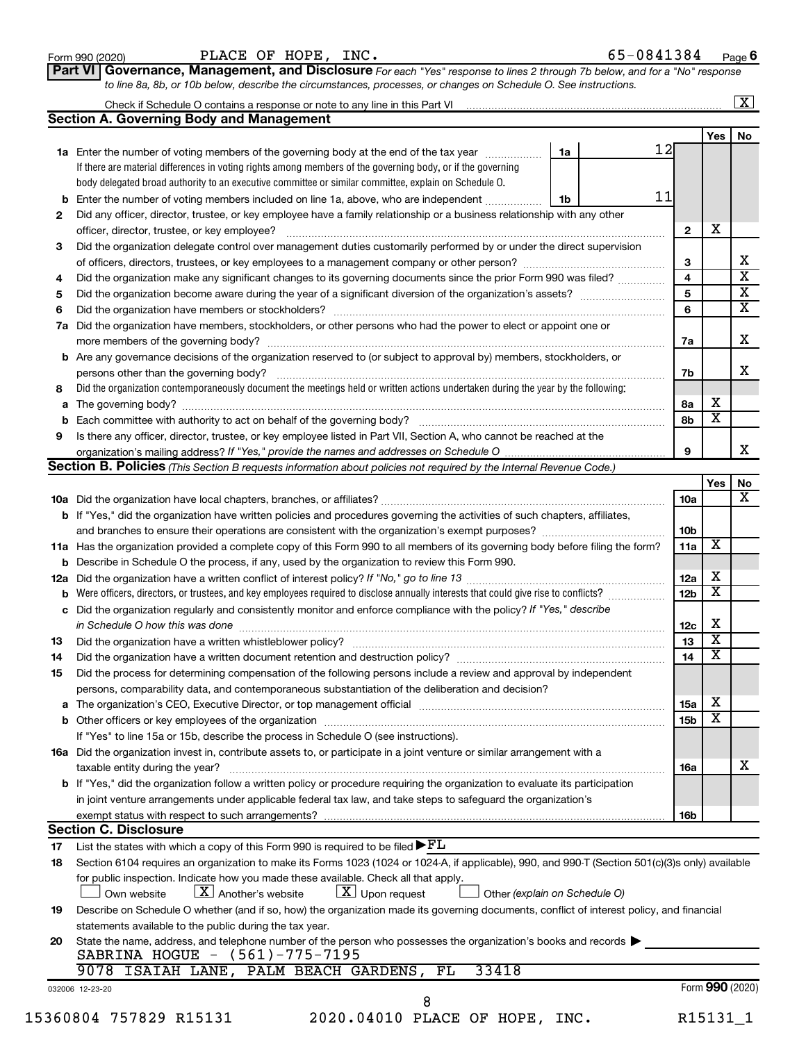| Form 990 (2020) |  |
|-----------------|--|
|-----------------|--|

Form 990 (2020) **PLACE OF HOPE, INC.**  $65-0841384$  Page

Check if Schedule O contains a response or note to any line in this Part VI ...

 $\boxed{\text{X}}$ 

**Part VI** Governance, Management, and Disclosure For each "Yes" response to lines 2 through 7b below, and for a "No" response *to line 8a, 8b, or 10b below, describe the circumstances, processes, or changes on Schedule O. See instructions.*

|     |                                                                                                                                                                                                                               |    | 12 |                 | Yes                     |  |
|-----|-------------------------------------------------------------------------------------------------------------------------------------------------------------------------------------------------------------------------------|----|----|-----------------|-------------------------|--|
|     | <b>1a</b> Enter the number of voting members of the governing body at the end of the tax year                                                                                                                                 | 1a |    |                 |                         |  |
|     | If there are material differences in voting rights among members of the governing body, or if the governing                                                                                                                   |    |    |                 |                         |  |
|     | body delegated broad authority to an executive committee or similar committee, explain on Schedule O.                                                                                                                         |    | 11 |                 |                         |  |
| b   | Enter the number of voting members included on line 1a, above, who are independent                                                                                                                                            | 1b |    |                 |                         |  |
| 2   | Did any officer, director, trustee, or key employee have a family relationship or a business relationship with any other                                                                                                      |    |    |                 | X                       |  |
|     | officer, director, trustee, or key employee?                                                                                                                                                                                  |    |    | $\mathbf{2}$    |                         |  |
| 3   | Did the organization delegate control over management duties customarily performed by or under the direct supervision                                                                                                         |    |    |                 |                         |  |
|     |                                                                                                                                                                                                                               |    |    | 3               |                         |  |
| 4   | Did the organization make any significant changes to its governing documents since the prior Form 990 was filed?                                                                                                              |    |    | 4               |                         |  |
| 5   |                                                                                                                                                                                                                               |    |    | 5               |                         |  |
| 6   |                                                                                                                                                                                                                               |    |    | 6               |                         |  |
| 7a  | Did the organization have members, stockholders, or other persons who had the power to elect or appoint one or                                                                                                                |    |    | 7a              |                         |  |
|     | <b>b</b> Are any governance decisions of the organization reserved to (or subject to approval by) members, stockholders, or                                                                                                   |    |    |                 |                         |  |
|     |                                                                                                                                                                                                                               |    |    | 7b              |                         |  |
| 8   | Did the organization contemporaneously document the meetings held or written actions undertaken during the year by the following:                                                                                             |    |    |                 |                         |  |
| a   |                                                                                                                                                                                                                               |    |    | 8а              | х                       |  |
| b   |                                                                                                                                                                                                                               |    |    | 8b              | $\overline{\textbf{x}}$ |  |
| 9   | Is there any officer, director, trustee, or key employee listed in Part VII, Section A, who cannot be reached at the                                                                                                          |    |    |                 |                         |  |
|     |                                                                                                                                                                                                                               |    |    | 9               |                         |  |
|     | <b>Section B. Policies</b> (This Section B requests information about policies not required by the Internal Revenue Code.)                                                                                                    |    |    |                 |                         |  |
|     |                                                                                                                                                                                                                               |    |    |                 | Yes                     |  |
|     |                                                                                                                                                                                                                               |    |    | 10a             |                         |  |
|     | b If "Yes," did the organization have written policies and procedures governing the activities of such chapters, affiliates,                                                                                                  |    |    |                 |                         |  |
|     |                                                                                                                                                                                                                               |    |    | 10 <sub>b</sub> |                         |  |
|     | 11a Has the organization provided a complete copy of this Form 990 to all members of its governing body before filing the form?                                                                                               |    |    | 11a             | х                       |  |
|     | <b>b</b> Describe in Schedule O the process, if any, used by the organization to review this Form 990.                                                                                                                        |    |    |                 |                         |  |
| 12a |                                                                                                                                                                                                                               |    |    | 12a             | х                       |  |
|     | Were officers, directors, or trustees, and key employees required to disclose annually interests that could give rise to conflicts?                                                                                           |    |    | 12 <sub>b</sub> | $\overline{\textbf{x}}$ |  |
| b   | Did the organization regularly and consistently monitor and enforce compliance with the policy? If "Yes," describe                                                                                                            |    |    |                 |                         |  |
| с   | in Schedule O how this was done                                                                                                                                                                                               |    |    |                 | х                       |  |
|     |                                                                                                                                                                                                                               |    |    | 12c<br>13       | $\overline{\textbf{x}}$ |  |
| 13  |                                                                                                                                                                                                                               |    |    |                 | $\overline{\textbf{x}}$ |  |
| 14  | Did the organization have a written document retention and destruction policy? [11] manufaction manufaction in                                                                                                                |    |    | 14              |                         |  |
| 15  | Did the process for determining compensation of the following persons include a review and approval by independent                                                                                                            |    |    |                 |                         |  |
|     | persons, comparability data, and contemporaneous substantiation of the deliberation and decision?                                                                                                                             |    |    |                 |                         |  |
|     | The organization's CEO, Executive Director, or top management official [111] [11] manument content in the organization's CEO, Executive Director, or top management official [11] manument content in the organization of the |    |    | 15a             | $\mathbf X$             |  |
|     |                                                                                                                                                                                                                               |    |    | 15b             | $\overline{\textbf{x}}$ |  |
|     | If "Yes" to line 15a or 15b, describe the process in Schedule O (see instructions).                                                                                                                                           |    |    |                 |                         |  |
|     | 16a Did the organization invest in, contribute assets to, or participate in a joint venture or similar arrangement with a<br>taxable entity during the year?                                                                  |    |    | 16a             |                         |  |
|     | b If "Yes," did the organization follow a written policy or procedure requiring the organization to evaluate its participation                                                                                                |    |    |                 |                         |  |
|     | in joint venture arrangements under applicable federal tax law, and take steps to safeguard the organization's                                                                                                                |    |    |                 |                         |  |
|     | exempt status with respect to such arrangements?                                                                                                                                                                              |    |    | 16b             |                         |  |
|     | <b>Section C. Disclosure</b>                                                                                                                                                                                                  |    |    |                 |                         |  |
| 17  | List the states with which a copy of this Form 990 is required to be filed $\blacktriangleright$ $FL$                                                                                                                         |    |    |                 |                         |  |
| 18  | Section 6104 requires an organization to make its Forms 1023 (1024 or 1024-A, if applicable), 990, and 990-T (Section 501(c)(3)s only) available                                                                              |    |    |                 |                         |  |
|     | for public inspection. Indicate how you made these available. Check all that apply.                                                                                                                                           |    |    |                 |                         |  |
|     | $\lfloor x \rfloor$ Upon request<br>$ \mathbf{X} $ Another's website<br>Other (explain on Schedule O)<br>Own website                                                                                                          |    |    |                 |                         |  |
| 19  | Describe on Schedule O whether (and if so, how) the organization made its governing documents, conflict of interest policy, and financial                                                                                     |    |    |                 |                         |  |
|     | statements available to the public during the tax year.                                                                                                                                                                       |    |    |                 |                         |  |
| 20  | State the name, address, and telephone number of the person who possesses the organization's books and records<br>SABRINA HOGUE - (561)-775-7195                                                                              |    |    |                 |                         |  |
|     | 33418<br>9078 ISAIAH LANE, PALM BEACH GARDENS, FL                                                                                                                                                                             |    |    |                 |                         |  |
|     |                                                                                                                                                                                                                               |    |    |                 |                         |  |
|     | 032006 12-23-20                                                                                                                                                                                                               |    |    | Form 990 (2020) |                         |  |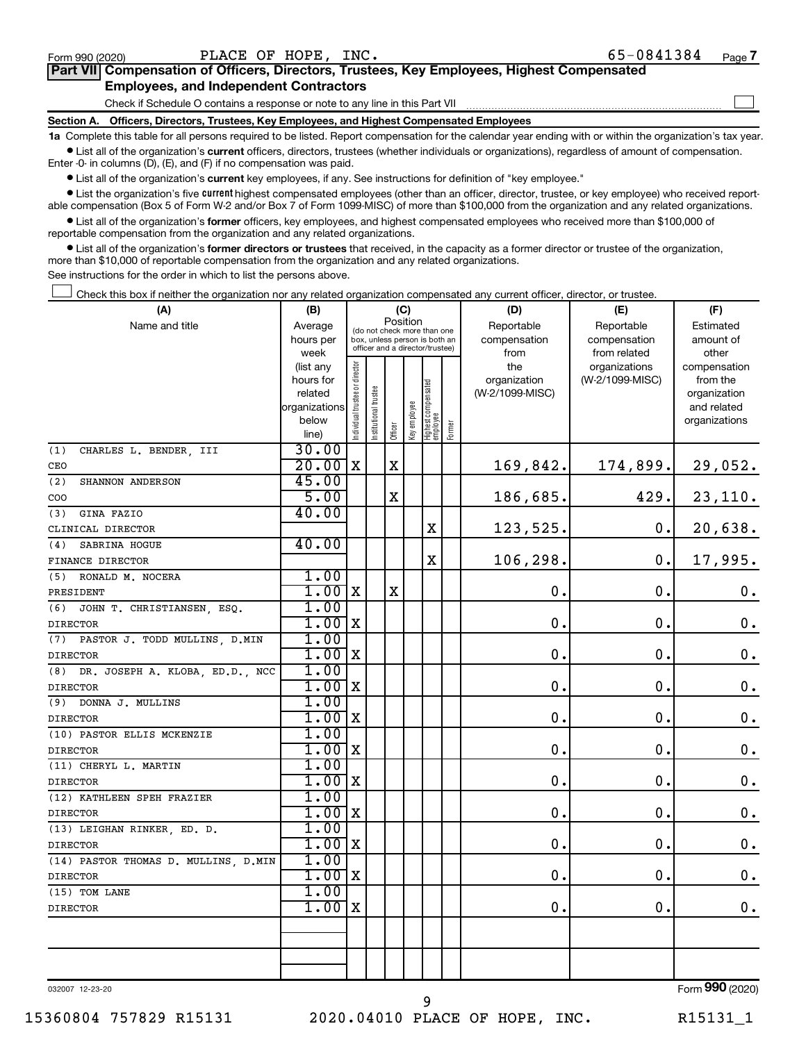$\Box$ 

| Part VII Compensation of Officers, Directors, Trustees, Key Employees, Highest Compensated |  |
|--------------------------------------------------------------------------------------------|--|
| <b>Employees, and Independent Contractors</b>                                              |  |

Check if Schedule O contains a response or note to any line in this Part VII

**Section A. Officers, Directors, Trustees, Key Employees, and Highest Compensated Employees**

**1a**  Complete this table for all persons required to be listed. Report compensation for the calendar year ending with or within the organization's tax year.  $\bullet$  List all of the organization's current officers, directors, trustees (whether individuals or organizations), regardless of amount of compensation.

Enter -0- in columns (D), (E), and (F) if no compensation was paid.

**•** List all of the organization's current key employees, if any. See instructions for definition of "key employee."

• List the organization's five *current* highest compensated employees (other than an officer, director, trustee, or key employee) who received reportable compensation (Box 5 of Form W-2 and/or Box 7 of Form 1099-MISC) of more than \$100,000 from the organization and any related organizations.

 $\bullet$  List all of the organization's former officers, key employees, and highest compensated employees who received more than \$100,000 of reportable compensation from the organization and any related organizations.

**•** List all of the organization's former directors or trustees that received, in the capacity as a former director or trustee of the organization, more than \$10,000 of reportable compensation from the organization and any related organizations.

See instructions for the order in which to list the persons above.

Check this box if neither the organization nor any related organization compensated any current officer, director, or trustee.  $\Box$ 

| (A)                                    | (C)<br>(B)             |                               |                                                                  |             |              |                                  |        | (D)             | (E)             | (F)                |
|----------------------------------------|------------------------|-------------------------------|------------------------------------------------------------------|-------------|--------------|----------------------------------|--------|-----------------|-----------------|--------------------|
| Name and title                         | Average                |                               | (do not check more than one                                      | Position    |              |                                  |        | Reportable      | Reportable      | Estimated          |
|                                        | hours per              |                               | box, unless person is both an<br>officer and a director/trustee) |             |              |                                  |        | compensation    | compensation    | amount of          |
|                                        | week                   |                               |                                                                  |             |              |                                  |        | from            | from related    | other              |
|                                        | (list any              |                               |                                                                  |             |              |                                  |        | the             | organizations   | compensation       |
|                                        | hours for              |                               |                                                                  |             |              |                                  |        | organization    | (W-2/1099-MISC) | from the           |
|                                        | related                |                               |                                                                  |             |              |                                  |        | (W-2/1099-MISC) |                 | organization       |
|                                        | organizations<br>below |                               |                                                                  |             |              |                                  |        |                 |                 | and related        |
|                                        | line)                  | ndividual trustee or director | Institutional trustee                                            | Officer     | Key employee | Highest compensated<br> employee | Former |                 |                 | organizations      |
| CHARLES L. BENDER, III<br>(1)          | 30.00                  |                               |                                                                  |             |              |                                  |        |                 |                 |                    |
| CEO                                    | 20.00                  | $\mathbf X$                   |                                                                  | $\mathbf x$ |              |                                  |        | 169,842.        | 174,899.        | 29,052.            |
| (2)<br>SHANNON ANDERSON                | 45.00                  |                               |                                                                  |             |              |                                  |        |                 |                 |                    |
| COO                                    | 5.00                   |                               |                                                                  | X           |              |                                  |        | 186,685.        | 429.            | 23,110.            |
| GINA FAZIO<br>(3)                      | 40.00                  |                               |                                                                  |             |              |                                  |        |                 |                 |                    |
| CLINICAL DIRECTOR                      |                        |                               |                                                                  |             |              | $\mathbf X$                      |        | 123,525.        | $\mathbf 0$ .   | 20,638.            |
| SABRINA HOGUE<br>(4)                   | 40.00                  |                               |                                                                  |             |              |                                  |        |                 |                 |                    |
| FINANCE DIRECTOR                       |                        |                               |                                                                  |             |              | $\mathbf X$                      |        | 106,298.        | $\mathbf 0$ .   | 17,995.            |
| RONALD M. NOCERA<br>(5)                | 1.00                   |                               |                                                                  |             |              |                                  |        |                 |                 |                    |
| PRESIDENT                              | $1.00$ X               |                               |                                                                  | $\mathbf X$ |              |                                  |        | $\mathbf 0$ .   | $\mathbf 0$ .   | $\boldsymbol{0}$ . |
| JOHN T. CHRISTIANSEN, ESQ.<br>(6)      | 1.00                   |                               |                                                                  |             |              |                                  |        |                 |                 |                    |
| <b>DIRECTOR</b>                        | 1.00                   | $\mathbf X$                   |                                                                  |             |              |                                  |        | $\mathbf 0$ .   | О.              | $\boldsymbol{0}$ . |
| PASTOR J. TODD MULLINS, D.MIN<br>(7)   | 1.00                   |                               |                                                                  |             |              |                                  |        |                 |                 |                    |
| <b>DIRECTOR</b>                        | 1.00                   | $\mathbf X$                   |                                                                  |             |              |                                  |        | 0.              | $\mathbf 0$ .   | $\mathbf 0$ .      |
| DR. JOSEPH A. KLOBA, ED.D., NCC<br>(8) | 1.00                   |                               |                                                                  |             |              |                                  |        |                 |                 |                    |
| <b>DIRECTOR</b>                        | $1.00$ X               |                               |                                                                  |             |              |                                  |        | 0.              | $\mathbf 0$ .   | $\mathbf 0$ .      |
| (9) DONNA J. MULLINS                   | 1.00                   |                               |                                                                  |             |              |                                  |        |                 |                 |                    |
| <b>DIRECTOR</b>                        | $1.00$ X               |                               |                                                                  |             |              |                                  |        | 0.              | $\mathbf 0$ .   | $\mathbf 0$ .      |
| (10) PASTOR ELLIS MCKENZIE             | 1.00                   |                               |                                                                  |             |              |                                  |        |                 |                 |                    |
| <b>DIRECTOR</b>                        | $1.00 \, \text{X}$     |                               |                                                                  |             |              |                                  |        | 0.              | $\mathbf 0$ .   | $\mathbf 0$ .      |
| (11) CHERYL L. MARTIN                  | 1.00                   |                               |                                                                  |             |              |                                  |        |                 |                 |                    |
| <b>DIRECTOR</b>                        | $1.00$ X               |                               |                                                                  |             |              |                                  |        | 0.              | $\mathbf 0$ .   | $\mathbf 0$ .      |
| (12) KATHLEEN SPEH FRAZIER             | 1.00                   |                               |                                                                  |             |              |                                  |        |                 |                 |                    |
| <b>DIRECTOR</b>                        | $1.00$ X               |                               |                                                                  |             |              |                                  |        | 0.              | $\mathbf 0$ .   | $\mathbf 0$ .      |
| (13) LEIGHAN RINKER, ED. D.            | 1.00                   |                               |                                                                  |             |              |                                  |        |                 |                 |                    |
| <b>DIRECTOR</b>                        | $1.00$ X               |                               |                                                                  |             |              |                                  |        | 0.              | $\mathbf 0$ .   | $\mathbf 0$ .      |
| (14) PASTOR THOMAS D. MULLINS, D.MIN   | 1.00                   |                               |                                                                  |             |              |                                  |        |                 |                 |                    |
| <b>DIRECTOR</b>                        | $1.00$ X               |                               |                                                                  |             |              |                                  |        | $\mathbf 0$ .   | $\mathbf 0$ .   | $\mathbf 0$ .      |
| (15) TOM LANE                          | 1.00                   |                               |                                                                  |             |              |                                  |        |                 |                 |                    |
| <b>DIRECTOR</b>                        | $1.00$ X               |                               |                                                                  |             |              |                                  |        | 0.              | $\mathbf 0$ .   | $\mathbf 0$ .      |
|                                        |                        |                               |                                                                  |             |              |                                  |        |                 |                 |                    |
|                                        |                        |                               |                                                                  |             |              |                                  |        |                 |                 |                    |
|                                        |                        |                               |                                                                  |             |              |                                  |        |                 |                 |                    |
|                                        |                        |                               |                                                                  |             |              |                                  |        |                 |                 |                    |

032007 12-23-20

9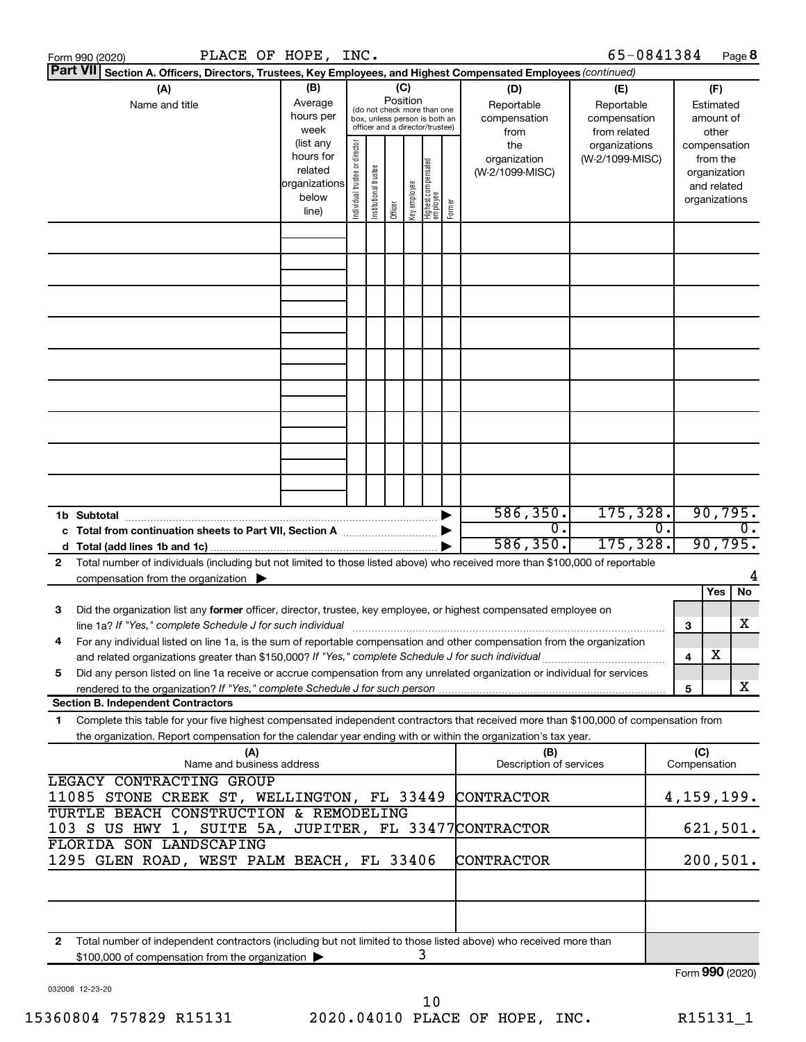|                                                                                                                           | Form 990 (2020)                                                                                                                                                                          |                                                               |     | PLACE OF HOPE, INC.                        |                                |                       |                                                                                                 |              |                                                  |                                                                    |                                 | 65-0841384      |                                                        |                 |                                                          | Page 8           |
|---------------------------------------------------------------------------------------------------------------------------|------------------------------------------------------------------------------------------------------------------------------------------------------------------------------------------|---------------------------------------------------------------|-----|--------------------------------------------|--------------------------------|-----------------------|-------------------------------------------------------------------------------------------------|--------------|--------------------------------------------------|--------------------------------------------------------------------|---------------------------------|-----------------|--------------------------------------------------------|-----------------|----------------------------------------------------------|------------------|
| <b>Part VII</b><br>Section A. Officers, Directors, Trustees, Key Employees, and Highest Compensated Employees (continued) |                                                                                                                                                                                          |                                                               |     |                                            |                                |                       |                                                                                                 |              |                                                  |                                                                    |                                 |                 |                                                        |                 |                                                          |                  |
|                                                                                                                           | (A)<br>Name and title                                                                                                                                                                    | (B)<br>Average<br>hours per<br>week<br>(list any<br>hours for |     |                                            | (C)<br>Position                |                       | (do not check more than one<br>box, unless person is both an<br>officer and a director/trustee) |              | (D)<br>Reportable<br>compensation<br>from<br>the | (E)<br>Reportable<br>compensation<br>from related<br>organizations |                                 |                 | (F)<br>Estimated<br>amount of<br>other<br>compensation |                 |                                                          |                  |
|                                                                                                                           |                                                                                                                                                                                          |                                                               |     | related<br>organizations<br>below<br>line) | Individual trustee or director | Institutional trustee | Officer                                                                                         | key employee | Highest compensated<br>  employee                | Former                                                             | organization<br>(W-2/1099-MISC) | (W-2/1099-MISC) |                                                        |                 | from the<br>organization<br>and related<br>organizations |                  |
|                                                                                                                           |                                                                                                                                                                                          |                                                               |     |                                            |                                |                       |                                                                                                 |              |                                                  |                                                                    |                                 |                 |                                                        |                 |                                                          |                  |
|                                                                                                                           |                                                                                                                                                                                          |                                                               |     |                                            |                                |                       |                                                                                                 |              |                                                  |                                                                    |                                 |                 |                                                        |                 |                                                          |                  |
|                                                                                                                           |                                                                                                                                                                                          |                                                               |     |                                            |                                |                       |                                                                                                 |              |                                                  |                                                                    |                                 |                 |                                                        |                 |                                                          |                  |
|                                                                                                                           |                                                                                                                                                                                          |                                                               |     |                                            |                                |                       |                                                                                                 |              |                                                  |                                                                    |                                 |                 |                                                        |                 |                                                          |                  |
|                                                                                                                           |                                                                                                                                                                                          |                                                               |     |                                            |                                |                       |                                                                                                 |              |                                                  |                                                                    |                                 |                 |                                                        |                 |                                                          |                  |
|                                                                                                                           |                                                                                                                                                                                          |                                                               |     |                                            |                                |                       |                                                                                                 |              |                                                  |                                                                    |                                 |                 |                                                        |                 |                                                          |                  |
|                                                                                                                           |                                                                                                                                                                                          |                                                               |     |                                            |                                |                       |                                                                                                 |              |                                                  |                                                                    |                                 |                 |                                                        |                 |                                                          |                  |
|                                                                                                                           | 1b Subtotal                                                                                                                                                                              |                                                               |     |                                            |                                |                       |                                                                                                 |              |                                                  |                                                                    | 586, 350.                       | 175,328.        |                                                        |                 | 90,795.                                                  |                  |
|                                                                                                                           | c Total from continuation sheets to Part VII, Section A [111] [12] [13] Doction A                                                                                                        |                                                               |     |                                            |                                |                       |                                                                                                 |              |                                                  |                                                                    | $\overline{0}$ .<br>586, 350.   | 175, 328.       | О.                                                     |                 | 90,795.                                                  | $\overline{0}$ . |
| $\mathbf{2}$                                                                                                              | Total number of individuals (including but not limited to those listed above) who received more than \$100,000 of reportable<br>compensation from the organization $\blacktriangleright$ |                                                               |     |                                            |                                |                       |                                                                                                 |              |                                                  |                                                                    |                                 |                 |                                                        |                 |                                                          |                  |
| з                                                                                                                         | Did the organization list any former officer, director, trustee, key employee, or highest compensated employee on                                                                        |                                                               |     |                                            |                                |                       |                                                                                                 |              |                                                  |                                                                    |                                 |                 |                                                        |                 | Yes                                                      | No               |
| 4                                                                                                                         | For any individual listed on line 1a, is the sum of reportable compensation and other compensation from the organization                                                                 |                                                               |     |                                            |                                |                       |                                                                                                 |              |                                                  |                                                                    |                                 |                 |                                                        | 3               |                                                          | х                |
| 5                                                                                                                         | Did any person listed on line 1a receive or accrue compensation from any unrelated organization or individual for services                                                               |                                                               |     |                                            |                                |                       |                                                                                                 |              |                                                  |                                                                    |                                 |                 |                                                        | 4               | х                                                        |                  |
|                                                                                                                           | <b>Section B. Independent Contractors</b>                                                                                                                                                |                                                               |     |                                            |                                |                       |                                                                                                 |              |                                                  |                                                                    |                                 |                 |                                                        | 5               |                                                          | X                |
| 1                                                                                                                         | Complete this table for your five highest compensated independent contractors that received more than \$100,000 of compensation from                                                     |                                                               |     |                                            |                                |                       |                                                                                                 |              |                                                  |                                                                    |                                 |                 |                                                        |                 |                                                          |                  |
|                                                                                                                           | the organization. Report compensation for the calendar year ending with or within the organization's tax year.                                                                           |                                                               | (A) |                                            |                                |                       |                                                                                                 |              |                                                  |                                                                    | (B)                             |                 |                                                        | (C)             |                                                          |                  |
|                                                                                                                           | LEGACY CONTRACTING GROUP                                                                                                                                                                 | Name and business address                                     |     |                                            |                                |                       |                                                                                                 |              |                                                  |                                                                    | Description of services         |                 |                                                        | Compensation    |                                                          |                  |
| 11085 STONE CREEK ST, WELLINGTON, FL 33449<br><b>CONTRACTOR</b><br>TURTLE BEACH CONSTRUCTION & REMODELING                 |                                                                                                                                                                                          |                                                               |     |                                            |                                |                       |                                                                                                 |              | 4,159,199.                                       |                                                                    |                                 |                 |                                                        |                 |                                                          |                  |
|                                                                                                                           | 103 S US HWY 1, SUITE 5A, JUPITER, FL 33477CONTRACTOR<br>FLORIDA SON LANDSCAPING                                                                                                         |                                                               |     |                                            |                                |                       |                                                                                                 |              |                                                  |                                                                    |                                 |                 |                                                        | 621,501.        |                                                          |                  |
|                                                                                                                           | 1295 GLEN ROAD, WEST PALM BEACH, FL 33406                                                                                                                                                |                                                               |     |                                            |                                |                       |                                                                                                 |              |                                                  |                                                                    | CONTRACTOR                      |                 |                                                        |                 | 200, 501.                                                |                  |
|                                                                                                                           |                                                                                                                                                                                          |                                                               |     |                                            |                                |                       |                                                                                                 |              |                                                  |                                                                    |                                 |                 |                                                        |                 |                                                          |                  |
| 2                                                                                                                         | Total number of independent contractors (including but not limited to those listed above) who received more than                                                                         |                                                               |     |                                            |                                |                       |                                                                                                 |              | 3                                                |                                                                    |                                 |                 |                                                        |                 |                                                          |                  |
|                                                                                                                           | \$100,000 of compensation from the organization >                                                                                                                                        |                                                               |     |                                            |                                |                       |                                                                                                 |              |                                                  |                                                                    |                                 |                 |                                                        | Form 990 (2020) |                                                          |                  |

032008 12-23-20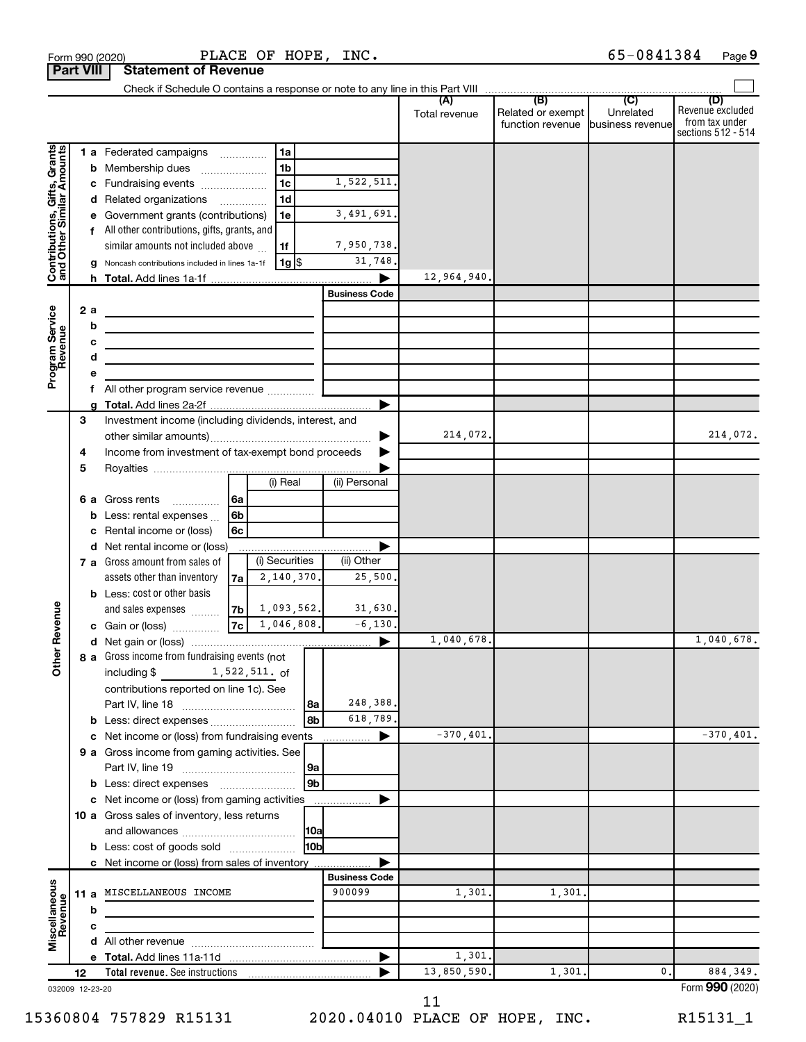| <b>Part VIII</b>                                                             |        |                        | <b>Statement of Revenue</b>                                                                                                                                                                                                                                                                                                                                                                                                                          |                                                                                      |              |                                                                           |               |                                                        |           |                                                                 |
|------------------------------------------------------------------------------|--------|------------------------|------------------------------------------------------------------------------------------------------------------------------------------------------------------------------------------------------------------------------------------------------------------------------------------------------------------------------------------------------------------------------------------------------------------------------------------------------|--------------------------------------------------------------------------------------|--------------|---------------------------------------------------------------------------|---------------|--------------------------------------------------------|-----------|-----------------------------------------------------------------|
|                                                                              |        |                        |                                                                                                                                                                                                                                                                                                                                                                                                                                                      |                                                                                      |              |                                                                           |               |                                                        |           |                                                                 |
|                                                                              |        |                        |                                                                                                                                                                                                                                                                                                                                                                                                                                                      |                                                                                      |              |                                                                           | Total revenue | Related or exempt<br>function revenue business revenue | Unrelated | (D)<br>Revenue excluded<br>from tax under<br>sections 512 - 514 |
| Contributions, Gifts, Grants<br>and Other Similar Amounts<br>Program Service |        | b<br>2a<br>b<br>с<br>d | 1 a Federated campaigns<br>Membership dues<br>Fundraising events<br>d Related organizations<br>Government grants (contributions)<br>f All other contributions, gifts, grants, and<br>similar amounts not included above<br>Noncash contributions included in lines 1a-1f<br><u> 1980 - Johann Barbara, martin amerikan basar da</u><br><u> 1989 - Johann Barn, amerikansk politiker (</u><br><u> 1989 - Johann Barbara, martin amerikan basar da</u> | 1a<br>1 <sub>b</sub><br>1 <sub>c</sub><br>1d<br>1e<br>1f<br>$1g$ $\frac{1}{3}$       |              | 1,522,511.<br>3,491,691.<br>7,950,738.<br>31,748.<br><b>Business Code</b> | 12,964,940.   |                                                        |           |                                                                 |
|                                                                              |        | е<br>f                 |                                                                                                                                                                                                                                                                                                                                                                                                                                                      |                                                                                      |              |                                                                           |               |                                                        |           |                                                                 |
|                                                                              |        |                        |                                                                                                                                                                                                                                                                                                                                                                                                                                                      |                                                                                      |              |                                                                           |               |                                                        |           |                                                                 |
|                                                                              | 3<br>4 |                        | Investment income (including dividends, interest, and<br>Income from investment of tax-exempt bond proceeds                                                                                                                                                                                                                                                                                                                                          |                                                                                      |              |                                                                           | 214,072.      |                                                        |           | 214,072.                                                        |
|                                                                              | 5      |                        |                                                                                                                                                                                                                                                                                                                                                                                                                                                      | (i) Real                                                                             |              | (ii) Personal                                                             |               |                                                        |           |                                                                 |
|                                                                              |        | b<br>с                 | 6 a Gross rents<br>Less: rental expenses<br>Rental income or (loss)                                                                                                                                                                                                                                                                                                                                                                                  | 6a<br>6 <sub>b</sub><br>6с                                                           |              |                                                                           |               |                                                        |           |                                                                 |
|                                                                              |        | d                      | Net rental income or (loss)                                                                                                                                                                                                                                                                                                                                                                                                                          |                                                                                      |              |                                                                           |               |                                                        |           |                                                                 |
| Revenue                                                                      |        |                        | 7 a Gross amount from sales of<br>assets other than inventory<br><b>b</b> Less: cost or other basis<br>and sales expenses<br>c Gain or (loss)                                                                                                                                                                                                                                                                                                        | (i) Securities<br>2,140,370.<br>7a<br>$7b \mid 1,093,562.$<br>$\sqrt{7c}$ 1,046,808. |              | (ii) Other<br>25,500.<br>31,630.<br>$-6, 130.$                            |               |                                                        |           |                                                                 |
|                                                                              |        |                        |                                                                                                                                                                                                                                                                                                                                                                                                                                                      |                                                                                      |              | ▶                                                                         | 1,040,678.    |                                                        |           | 1,040,678.                                                      |
| $\check{\epsilon}$                                                           |        |                        | 8 a Gross income from fundraising events (not<br>including \$<br>contributions reported on line 1c). See                                                                                                                                                                                                                                                                                                                                             | 1,522,511. of                                                                        | l 8a<br>8b   | 248,388.<br>618,789.                                                      |               |                                                        |           |                                                                 |
|                                                                              |        |                        | c Net income or (loss) from fundraising events                                                                                                                                                                                                                                                                                                                                                                                                       |                                                                                      |              | .                                                                         | $-370, 401.$  |                                                        |           | $-370, 401.$                                                    |
|                                                                              |        |                        | 9 a Gross income from gaming activities. See<br><b>b</b> Less: direct expenses <b>manually</b>                                                                                                                                                                                                                                                                                                                                                       |                                                                                      | 9a<br>9b     |                                                                           |               |                                                        |           |                                                                 |
|                                                                              |        |                        | c Net income or (loss) from gaming activities                                                                                                                                                                                                                                                                                                                                                                                                        |                                                                                      |              |                                                                           |               |                                                        |           |                                                                 |
|                                                                              |        |                        | 10 a Gross sales of inventory, less returns<br><b>b</b> Less: cost of goods sold                                                                                                                                                                                                                                                                                                                                                                     |                                                                                      | 10a<br>l10bl |                                                                           |               |                                                        |           |                                                                 |
|                                                                              |        |                        | c Net income or (loss) from sales of inventory                                                                                                                                                                                                                                                                                                                                                                                                       |                                                                                      |              |                                                                           |               |                                                        |           |                                                                 |
|                                                                              |        |                        |                                                                                                                                                                                                                                                                                                                                                                                                                                                      |                                                                                      |              | <b>Business Code</b>                                                      |               |                                                        |           |                                                                 |
| Miscellaneous<br>Revenue                                                     |        | b                      | 11 a MISCELLANEOUS INCOME                                                                                                                                                                                                                                                                                                                                                                                                                            |                                                                                      |              | 900099                                                                    | 1,301.        | 1,301.                                                 |           |                                                                 |
|                                                                              |        | с                      |                                                                                                                                                                                                                                                                                                                                                                                                                                                      |                                                                                      |              |                                                                           |               |                                                        |           |                                                                 |
|                                                                              |        |                        |                                                                                                                                                                                                                                                                                                                                                                                                                                                      |                                                                                      |              |                                                                           |               |                                                        |           |                                                                 |
|                                                                              |        |                        |                                                                                                                                                                                                                                                                                                                                                                                                                                                      |                                                                                      |              |                                                                           | 1,301.        |                                                        |           |                                                                 |
|                                                                              | 12     |                        |                                                                                                                                                                                                                                                                                                                                                                                                                                                      |                                                                                      |              |                                                                           | 13,850,590.   | 1,301.                                                 | 0.        | 884, 349.                                                       |
| 032009 12-23-20                                                              |        |                        |                                                                                                                                                                                                                                                                                                                                                                                                                                                      |                                                                                      |              |                                                                           |               |                                                        |           | Form 990 (2020)                                                 |

032009 12-23-20

15360804 757829 R15131 2020.04010 PLACE OF HOPE, INC. R15131\_1

 $\frac{1}{2}$ Form 990 (2020) PLACE OF HOPE, INC.  $\frac{1}{2}$  b  $\frac{1}{2}$  b  $\frac{1}{2}$  Page PLACE OF HOPE, INC. 65-0841384

 <sup>11</sup>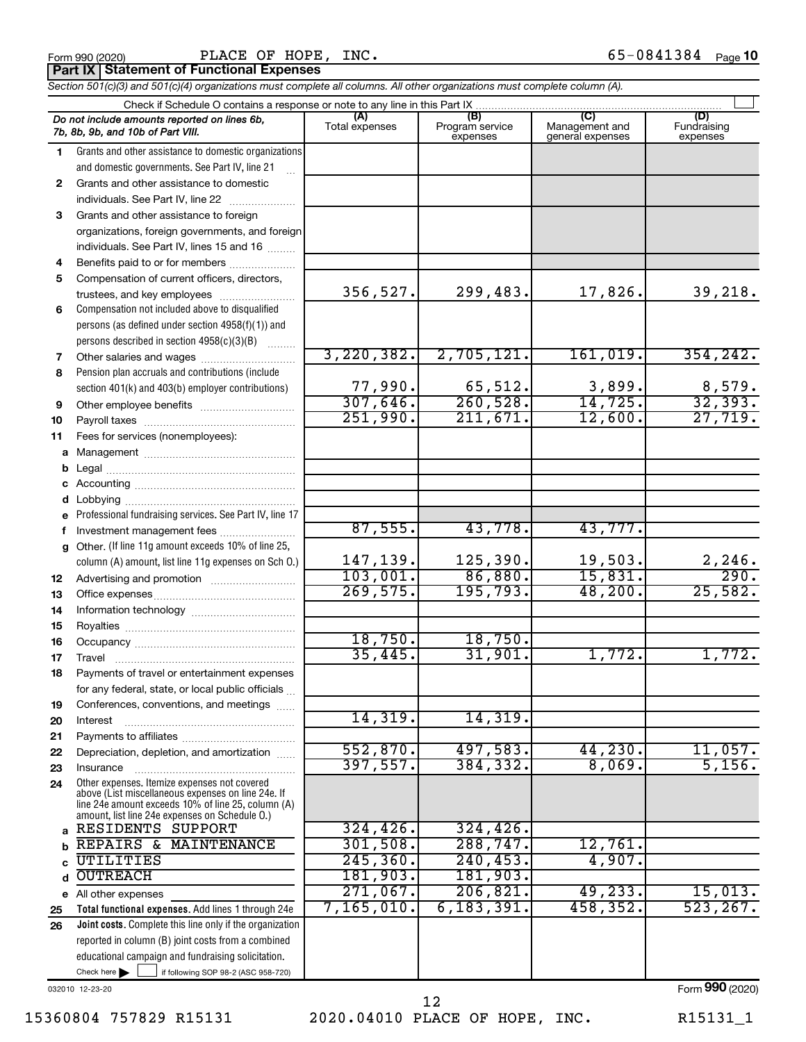Form 990 (2020) PLACE OF HOPE, INC**.** 65−0841384 <sub>Page</sub> 10 **Part IX Statement of Functional Expenses** PLACE OF HOPE, INC.

|    | Section 501(c)(3) and 501(c)(4) organizations must complete all columns. All other organizations must complete column (A).                                                                                 |                |                             |                                    |                         |
|----|------------------------------------------------------------------------------------------------------------------------------------------------------------------------------------------------------------|----------------|-----------------------------|------------------------------------|-------------------------|
|    | Check if Schedule O contains a response or note to any line in this Part IX                                                                                                                                | (A)            | (B)                         | (C)                                | (D)                     |
|    | Do not include amounts reported on lines 6b,<br>7b, 8b, 9b, and 10b of Part VIII.                                                                                                                          | Total expenses | Program service<br>expenses | Management and<br>general expenses | Fundraising<br>expenses |
| 1  | Grants and other assistance to domestic organizations                                                                                                                                                      |                |                             |                                    |                         |
|    | and domestic governments. See Part IV, line 21                                                                                                                                                             |                |                             |                                    |                         |
| 2  | Grants and other assistance to domestic                                                                                                                                                                    |                |                             |                                    |                         |
|    | individuals. See Part IV, line 22                                                                                                                                                                          |                |                             |                                    |                         |
| 3  | Grants and other assistance to foreign                                                                                                                                                                     |                |                             |                                    |                         |
|    | organizations, foreign governments, and foreign                                                                                                                                                            |                |                             |                                    |                         |
|    | individuals. See Part IV, lines 15 and 16                                                                                                                                                                  |                |                             |                                    |                         |
| 4  | Benefits paid to or for members                                                                                                                                                                            |                |                             |                                    |                         |
| 5  | Compensation of current officers, directors,                                                                                                                                                               |                |                             |                                    |                         |
|    | trustees, and key employees                                                                                                                                                                                | 356,527.       | 299,483.                    | 17,826.                            | 39,218.                 |
| 6  | Compensation not included above to disqualified                                                                                                                                                            |                |                             |                                    |                         |
|    | persons (as defined under section 4958(f)(1)) and                                                                                                                                                          |                |                             |                                    |                         |
|    | persons described in section 4958(c)(3)(B)                                                                                                                                                                 |                |                             |                                    |                         |
| 7  |                                                                                                                                                                                                            | 3,220,382.     | 2,705,121.                  | 161,019.                           | 354, 242.               |
| 8  | Pension plan accruals and contributions (include                                                                                                                                                           |                |                             |                                    |                         |
|    | section 401(k) and 403(b) employer contributions)                                                                                                                                                          | 77,990.        | 65,512.                     | 3,899.                             | $\frac{8,579}{32,393}$  |
| 9  |                                                                                                                                                                                                            | 307,646.       | 260,528.                    | 14,725.                            |                         |
| 10 |                                                                                                                                                                                                            | 251,990.       | 211,671.                    | 12,600.                            | 27,719.                 |
| 11 | Fees for services (nonemployees):                                                                                                                                                                          |                |                             |                                    |                         |
|    |                                                                                                                                                                                                            |                |                             |                                    |                         |
| b  |                                                                                                                                                                                                            |                |                             |                                    |                         |
|    |                                                                                                                                                                                                            |                |                             |                                    |                         |
| d  |                                                                                                                                                                                                            |                |                             |                                    |                         |
|    | e Professional fundraising services. See Part IV, line 17                                                                                                                                                  |                |                             |                                    |                         |
| f  | Investment management fees                                                                                                                                                                                 | 87,555.        | 43,778.                     | 43,777.                            |                         |
| g  | Other. (If line 11g amount exceeds 10% of line 25,                                                                                                                                                         |                |                             |                                    |                         |
|    | column (A) amount, list line 11g expenses on Sch O.)                                                                                                                                                       | 147,139.       | 125,390.                    | 19,503.                            | $\frac{2,246}{290}$     |
| 12 |                                                                                                                                                                                                            | 103,001.       | 86,880.                     | 15,831.                            |                         |
| 13 |                                                                                                                                                                                                            | 269,575.       | 195,793.                    | 48,200.                            | 25,582.                 |
| 14 |                                                                                                                                                                                                            |                |                             |                                    |                         |
| 15 |                                                                                                                                                                                                            |                |                             |                                    |                         |
| 16 |                                                                                                                                                                                                            | 18,750.        | 18,750.                     |                                    |                         |
| 17 |                                                                                                                                                                                                            | 35,445.        | 31,901.                     | 1,772.                             | 1,772.                  |
|    | Payments of travel or entertainment expenses                                                                                                                                                               |                |                             |                                    |                         |
|    | for any federal, state, or local public officials                                                                                                                                                          |                |                             |                                    |                         |
| 19 | Conferences, conventions, and meetings                                                                                                                                                                     |                |                             |                                    |                         |
| 20 | Interest                                                                                                                                                                                                   | 14,319.        | 14,319.                     |                                    |                         |
| 21 |                                                                                                                                                                                                            |                |                             |                                    |                         |
| 22 | Depreciation, depletion, and amortization                                                                                                                                                                  | 552,870.       | 497,583.                    | 44,230.                            | 11,057.                 |
| 23 | Insurance                                                                                                                                                                                                  | 397,557.       | 384,332.                    | 8,069.                             | 5,156.                  |
| 24 | Other expenses. Itemize expenses not covered<br>above (List miscellaneous expenses on line 24e. If<br>line 24e amount exceeds 10% of line 25, column (A)<br>amount, list line 24e expenses on Schedule O.) |                |                             |                                    |                         |
|    | a RESIDENTS SUPPORT                                                                                                                                                                                        | 324, 426.      | 324, 426.                   |                                    |                         |
| b  | REPAIRS & MAINTENANCE                                                                                                                                                                                      | 301,508.       | 288, 747.                   | 12,761.                            |                         |
| C  | UTILITIES                                                                                                                                                                                                  | 245, 360.      | 240, 453.                   | 4,907.                             |                         |
| d  | <b>OUTREACH</b>                                                                                                                                                                                            | 181,903.       | 181,903.                    |                                    |                         |
|    | e All other expenses                                                                                                                                                                                       | 271,067.       | 206, 821.                   | 49, 233.                           | 15,013.                 |
| 25 | Total functional expenses. Add lines 1 through 24e                                                                                                                                                         | 7,165,010.     | 6, 183, 391.                | 458, 352.                          | 523, 267.               |
| 26 | <b>Joint costs.</b> Complete this line only if the organization                                                                                                                                            |                |                             |                                    |                         |
|    | reported in column (B) joint costs from a combined                                                                                                                                                         |                |                             |                                    |                         |

032010 12-23-20

Check here |

Check here  $\begin{array}{c} \begin{array}{|c} \hline \end{array} \end{array}$  if following SOP 98-2 (ASC 958-720)

educational campaign and fundraising solicitation.

15360804 757829 R15131 2020.04010 PLACE OF HOPE, INC. R15131\_1

12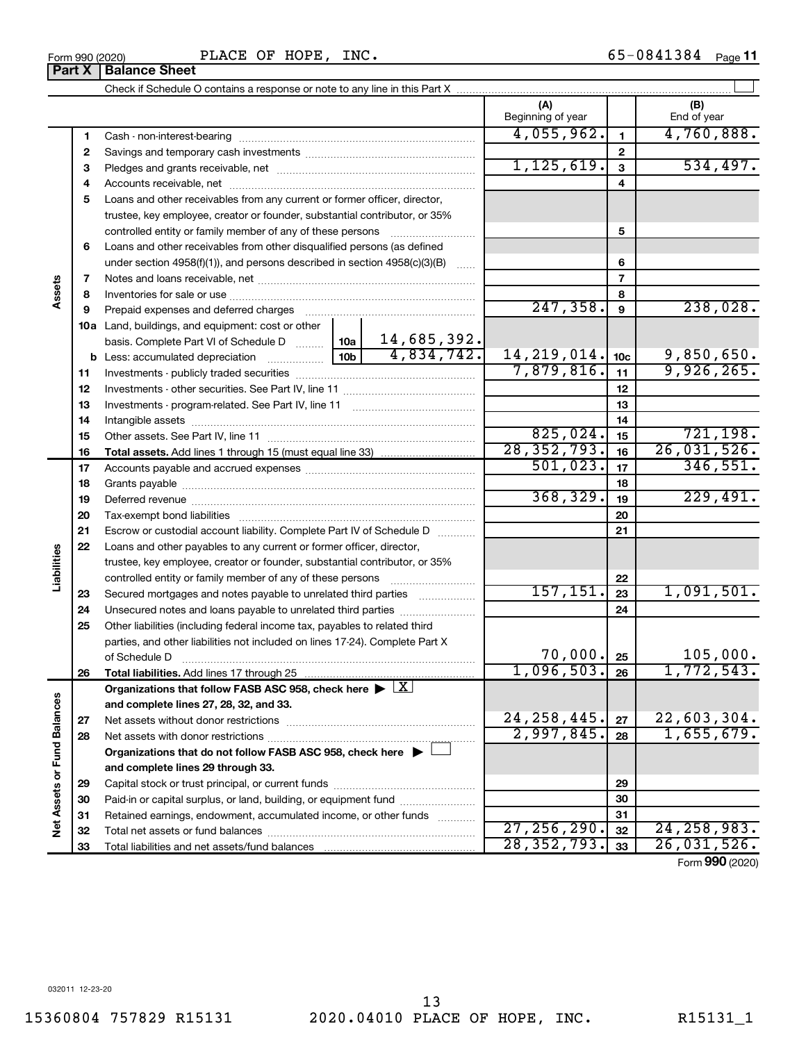**32 33**

#### **6 7 8 9 10 a** Land, buildings, and equipment: cost or other **11 12** Investments - other securities. See Part IV, line 11 ~~~~~~~~~~~~~~ **13** Investments - program-related. See Part IV, line 11 ~~~~~~~~~~~~~ **14** Intangible assets ~~~~~~~~~~~~~~~~~~~~~~~~~~~~~~ **15 16 17 18 19 20 21 22 23 24 25 5 6 7 8 9 10c 11 12 13 14 15 16 17 18 19 20 21 22 23 24 25 b** Less: accumulated depreciation  $\ldots$  [10b basis. Complete Part VI of Schedule D  $\frac{1}{10}$  10a **Total assets.**  Add lines 1 through 15 (must equal line 33) controlled entity or family member of any of these persons ~~~~~~~~~ Loans and other receivables from other disqualified persons (as defined under section  $4958(f)(1)$ , and persons described in section  $4958(c)(3)(B)$ Notes and loans receivable, net ~~~~~~~~~~~~~~~~~~~~~~~ Inventories for sale or use ~~~~~~~~~~~~~~~~~~~~~~~~~~ Prepaid expenses and deferred charges ~~~~~~~~~~~~~~~~~~ Investments - publicly traded securities ~~~~~~~~~~~~~~~~~~~ Other assets. See Part IV, line 11 ~~~~~~~~~~~~~~~~~~~~~~ Accounts payable and accrued expenses ~~~~~~~~~~~~~~~~~~ Grants payable ~~~~~~~~~~~~~~~~~~~~~~~~~~~~~~~ Deferred revenue ~~~~~~~~~~~~~~~~~~~~~~~~~~~~~~ Tax-exempt bond liabilities ~~~~~~~~~~~~~~~~~~~~~~~~~ Escrow or custodial account liability. Complete Part IV of Schedule D ........... Loans and other payables to any current or former officer, director, trustee, key employee, creator or founder, substantial contributor, or 35% controlled entity or family member of any of these persons ~~~~~~~~~ Secured mortgages and notes payable to unrelated third parties Unsecured notes and loans payable to unrelated third parties Other liabilities (including federal income tax, payables to related third parties, and other liabilities not included on lines 17-24). Complete Part X of Schedule D ~~~~~~~~~~~~~~~~~~~~~~~~~~~~~~~  $247,358.$  9  $238,028.$ 14,685,392. 4,834,742. 14,219,014. 9,850,650. 7,879,816. <sub>11</sub> 9,926,265.  $825,024.$  15 721,198. 28,352,793. 26,031,526.  $501,023.$   $17$  346,551.  $368,329.$  19 229,491.  $157, 151. |23 | 1,091,501.$  $70,000$ .  $25$  | 105,000.

**Liabilities 26**  $1,096,503.$  26 1,772,543. **26 Total liabilities.**  Add lines 17 through 25 Organizations that follow FASB ASC 958, check here  $\blacktriangleright \boxed{\text{X}}$ Net Assets or Fund Balances **Net Assets or Fund Balances and complete lines 27, 28, 32, and 33.**  $24,258,445.$   $27 \mid 22,603,304.$ **27 27** Net assets without donor restrictions ~~~~~~~~~~~~~~~~~~~~ 2,997,845. 1,655,679. **28 28** Net assets with donor restrictions ~~~~~~~~~~~~~~~~~~~~~~ **Organizations that do not follow FASB ASC 958, check here** | † **and complete lines 29 through 33. 29 29** Capital stock or trust principal, or current funds ~~~~~~~~~~~~~~~ **30 30** Paid-in or capital surplus, or land, building, or equipment fund ....................... **31 31** Retained earnings, endowment, accumulated income, or other funds ............ Total net assets or fund balances ~~~~~~~~~~~~~~~~~~~~~~ 27,256,290**.** 32 24,258,983.

**3** Pledges and grants receivable, net ~~~~~~~~~~~~~~~~~~~~~ **4** Accounts receivable, net ~~~~~~~~~~~~~~~~~~~~~~~~~~ **5** Loans and other receivables from any current or former officer, director,

trustee, key employee, creator or founder, substantial contributor, or 35%

Cash - non-interest-bearing ~~~~~~~~~~~~~~~~~~~~~~~~~ Savings and temporary cash investments ~~~~~~~~~~~~~~~~~~

Form 990 (2020) **PLACE OF HOPE, INC.**  $65-0841384$  Page 65-0841384 Page 11

 $\perp$ 

**(A) (B)**

Beginning of year | | End of year

 $4,055,962.$   $1$   $4,760,888.$ 

 $1, 125, 619. | 3 | 534, 497.$ 

Form (2020) **990**

**32 33**

28,352,793. 26,031,526.

Total liabilities and net assets/fund balances

## Check if Schedule O contains a response or note to any line in this Part X **Part X** | **Balance Sheet**

**1 2**

**Assets**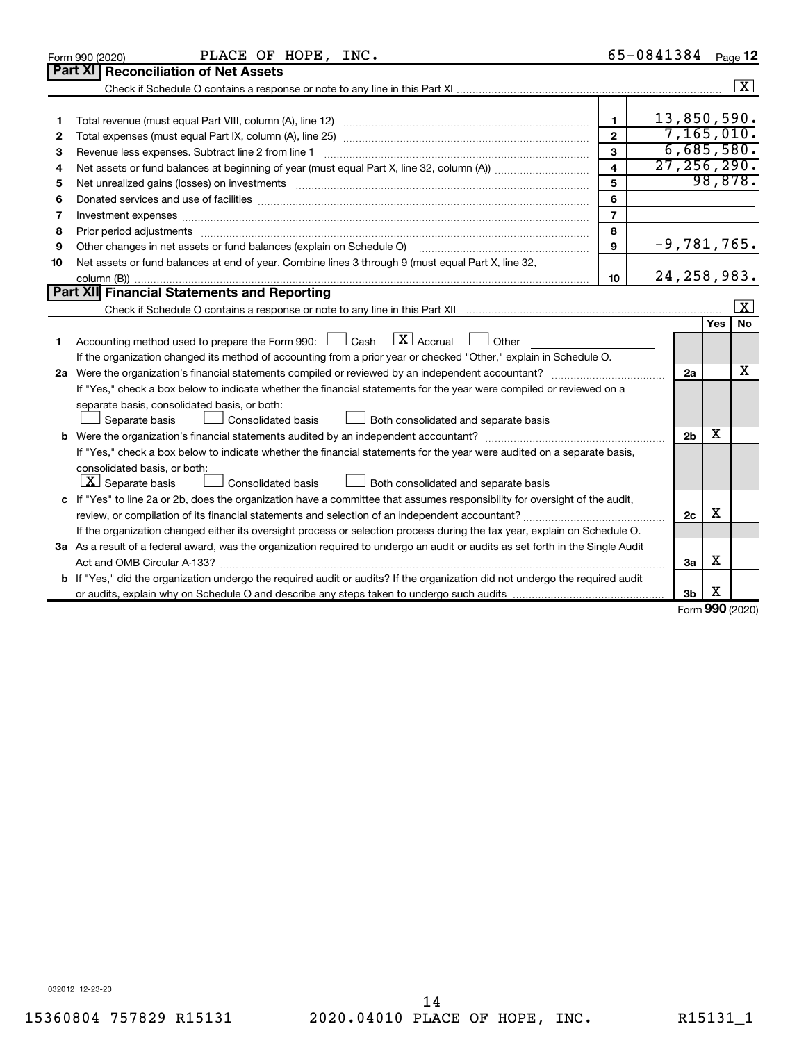|    | PLACE OF HOPE, INC.<br>Form 990 (2020)                                                                                                                                                                                         |                         | 65-0841384     |     | Page 12              |
|----|--------------------------------------------------------------------------------------------------------------------------------------------------------------------------------------------------------------------------------|-------------------------|----------------|-----|----------------------|
|    | <b>Part XI</b><br><b>Reconciliation of Net Assets</b>                                                                                                                                                                          |                         |                |     |                      |
|    |                                                                                                                                                                                                                                |                         |                |     | $\boxed{\mathbf{X}}$ |
|    |                                                                                                                                                                                                                                |                         |                |     |                      |
| 1  |                                                                                                                                                                                                                                | $\mathbf{1}$            | 13,850,590.    |     |                      |
| 2  |                                                                                                                                                                                                                                | $\mathbf{2}$            | 7,165,010.     |     |                      |
| з  | Revenue less expenses. Subtract line 2 from line 1                                                                                                                                                                             | $\mathbf{a}$            | 6,685,580.     |     |                      |
| 4  |                                                                                                                                                                                                                                | $\overline{\mathbf{4}}$ | 27, 256, 290.  |     |                      |
| 5  | Net unrealized gains (losses) on investments [11] matter in the contract of the contract of the contract of the contract of the contract of the contract of the contract of the contract of the contract of the contract of th | 5                       |                |     | 98,878.              |
| 6  |                                                                                                                                                                                                                                | 6                       |                |     |                      |
| 7  | Investment expenses www.communication.com/www.communication.com/www.communication.com/www.com                                                                                                                                  | $\overline{7}$          |                |     |                      |
| 8  |                                                                                                                                                                                                                                | 8                       |                |     |                      |
| 9  | Other changes in net assets or fund balances (explain on Schedule O)                                                                                                                                                           | $\mathbf{9}$            | $-9,781,765.$  |     |                      |
| 10 | Net assets or fund balances at end of year. Combine lines 3 through 9 (must equal Part X, line 32,                                                                                                                             |                         |                |     |                      |
|    |                                                                                                                                                                                                                                | 10                      | 24, 258, 983.  |     |                      |
|    | Part XII Financial Statements and Reporting                                                                                                                                                                                    |                         |                |     |                      |
|    |                                                                                                                                                                                                                                |                         |                |     | $\mathbf{X}$         |
|    |                                                                                                                                                                                                                                |                         |                | Yes | No                   |
| 1  | $\lfloor x \rfloor$ Accrual<br>Accounting method used to prepare the Form 990: [130] Cash<br>Other<br>$\Box$                                                                                                                   |                         |                |     |                      |
|    | If the organization changed its method of accounting from a prior year or checked "Other," explain in Schedule O.                                                                                                              |                         |                |     |                      |
|    |                                                                                                                                                                                                                                |                         | 2a             |     | x                    |
|    | If "Yes," check a box below to indicate whether the financial statements for the year were compiled or reviewed on a                                                                                                           |                         |                |     |                      |
|    | separate basis, consolidated basis, or both:                                                                                                                                                                                   |                         |                |     |                      |
|    | Both consolidated and separate basis<br>Separate basis<br><b>Consolidated basis</b>                                                                                                                                            |                         |                |     |                      |
|    |                                                                                                                                                                                                                                |                         | 2 <sub>b</sub> | х   |                      |
|    | If "Yes," check a box below to indicate whether the financial statements for the year were audited on a separate basis,                                                                                                        |                         |                |     |                      |
|    | consolidated basis, or both:                                                                                                                                                                                                   |                         |                |     |                      |
|    | $ \mathbf{X} $ Separate basis<br>Consolidated basis<br>Both consolidated and separate basis                                                                                                                                    |                         |                |     |                      |
|    | c If "Yes" to line 2a or 2b, does the organization have a committee that assumes responsibility for oversight of the audit,                                                                                                    |                         |                |     |                      |
|    |                                                                                                                                                                                                                                |                         | 2c             | X   |                      |
|    | If the organization changed either its oversight process or selection process during the tax year, explain on Schedule O.                                                                                                      |                         |                |     |                      |
|    | 3a As a result of a federal award, was the organization required to undergo an audit or audits as set forth in the Single Audit                                                                                                |                         |                |     |                      |
|    | Act and OMB Circular A-133?                                                                                                                                                                                                    |                         | 3a             | х   |                      |
|    | <b>b</b> If "Yes," did the organization undergo the required audit or audits? If the organization did not undergo the required audit                                                                                           |                         |                |     |                      |
|    |                                                                                                                                                                                                                                |                         | 3b             | х   |                      |
|    |                                                                                                                                                                                                                                |                         |                |     | $000 \text{ hours}$  |

Form (2020) **990**

032012 12-23-20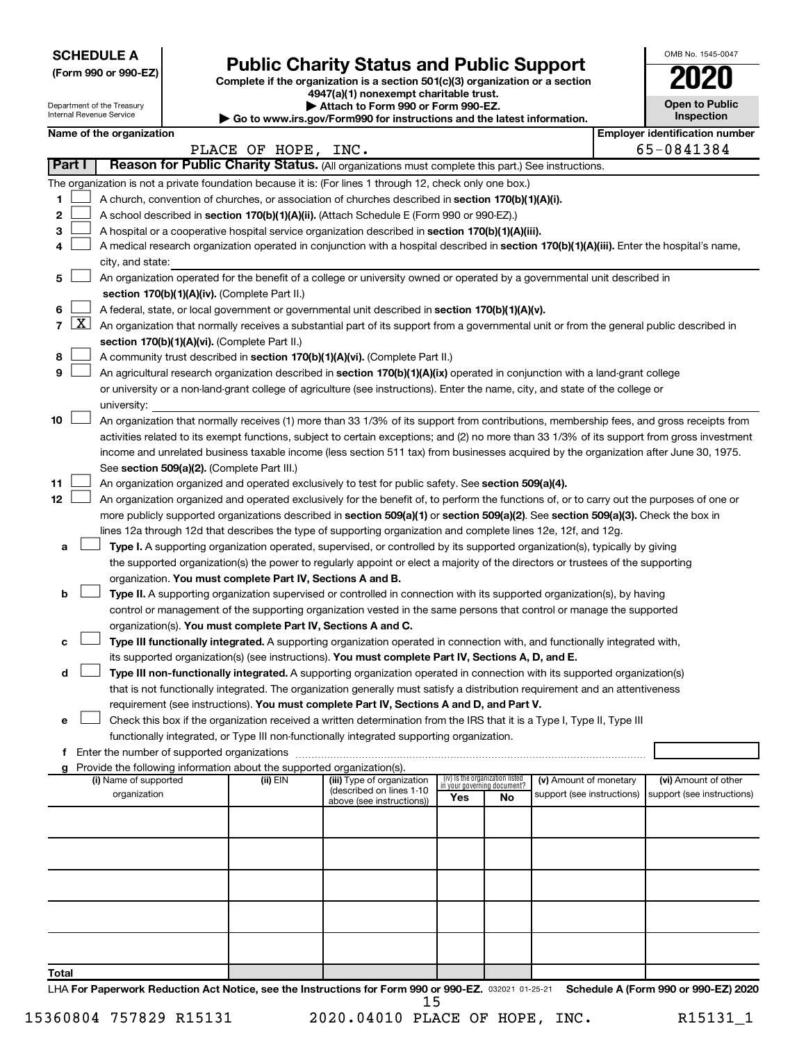**SCHEDULE A**

# Form 990 or 990-EZ) **Public Charity Status and Public Support**<br>
Complete if the organization is a section 501(c)(3) organization or a section<br> **2020**

**4947(a)(1) nonexempt charitable trust. | Attach to Form 990 or Form 990-EZ.** 

| <b>Open to Public</b><br>Inspection |
|-------------------------------------|
| r identification numb<br>Ć          |

OMB No. 1545-0047

| Department of the Treasury<br>Internal Revenue Service |                 |                          |  | Attach to Form 990 or Form 990-EZ.<br>Go to www.irs.gov/Form990 for instructions and the latest information. | <b>Open to Public</b><br>Inspection                                                                                                          |     |                                                                |                            |  |                                       |  |
|--------------------------------------------------------|-----------------|--------------------------|--|--------------------------------------------------------------------------------------------------------------|----------------------------------------------------------------------------------------------------------------------------------------------|-----|----------------------------------------------------------------|----------------------------|--|---------------------------------------|--|
|                                                        |                 | Name of the organization |  |                                                                                                              |                                                                                                                                              |     |                                                                |                            |  | <b>Employer identification number</b> |  |
|                                                        |                 |                          |  | PLACE OF HOPE, INC.                                                                                          |                                                                                                                                              |     |                                                                |                            |  | 65-0841384                            |  |
| Part I                                                 |                 |                          |  |                                                                                                              | Reason for Public Charity Status. (All organizations must complete this part.) See instructions.                                             |     |                                                                |                            |  |                                       |  |
|                                                        |                 |                          |  |                                                                                                              | The organization is not a private foundation because it is: (For lines 1 through 12, check only one box.)                                    |     |                                                                |                            |  |                                       |  |
| 1                                                      |                 |                          |  |                                                                                                              | A church, convention of churches, or association of churches described in section 170(b)(1)(A)(i).                                           |     |                                                                |                            |  |                                       |  |
| 2                                                      |                 |                          |  |                                                                                                              | A school described in section 170(b)(1)(A)(ii). (Attach Schedule E (Form 990 or 990-EZ).)                                                    |     |                                                                |                            |  |                                       |  |
| з                                                      |                 |                          |  |                                                                                                              | A hospital or a cooperative hospital service organization described in section 170(b)(1)(A)(iii).                                            |     |                                                                |                            |  |                                       |  |
| 4                                                      |                 |                          |  |                                                                                                              | A medical research organization operated in conjunction with a hospital described in section 170(b)(1)(A)(iii). Enter the hospital's name,   |     |                                                                |                            |  |                                       |  |
|                                                        |                 | city, and state:         |  |                                                                                                              |                                                                                                                                              |     |                                                                |                            |  |                                       |  |
| 5                                                      |                 |                          |  |                                                                                                              | An organization operated for the benefit of a college or university owned or operated by a governmental unit described in                    |     |                                                                |                            |  |                                       |  |
|                                                        |                 |                          |  | section 170(b)(1)(A)(iv). (Complete Part II.)                                                                |                                                                                                                                              |     |                                                                |                            |  |                                       |  |
| 6                                                      |                 |                          |  |                                                                                                              | A federal, state, or local government or governmental unit described in section 170(b)(1)(A)(v).                                             |     |                                                                |                            |  |                                       |  |
|                                                        | $7 \mid X \mid$ |                          |  |                                                                                                              | An organization that normally receives a substantial part of its support from a governmental unit or from the general public described in    |     |                                                                |                            |  |                                       |  |
|                                                        |                 |                          |  | section 170(b)(1)(A)(vi). (Complete Part II.)                                                                |                                                                                                                                              |     |                                                                |                            |  |                                       |  |
| 8                                                      |                 |                          |  |                                                                                                              | A community trust described in section 170(b)(1)(A)(vi). (Complete Part II.)                                                                 |     |                                                                |                            |  |                                       |  |
| 9                                                      |                 |                          |  |                                                                                                              | An agricultural research organization described in section 170(b)(1)(A)(ix) operated in conjunction with a land-grant college                |     |                                                                |                            |  |                                       |  |
|                                                        |                 |                          |  |                                                                                                              | or university or a non-land-grant college of agriculture (see instructions). Enter the name, city, and state of the college or               |     |                                                                |                            |  |                                       |  |
|                                                        |                 | university:              |  |                                                                                                              |                                                                                                                                              |     |                                                                |                            |  |                                       |  |
| 10                                                     |                 |                          |  |                                                                                                              | An organization that normally receives (1) more than 33 1/3% of its support from contributions, membership fees, and gross receipts from     |     |                                                                |                            |  |                                       |  |
|                                                        |                 |                          |  |                                                                                                              | activities related to its exempt functions, subject to certain exceptions; and (2) no more than 33 1/3% of its support from gross investment |     |                                                                |                            |  |                                       |  |
|                                                        |                 |                          |  |                                                                                                              | income and unrelated business taxable income (less section 511 tax) from businesses acquired by the organization after June 30, 1975.        |     |                                                                |                            |  |                                       |  |
|                                                        |                 |                          |  | See section 509(a)(2). (Complete Part III.)                                                                  |                                                                                                                                              |     |                                                                |                            |  |                                       |  |
| 11                                                     |                 |                          |  |                                                                                                              | An organization organized and operated exclusively to test for public safety. See section 509(a)(4).                                         |     |                                                                |                            |  |                                       |  |
| 12                                                     |                 |                          |  |                                                                                                              | An organization organized and operated exclusively for the benefit of, to perform the functions of, or to carry out the purposes of one or   |     |                                                                |                            |  |                                       |  |
|                                                        |                 |                          |  |                                                                                                              | more publicly supported organizations described in section 509(a)(1) or section 509(a)(2). See section 509(a)(3). Check the box in           |     |                                                                |                            |  |                                       |  |
|                                                        |                 |                          |  |                                                                                                              | lines 12a through 12d that describes the type of supporting organization and complete lines 12e, 12f, and 12g.                               |     |                                                                |                            |  |                                       |  |
| а                                                      |                 |                          |  |                                                                                                              | Type I. A supporting organization operated, supervised, or controlled by its supported organization(s), typically by giving                  |     |                                                                |                            |  |                                       |  |
|                                                        |                 |                          |  |                                                                                                              | the supported organization(s) the power to regularly appoint or elect a majority of the directors or trustees of the supporting              |     |                                                                |                            |  |                                       |  |
|                                                        |                 |                          |  | organization. You must complete Part IV, Sections A and B.                                                   |                                                                                                                                              |     |                                                                |                            |  |                                       |  |
| b                                                      |                 |                          |  |                                                                                                              | Type II. A supporting organization supervised or controlled in connection with its supported organization(s), by having                      |     |                                                                |                            |  |                                       |  |
|                                                        |                 |                          |  |                                                                                                              | control or management of the supporting organization vested in the same persons that control or manage the supported                         |     |                                                                |                            |  |                                       |  |
|                                                        |                 |                          |  | organization(s). You must complete Part IV, Sections A and C.                                                |                                                                                                                                              |     |                                                                |                            |  |                                       |  |
| с                                                      |                 |                          |  |                                                                                                              | Type III functionally integrated. A supporting organization operated in connection with, and functionally integrated with,                   |     |                                                                |                            |  |                                       |  |
|                                                        |                 |                          |  |                                                                                                              | its supported organization(s) (see instructions). You must complete Part IV, Sections A, D, and E.                                           |     |                                                                |                            |  |                                       |  |
| d                                                      |                 |                          |  |                                                                                                              | Type III non-functionally integrated. A supporting organization operated in connection with its supported organization(s)                    |     |                                                                |                            |  |                                       |  |
|                                                        |                 |                          |  |                                                                                                              | that is not functionally integrated. The organization generally must satisfy a distribution requirement and an attentiveness                 |     |                                                                |                            |  |                                       |  |
|                                                        |                 |                          |  |                                                                                                              | requirement (see instructions). You must complete Part IV, Sections A and D, and Part V.                                                     |     |                                                                |                            |  |                                       |  |
| е                                                      |                 |                          |  |                                                                                                              | Check this box if the organization received a written determination from the IRS that it is a Type I, Type II, Type III                      |     |                                                                |                            |  |                                       |  |
|                                                        |                 |                          |  |                                                                                                              | functionally integrated, or Type III non-functionally integrated supporting organization.                                                    |     |                                                                |                            |  |                                       |  |
|                                                        |                 |                          |  | f Enter the number of supported organizations                                                                |                                                                                                                                              |     |                                                                |                            |  |                                       |  |
| g                                                      |                 |                          |  | Provide the following information about the supported organization(s).                                       |                                                                                                                                              |     |                                                                |                            |  |                                       |  |
|                                                        |                 | (i) Name of supported    |  | (ii) EIN                                                                                                     | (iii) Type of organization                                                                                                                   |     | (iv) Is the organization listed<br>in your governing document? | (v) Amount of monetary     |  | (vi) Amount of other                  |  |
|                                                        |                 | organization             |  |                                                                                                              | (described on lines 1-10<br>above (see instructions))                                                                                        | Yes | No                                                             | support (see instructions) |  | support (see instructions)            |  |
|                                                        |                 |                          |  |                                                                                                              |                                                                                                                                              |     |                                                                |                            |  |                                       |  |
|                                                        |                 |                          |  |                                                                                                              |                                                                                                                                              |     |                                                                |                            |  |                                       |  |
|                                                        |                 |                          |  |                                                                                                              |                                                                                                                                              |     |                                                                |                            |  |                                       |  |
|                                                        |                 |                          |  |                                                                                                              |                                                                                                                                              |     |                                                                |                            |  |                                       |  |
|                                                        |                 |                          |  |                                                                                                              |                                                                                                                                              |     |                                                                |                            |  |                                       |  |
|                                                        |                 |                          |  |                                                                                                              |                                                                                                                                              |     |                                                                |                            |  |                                       |  |
|                                                        |                 |                          |  |                                                                                                              |                                                                                                                                              |     |                                                                |                            |  |                                       |  |
|                                                        |                 |                          |  |                                                                                                              |                                                                                                                                              |     |                                                                |                            |  |                                       |  |
|                                                        |                 |                          |  |                                                                                                              |                                                                                                                                              |     |                                                                |                            |  |                                       |  |
|                                                        |                 |                          |  |                                                                                                              |                                                                                                                                              |     |                                                                |                            |  |                                       |  |
| Total                                                  |                 |                          |  |                                                                                                              |                                                                                                                                              |     |                                                                |                            |  |                                       |  |

LHA For Paperwork Reduction Act Notice, see the Instructions for Form 990 or 990-EZ. 032021 01-25-21 Schedule A (Form 990 or 990-EZ) 2020 15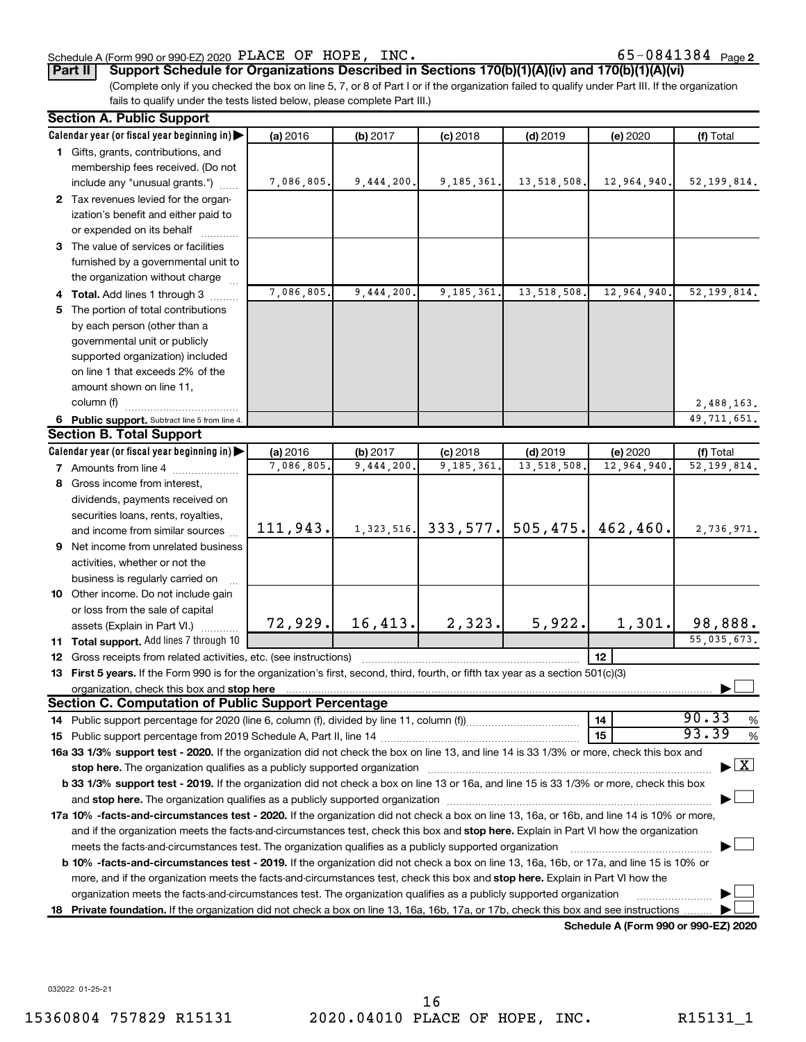## Schedule A (Form 990 or 990-EZ) 2020 Page PLACE OF HOPE, INC. 65-0841384

65-0841384 Page 2

**Part II Support Schedule for Organizations Described in Sections 170(b)(1)(A)(iv) and 170(b)(1)(A)(vi)**

(Complete only if you checked the box on line 5, 7, or 8 of Part I or if the organization failed to qualify under Part III. If the organization fails to qualify under the tests listed below, please complete Part III.)

| <b>Section A. Public Support</b>                                                                                                                                                                                              |            |            |            |             |                                      |                                          |  |  |  |
|-------------------------------------------------------------------------------------------------------------------------------------------------------------------------------------------------------------------------------|------------|------------|------------|-------------|--------------------------------------|------------------------------------------|--|--|--|
| Calendar year (or fiscal year beginning in)                                                                                                                                                                                   | (a) 2016   | (b) 2017   | $(c)$ 2018 | $(d)$ 2019  | (e) 2020                             | (f) Total                                |  |  |  |
| 1 Gifts, grants, contributions, and                                                                                                                                                                                           |            |            |            |             |                                      |                                          |  |  |  |
| membership fees received. (Do not                                                                                                                                                                                             |            |            |            |             |                                      |                                          |  |  |  |
| include any "unusual grants.")                                                                                                                                                                                                | 7,086,805. | 9,444,200. | 9,185,361. | 13,518,508. | 12,964,940.                          | 52, 199, 814.                            |  |  |  |
| 2 Tax revenues levied for the organ-                                                                                                                                                                                          |            |            |            |             |                                      |                                          |  |  |  |
| ization's benefit and either paid to                                                                                                                                                                                          |            |            |            |             |                                      |                                          |  |  |  |
| or expended on its behalf                                                                                                                                                                                                     |            |            |            |             |                                      |                                          |  |  |  |
| 3 The value of services or facilities                                                                                                                                                                                         |            |            |            |             |                                      |                                          |  |  |  |
| furnished by a governmental unit to                                                                                                                                                                                           |            |            |            |             |                                      |                                          |  |  |  |
| the organization without charge                                                                                                                                                                                               |            |            |            |             |                                      |                                          |  |  |  |
| 4 Total. Add lines 1 through 3                                                                                                                                                                                                | 7,086,805. | 9,444,200  | 9,185,361  | 13,518,508  | 12,964,940.                          | 52, 199, 814.                            |  |  |  |
| 5 The portion of total contributions                                                                                                                                                                                          |            |            |            |             |                                      |                                          |  |  |  |
| by each person (other than a                                                                                                                                                                                                  |            |            |            |             |                                      |                                          |  |  |  |
| governmental unit or publicly                                                                                                                                                                                                 |            |            |            |             |                                      |                                          |  |  |  |
| supported organization) included                                                                                                                                                                                              |            |            |            |             |                                      |                                          |  |  |  |
| on line 1 that exceeds 2% of the                                                                                                                                                                                              |            |            |            |             |                                      |                                          |  |  |  |
| amount shown on line 11,                                                                                                                                                                                                      |            |            |            |             |                                      |                                          |  |  |  |
| column (f)                                                                                                                                                                                                                    |            |            |            |             |                                      | 2,488,163.                               |  |  |  |
| 6 Public support. Subtract line 5 from line 4.                                                                                                                                                                                |            |            |            |             |                                      | 49, 711, 651.                            |  |  |  |
| <b>Section B. Total Support</b>                                                                                                                                                                                               |            |            |            |             |                                      |                                          |  |  |  |
| Calendar year (or fiscal year beginning in)                                                                                                                                                                                   | (a) 2016   | (b) 2017   | $(c)$ 2018 | $(d)$ 2019  | (e) 2020                             | (f) Total                                |  |  |  |
| 7 Amounts from line 4                                                                                                                                                                                                         | 7,086,805. | 9,444,200  | 9,185,361  | 13,518,508  | 12,964,940                           | 52, 199, 814.                            |  |  |  |
| 8 Gross income from interest,                                                                                                                                                                                                 |            |            |            |             |                                      |                                          |  |  |  |
| dividends, payments received on                                                                                                                                                                                               |            |            |            |             |                                      |                                          |  |  |  |
| securities loans, rents, royalties,                                                                                                                                                                                           |            |            |            |             |                                      |                                          |  |  |  |
| and income from similar sources                                                                                                                                                                                               | 111,943.   | 1,323,516. | 333,577.   | 505, 475.   | 462, 460.                            | 2,736,971.                               |  |  |  |
| 9 Net income from unrelated business                                                                                                                                                                                          |            |            |            |             |                                      |                                          |  |  |  |
| activities, whether or not the                                                                                                                                                                                                |            |            |            |             |                                      |                                          |  |  |  |
| business is regularly carried on                                                                                                                                                                                              |            |            |            |             |                                      |                                          |  |  |  |
| 10 Other income. Do not include gain                                                                                                                                                                                          |            |            |            |             |                                      |                                          |  |  |  |
| or loss from the sale of capital                                                                                                                                                                                              |            |            |            |             |                                      |                                          |  |  |  |
| assets (Explain in Part VI.)                                                                                                                                                                                                  | 72,929.    | 16, 413.   | 2,323.     | 5,922.      | 1,301.                               | 98,888.                                  |  |  |  |
| 11 Total support. Add lines 7 through 10                                                                                                                                                                                      |            |            |            |             |                                      | 55,035,673.                              |  |  |  |
| <b>12</b> Gross receipts from related activities, etc. (see instructions)                                                                                                                                                     |            |            |            |             | 12                                   |                                          |  |  |  |
| 13 First 5 years. If the Form 990 is for the organization's first, second, third, fourth, or fifth tax year as a section 501(c)(3)                                                                                            |            |            |            |             |                                      |                                          |  |  |  |
|                                                                                                                                                                                                                               |            |            |            |             |                                      |                                          |  |  |  |
| <b>Section C. Computation of Public Support Percentage</b>                                                                                                                                                                    |            |            |            |             |                                      |                                          |  |  |  |
|                                                                                                                                                                                                                               |            |            |            |             | 14                                   | 90.33<br>$\%$                            |  |  |  |
|                                                                                                                                                                                                                               |            |            |            |             | 15                                   | 93.39<br>$\%$                            |  |  |  |
| 16a 33 1/3% support test - 2020. If the organization did not check the box on line 13, and line 14 is 33 1/3% or more, check this box and                                                                                     |            |            |            |             |                                      |                                          |  |  |  |
| stop here. The organization qualifies as a publicly supported organization manufaction manufacture or manufacture manufacture manufacture manufacture manufacture manufacture manufacture manufacture manufacture manufacture |            |            |            |             |                                      | $\blacktriangleright$ $\boxed{\text{X}}$ |  |  |  |
| b 33 1/3% support test - 2019. If the organization did not check a box on line 13 or 16a, and line 15 is 33 1/3% or more, check this box                                                                                      |            |            |            |             |                                      |                                          |  |  |  |
|                                                                                                                                                                                                                               |            |            |            |             |                                      |                                          |  |  |  |
| 17a 10% -facts-and-circumstances test - 2020. If the organization did not check a box on line 13, 16a, or 16b, and line 14 is 10% or more,                                                                                    |            |            |            |             |                                      |                                          |  |  |  |
| and if the organization meets the facts-and-circumstances test, check this box and stop here. Explain in Part VI how the organization                                                                                         |            |            |            |             |                                      |                                          |  |  |  |
| meets the facts-and-circumstances test. The organization qualifies as a publicly supported organization                                                                                                                       |            |            |            |             |                                      |                                          |  |  |  |
| <b>b 10%</b> -facts-and-circumstances test - 2019. If the organization did not check a box on line 13, 16a, 16b, or 17a, and line 15 is 10% or                                                                                |            |            |            |             |                                      |                                          |  |  |  |
| more, and if the organization meets the facts-and-circumstances test, check this box and stop here. Explain in Part VI how the                                                                                                |            |            |            |             |                                      |                                          |  |  |  |
| organization meets the facts-and-circumstances test. The organization qualifies as a publicly supported organization                                                                                                          |            |            |            |             |                                      |                                          |  |  |  |
| 18 Private foundation. If the organization did not check a box on line 13, 16a, 16b, 17a, or 17b, check this box and see instructions                                                                                         |            |            |            |             |                                      |                                          |  |  |  |
|                                                                                                                                                                                                                               |            |            |            |             | Schedule A (Form 990 or 990-F7) 2020 |                                          |  |  |  |

**Schedule A (Form 990 or 990-EZ) 2020**

032022 01-25-21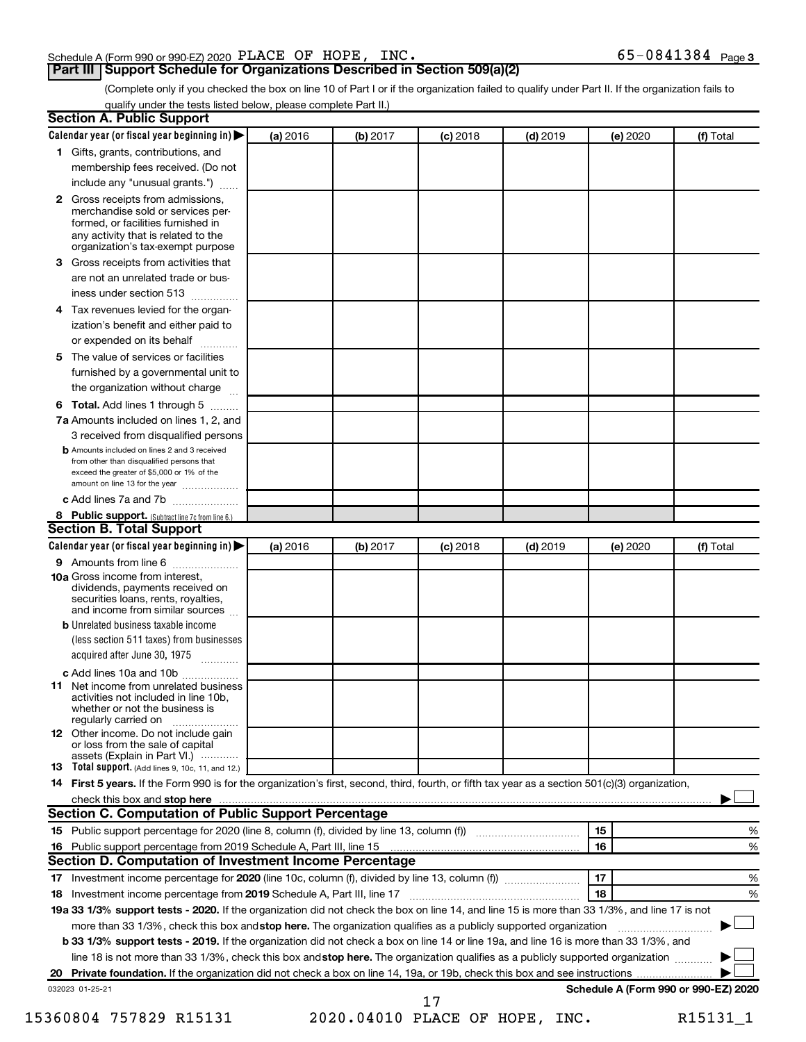## Schedule A (Form 990 or 990-EZ) 2020 Page PLACE OF HOPE, INC. 65-0841384

(Complete only if you checked the box on line 10 of Part I or if the organization failed to qualify under Part II. If the organization fails to qualify under the tests listed below, please complete Part II.)

| <b>Section A. Public Support</b>                                                                                                                                                                |          |          |            |            |          |                                      |
|-------------------------------------------------------------------------------------------------------------------------------------------------------------------------------------------------|----------|----------|------------|------------|----------|--------------------------------------|
| Calendar year (or fiscal year beginning in)                                                                                                                                                     | (a) 2016 | (b) 2017 | $(c)$ 2018 | $(d)$ 2019 | (e) 2020 | (f) Total                            |
| 1 Gifts, grants, contributions, and                                                                                                                                                             |          |          |            |            |          |                                      |
| membership fees received. (Do not                                                                                                                                                               |          |          |            |            |          |                                      |
| include any "unusual grants.")                                                                                                                                                                  |          |          |            |            |          |                                      |
| <b>2</b> Gross receipts from admissions,<br>merchandise sold or services per-<br>formed, or facilities furnished in<br>any activity that is related to the<br>organization's tax-exempt purpose |          |          |            |            |          |                                      |
| 3 Gross receipts from activities that                                                                                                                                                           |          |          |            |            |          |                                      |
| are not an unrelated trade or bus-                                                                                                                                                              |          |          |            |            |          |                                      |
| iness under section 513                                                                                                                                                                         |          |          |            |            |          |                                      |
| 4 Tax revenues levied for the organ-                                                                                                                                                            |          |          |            |            |          |                                      |
| ization's benefit and either paid to<br>or expended on its behalf                                                                                                                               |          |          |            |            |          |                                      |
| 5 The value of services or facilities                                                                                                                                                           |          |          |            |            |          |                                      |
| furnished by a governmental unit to                                                                                                                                                             |          |          |            |            |          |                                      |
| the organization without charge                                                                                                                                                                 |          |          |            |            |          |                                      |
| 6 Total. Add lines 1 through 5                                                                                                                                                                  |          |          |            |            |          |                                      |
| 7a Amounts included on lines 1, 2, and                                                                                                                                                          |          |          |            |            |          |                                      |
| 3 received from disqualified persons                                                                                                                                                            |          |          |            |            |          |                                      |
| <b>b</b> Amounts included on lines 2 and 3 received<br>from other than disqualified persons that<br>exceed the greater of \$5,000 or 1% of the<br>amount on line 13 for the year                |          |          |            |            |          |                                      |
| c Add lines 7a and 7b                                                                                                                                                                           |          |          |            |            |          |                                      |
| 8 Public support. (Subtract line 7c from line 6.)                                                                                                                                               |          |          |            |            |          |                                      |
| <b>Section B. Total Support</b>                                                                                                                                                                 |          |          |            |            |          |                                      |
| Calendar year (or fiscal year beginning in)                                                                                                                                                     | (a) 2016 | (b) 2017 | $(c)$ 2018 | $(d)$ 2019 | (e) 2020 | (f) Total                            |
| 9 Amounts from line 6                                                                                                                                                                           |          |          |            |            |          |                                      |
| <b>10a</b> Gross income from interest,<br>dividends, payments received on<br>securities loans, rents, royalties,<br>and income from similar sources                                             |          |          |            |            |          |                                      |
| <b>b</b> Unrelated business taxable income<br>(less section 511 taxes) from businesses<br>acquired after June 30, 1975                                                                          |          |          |            |            |          |                                      |
| c Add lines 10a and 10b                                                                                                                                                                         |          |          |            |            |          |                                      |
| <b>11</b> Net income from unrelated business<br>activities not included in line 10b.<br>whether or not the business is<br>regularly carried on                                                  |          |          |            |            |          |                                      |
| <b>12</b> Other income. Do not include gain<br>or loss from the sale of capital<br>assets (Explain in Part VI.)                                                                                 |          |          |            |            |          |                                      |
| <b>13</b> Total support. (Add lines 9, 10c, 11, and 12.)                                                                                                                                        |          |          |            |            |          |                                      |
| 14 First 5 years. If the Form 990 is for the organization's first, second, third, fourth, or fifth tax year as a section 501(c)(3) organization,                                                |          |          |            |            |          |                                      |
| check this box and stop here                                                                                                                                                                    |          |          |            |            |          |                                      |
| Section C. Computation of Public Support Percentage                                                                                                                                             |          |          |            |            |          |                                      |
| 15 Public support percentage for 2020 (line 8, column (f), divided by line 13, column (f) <i></i>                                                                                               |          |          |            |            | 15       | ℅                                    |
| 16 Public support percentage from 2019 Schedule A, Part III, line 15                                                                                                                            |          |          |            |            | 16       | %                                    |
| Section D. Computation of Investment Income Percentage                                                                                                                                          |          |          |            |            |          |                                      |
|                                                                                                                                                                                                 |          |          |            |            | 17       | %                                    |
| 18 Investment income percentage from 2019 Schedule A, Part III, line 17                                                                                                                         |          |          |            |            | 18       | %                                    |
| 19a 33 1/3% support tests - 2020. If the organization did not check the box on line 14, and line 15 is more than 33 1/3%, and line 17 is not                                                    |          |          |            |            |          |                                      |
| more than 33 1/3%, check this box and stop here. The organization qualifies as a publicly supported organization                                                                                |          |          |            |            |          |                                      |
| <b>b 33 1/3% support tests - 2019.</b> If the organization did not check a box on line 14 or line 19a, and line 16 is more than 33 1/3%, and                                                    |          |          |            |            |          |                                      |
| line 18 is not more than 33 1/3%, check this box and stop here. The organization qualifies as a publicly supported organization                                                                 |          |          |            |            |          |                                      |
|                                                                                                                                                                                                 |          |          |            |            |          |                                      |
| 032023 01-25-21                                                                                                                                                                                 |          |          |            |            |          | Schedule A (Form 990 or 990-EZ) 2020 |
|                                                                                                                                                                                                 |          |          | 17         |            |          |                                      |

15360804 757829 R15131 2020.04010 PLACE OF HOPE, INC. R15131\_1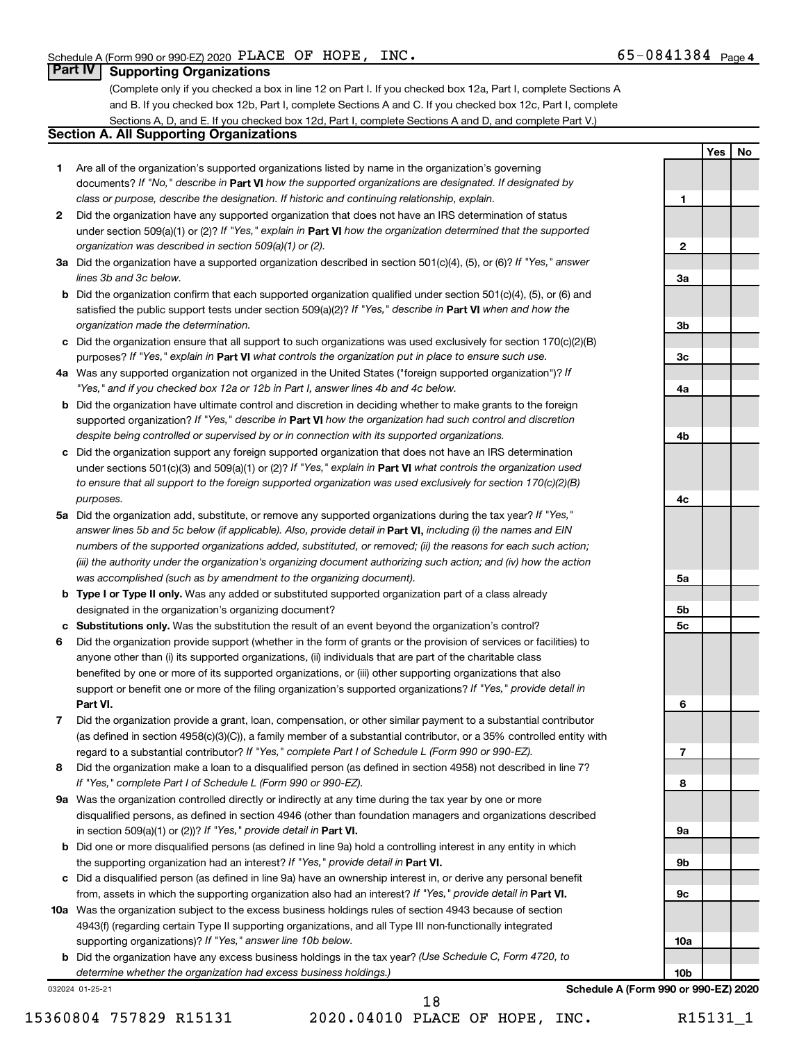**1**

**2**

**3a**

**3b**

**3c**

**4a**

**4b**

**4c**

**5a**

**5b 5c**

**6**

**7**

**8**

**9a**

**9b**

**9c**

**10a**

**Yes No**

## **Part IV Supporting Organizations**

(Complete only if you checked a box in line 12 on Part I. If you checked box 12a, Part I, complete Sections A and B. If you checked box 12b, Part I, complete Sections A and C. If you checked box 12c, Part I, complete Sections A, D, and E. If you checked box 12d, Part I, complete Sections A and D, and complete Part V.)

## **Section A. All Supporting Organizations**

- **1** Are all of the organization's supported organizations listed by name in the organization's governing documents? If "No," describe in Part VI how the supported organizations are designated. If designated by *class or purpose, describe the designation. If historic and continuing relationship, explain.*
- **2** Did the organization have any supported organization that does not have an IRS determination of status under section 509(a)(1) or (2)? If "Yes," explain in Part **VI** how the organization determined that the supported *organization was described in section 509(a)(1) or (2).*
- **3a** Did the organization have a supported organization described in section 501(c)(4), (5), or (6)? If "Yes," answer *lines 3b and 3c below.*
- **b** Did the organization confirm that each supported organization qualified under section 501(c)(4), (5), or (6) and satisfied the public support tests under section 509(a)(2)? If "Yes," describe in Part VI when and how the *organization made the determination.*
- **c** Did the organization ensure that all support to such organizations was used exclusively for section 170(c)(2)(B) purposes? If "Yes," explain in Part VI what controls the organization put in place to ensure such use.
- **4 a** *If* Was any supported organization not organized in the United States ("foreign supported organization")? *"Yes," and if you checked box 12a or 12b in Part I, answer lines 4b and 4c below.*
- **b** Did the organization have ultimate control and discretion in deciding whether to make grants to the foreign supported organization? If "Yes," describe in Part VI how the organization had such control and discretion *despite being controlled or supervised by or in connection with its supported organizations.*
- **c** Did the organization support any foreign supported organization that does not have an IRS determination under sections 501(c)(3) and 509(a)(1) or (2)? If "Yes," explain in Part VI what controls the organization used *to ensure that all support to the foreign supported organization was used exclusively for section 170(c)(2)(B) purposes.*
- **5a** Did the organization add, substitute, or remove any supported organizations during the tax year? If "Yes," answer lines 5b and 5c below (if applicable). Also, provide detail in **Part VI,** including (i) the names and EIN *numbers of the supported organizations added, substituted, or removed; (ii) the reasons for each such action; (iii) the authority under the organization's organizing document authorizing such action; and (iv) how the action was accomplished (such as by amendment to the organizing document).*
- **b Type I or Type II only.** Was any added or substituted supported organization part of a class already designated in the organization's organizing document?
- **c Substitutions only.**  Was the substitution the result of an event beyond the organization's control?
- **6** Did the organization provide support (whether in the form of grants or the provision of services or facilities) to **Part VI.** support or benefit one or more of the filing organization's supported organizations? If "Yes," provide detail in anyone other than (i) its supported organizations, (ii) individuals that are part of the charitable class benefited by one or more of its supported organizations, or (iii) other supporting organizations that also
- **7** Did the organization provide a grant, loan, compensation, or other similar payment to a substantial contributor regard to a substantial contributor? If "Yes," complete Part I of Schedule L (Form 990 or 990-EZ). (as defined in section 4958(c)(3)(C)), a family member of a substantial contributor, or a 35% controlled entity with
- **8** Did the organization make a loan to a disqualified person (as defined in section 4958) not described in line 7? *If "Yes," complete Part I of Schedule L (Form 990 or 990-EZ).*
- **9 a** Was the organization controlled directly or indirectly at any time during the tax year by one or more in section 509(a)(1) or (2))? If "Yes," provide detail in **Part VI.** disqualified persons, as defined in section 4946 (other than foundation managers and organizations described
- **b** Did one or more disqualified persons (as defined in line 9a) hold a controlling interest in any entity in which the supporting organization had an interest? If "Yes," provide detail in Part VI.
- **c** Did a disqualified person (as defined in line 9a) have an ownership interest in, or derive any personal benefit from, assets in which the supporting organization also had an interest? If "Yes," provide detail in Part VI.
- **10 a** Was the organization subject to the excess business holdings rules of section 4943 because of section supporting organizations)? If "Yes," answer line 10b below. 4943(f) (regarding certain Type II supporting organizations, and all Type III non-functionally integrated
	- **b** Did the organization have any excess business holdings in the tax year? (Use Schedule C, Form 4720, to *determine whether the organization had excess business holdings.)*

032024 01-25-21

15360804 757829 R15131 2020.04010 PLACE OF HOPE, INC. R15131\_1 18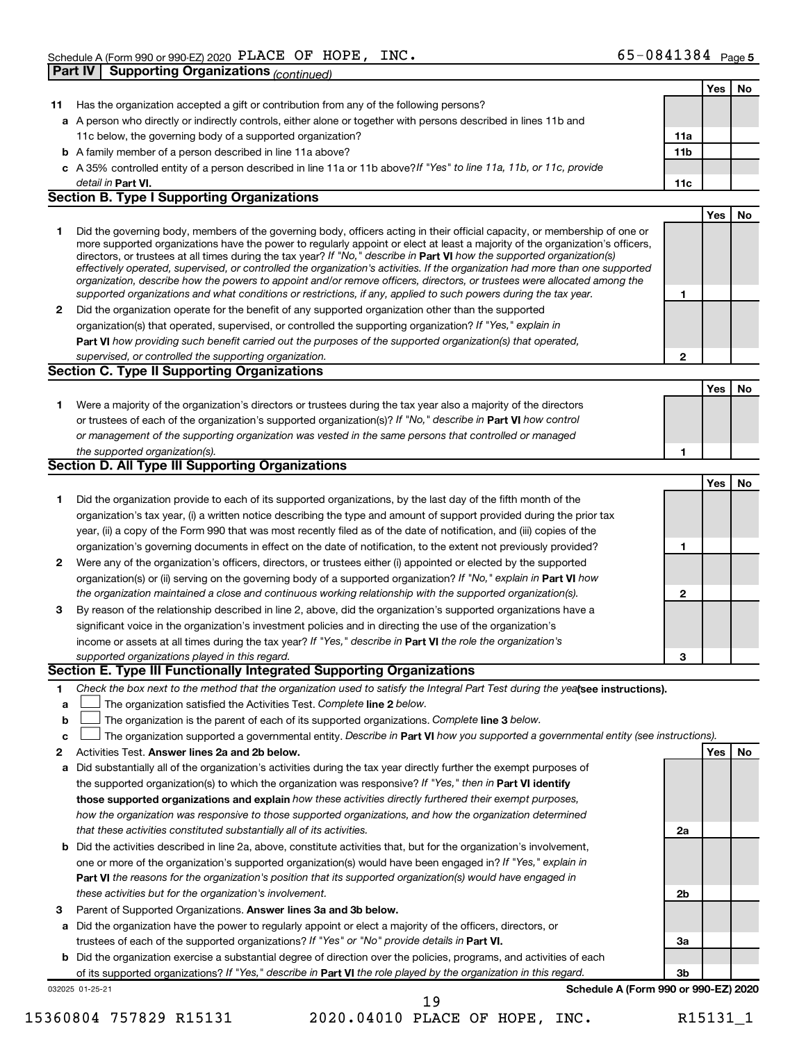|              |                                                                                                                                                                                                                                                            |              | Yes        | No |
|--------------|------------------------------------------------------------------------------------------------------------------------------------------------------------------------------------------------------------------------------------------------------------|--------------|------------|----|
|              | 11 Has the organization accepted a gift or contribution from any of the following persons?                                                                                                                                                                 |              |            |    |
|              | a A person who directly or indirectly controls, either alone or together with persons described in lines 11b and                                                                                                                                           |              |            |    |
|              | 11c below, the governing body of a supported organization?                                                                                                                                                                                                 | 11a          |            |    |
|              | <b>b</b> A family member of a person described in line 11a above?                                                                                                                                                                                          | 11b          |            |    |
|              | c A 35% controlled entity of a person described in line 11a or 11b above?If "Yes" to line 11a, 11b, or 11c, provide                                                                                                                                        |              |            |    |
|              | detail in Part VI.                                                                                                                                                                                                                                         | 11c          |            |    |
|              | <b>Section B. Type I Supporting Organizations</b>                                                                                                                                                                                                          |              |            |    |
|              |                                                                                                                                                                                                                                                            |              | <b>Yes</b> | No |
| 1            | Did the governing body, members of the governing body, officers acting in their official capacity, or membership of one or                                                                                                                                 |              |            |    |
|              | more supported organizations have the power to regularly appoint or elect at least a majority of the organization's officers,                                                                                                                              |              |            |    |
|              | directors, or trustees at all times during the tax year? If "No," describe in Part VI how the supported organization(s)                                                                                                                                    |              |            |    |
|              | effectively operated, supervised, or controlled the organization's activities. If the organization had more than one supported<br>organization, describe how the powers to appoint and/or remove officers, directors, or trustees were allocated among the |              |            |    |
|              | supported organizations and what conditions or restrictions, if any, applied to such powers during the tax year.                                                                                                                                           | 1            |            |    |
| $\mathbf{2}$ | Did the organization operate for the benefit of any supported organization other than the supported                                                                                                                                                        |              |            |    |
|              | organization(s) that operated, supervised, or controlled the supporting organization? If "Yes," explain in                                                                                                                                                 |              |            |    |
|              | Part VI how providing such benefit carried out the purposes of the supported organization(s) that operated,                                                                                                                                                |              |            |    |
|              | supervised, or controlled the supporting organization.                                                                                                                                                                                                     | $\mathbf{2}$ |            |    |
|              | Section C. Type II Supporting Organizations                                                                                                                                                                                                                |              |            |    |
|              |                                                                                                                                                                                                                                                            |              | <b>Yes</b> | No |
|              |                                                                                                                                                                                                                                                            |              |            |    |
| 1.           | Were a majority of the organization's directors or trustees during the tax year also a majority of the directors<br>or trustees of each of the organization's supported organization(s)? If "No," describe in Part VI how control                          |              |            |    |
|              | or management of the supporting organization was vested in the same persons that controlled or managed                                                                                                                                                     |              |            |    |
|              | the supported organization(s).                                                                                                                                                                                                                             | 1            |            |    |
|              | Section D. All Type III Supporting Organizations                                                                                                                                                                                                           |              |            |    |
|              |                                                                                                                                                                                                                                                            |              | <b>Yes</b> | No |
|              |                                                                                                                                                                                                                                                            |              |            |    |
| 1            | Did the organization provide to each of its supported organizations, by the last day of the fifth month of the                                                                                                                                             |              |            |    |
|              | organization's tax year, (i) a written notice describing the type and amount of support provided during the prior tax                                                                                                                                      |              |            |    |
|              | year, (ii) a copy of the Form 990 that was most recently filed as of the date of notification, and (iii) copies of the                                                                                                                                     |              |            |    |
|              | organization's governing documents in effect on the date of notification, to the extent not previously provided?                                                                                                                                           | 1            |            |    |
| 2            | Were any of the organization's officers, directors, or trustees either (i) appointed or elected by the supported                                                                                                                                           |              |            |    |
|              | organization(s) or (ii) serving on the governing body of a supported organization? If "No," explain in Part VI how                                                                                                                                         |              |            |    |
|              | the organization maintained a close and continuous working relationship with the supported organization(s).                                                                                                                                                | 2            |            |    |
| 3            | By reason of the relationship described in line 2, above, did the organization's supported organizations have a                                                                                                                                            |              |            |    |
|              | significant voice in the organization's investment policies and in directing the use of the organization's                                                                                                                                                 |              |            |    |
|              | income or assets at all times during the tax year? If "Yes," describe in Part VI the role the organization's                                                                                                                                               |              |            |    |
|              | supported organizations played in this regard.<br>Section E. Type III Functionally Integrated Supporting Organizations                                                                                                                                     | 3            |            |    |
|              |                                                                                                                                                                                                                                                            |              |            |    |
| 1            | Check the box next to the method that the organization used to satisfy the Integral Part Test during the yealsee instructions).                                                                                                                            |              |            |    |
| a            | The organization satisfied the Activities Test. Complete line 2 below.                                                                                                                                                                                     |              |            |    |
| b            | The organization is the parent of each of its supported organizations. Complete line 3 below.                                                                                                                                                              |              |            |    |
| c            | The organization supported a governmental entity. Describe in Part VI how you supported a governmental entity (see instructions).                                                                                                                          |              |            |    |
| 2            | Activities Test. Answer lines 2a and 2b below.                                                                                                                                                                                                             |              | Yes        | No |
| а            | Did substantially all of the organization's activities during the tax year directly further the exempt purposes of                                                                                                                                         |              |            |    |
|              | the supported organization(s) to which the organization was responsive? If "Yes," then in Part VI identify                                                                                                                                                 |              |            |    |
|              | those supported organizations and explain how these activities directly furthered their exempt purposes,                                                                                                                                                   |              |            |    |
|              | how the organization was responsive to those supported organizations, and how the organization determined                                                                                                                                                  |              |            |    |
|              | that these activities constituted substantially all of its activities.                                                                                                                                                                                     | 2a           |            |    |
|              | b Did the activities described in line 2a, above, constitute activities that, but for the organization's involvement,                                                                                                                                      |              |            |    |
|              | one or more of the organization's supported organization(s) would have been engaged in? If "Yes," explain in                                                                                                                                               |              |            |    |
|              | Part VI the reasons for the organization's position that its supported organization(s) would have engaged in                                                                                                                                               |              |            |    |
|              | these activities but for the organization's involvement.                                                                                                                                                                                                   | 2b           |            |    |
| З            | Parent of Supported Organizations. Answer lines 3a and 3b below.                                                                                                                                                                                           |              |            |    |
|              | a Did the organization have the power to regularly appoint or elect a majority of the officers, directors, or                                                                                                                                              |              |            |    |
|              | trustees of each of the supported organizations? If "Yes" or "No" provide details in Part VI.                                                                                                                                                              | За           |            |    |
|              | <b>b</b> Did the organization exercise a substantial degree of direction over the policies, programs, and activities of each                                                                                                                               |              |            |    |
|              | of its supported organizations? If "Yes," describe in Part VI the role played by the organization in this regard.                                                                                                                                          | 3b           |            |    |
|              | Schedule A (Form 990 or 990-EZ) 2020<br>032025 01-25-21                                                                                                                                                                                                    |              |            |    |
|              | 19                                                                                                                                                                                                                                                         |              |            |    |

<sup>15360804 757829</sup> R15131 2020.04010 PLACE OF HOPE, INC. R15131\_1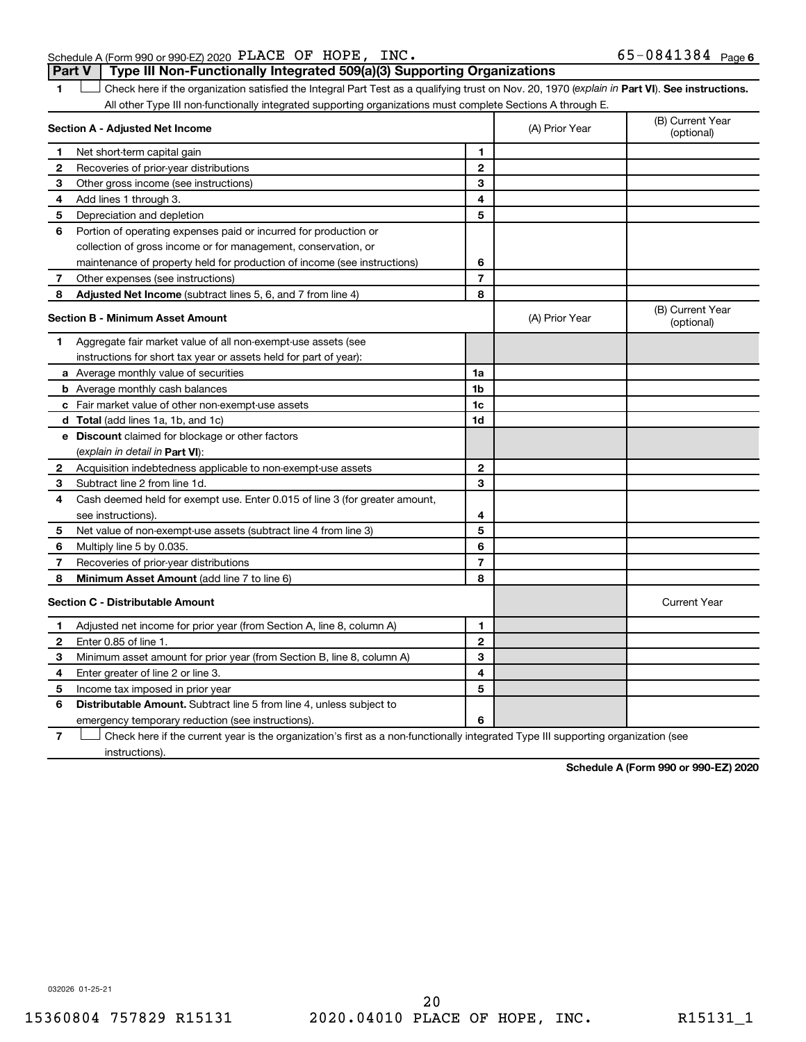## Schedule A (Form 990 or 990-EZ) 2020 Page PLACE OF HOPE, INC. 65-0841384 **Part V Type III Non-Functionally Integrated 509(a)(3) Supporting Organizations**

1 **Letter See instructions.** Check here if the organization satisfied the Integral Part Test as a qualifying trust on Nov. 20, 1970 (*explain in* Part **VI**). See instructions. All other Type III non-functionally integrated supporting organizations must complete Sections A through E.

|   | Section A - Adjusted Net Income                                                                                                   | (A) Prior Year | (B) Current Year<br>(optional) |                                |
|---|-----------------------------------------------------------------------------------------------------------------------------------|----------------|--------------------------------|--------------------------------|
| 1 | Net short-term capital gain                                                                                                       | 1              |                                |                                |
| 2 | Recoveries of prior-year distributions                                                                                            | $\mathbf{2}$   |                                |                                |
| 3 | Other gross income (see instructions)                                                                                             | 3              |                                |                                |
| 4 | Add lines 1 through 3.                                                                                                            | 4              |                                |                                |
| 5 | Depreciation and depletion                                                                                                        | 5              |                                |                                |
| 6 | Portion of operating expenses paid or incurred for production or                                                                  |                |                                |                                |
|   | collection of gross income or for management, conservation, or                                                                    |                |                                |                                |
|   | maintenance of property held for production of income (see instructions)                                                          | 6              |                                |                                |
| 7 | Other expenses (see instructions)                                                                                                 | $\overline{7}$ |                                |                                |
| 8 | Adjusted Net Income (subtract lines 5, 6, and 7 from line 4)                                                                      | 8              |                                |                                |
|   | <b>Section B - Minimum Asset Amount</b>                                                                                           |                | (A) Prior Year                 | (B) Current Year<br>(optional) |
| 1 | Aggregate fair market value of all non-exempt-use assets (see                                                                     |                |                                |                                |
|   | instructions for short tax year or assets held for part of year):                                                                 |                |                                |                                |
|   | <b>a</b> Average monthly value of securities                                                                                      | 1a             |                                |                                |
|   | <b>b</b> Average monthly cash balances                                                                                            | 1 <sub>b</sub> |                                |                                |
|   | c Fair market value of other non-exempt-use assets                                                                                | 1 <sub>c</sub> |                                |                                |
|   | d Total (add lines 1a, 1b, and 1c)                                                                                                | 1d             |                                |                                |
|   | e Discount claimed for blockage or other factors                                                                                  |                |                                |                                |
|   | (explain in detail in <b>Part VI</b> ):                                                                                           |                |                                |                                |
| 2 | Acquisition indebtedness applicable to non-exempt-use assets                                                                      | $\mathbf{2}$   |                                |                                |
| 3 | Subtract line 2 from line 1d.                                                                                                     | 3              |                                |                                |
| 4 | Cash deemed held for exempt use. Enter 0.015 of line 3 (for greater amount,                                                       |                |                                |                                |
|   | see instructions).                                                                                                                | 4              |                                |                                |
| 5 | Net value of non-exempt-use assets (subtract line 4 from line 3)                                                                  | 5              |                                |                                |
| 6 | Multiply line 5 by 0.035.                                                                                                         | 6              |                                |                                |
| 7 | Recoveries of prior-year distributions                                                                                            | $\overline{7}$ |                                |                                |
| 8 | Minimum Asset Amount (add line 7 to line 6)                                                                                       | 8              |                                |                                |
|   | <b>Section C - Distributable Amount</b>                                                                                           |                |                                | <b>Current Year</b>            |
| 1 | Adjusted net income for prior year (from Section A, line 8, column A)                                                             | 1              |                                |                                |
| 2 | Enter 0.85 of line 1.                                                                                                             | $\mathbf{2}$   |                                |                                |
| 3 | Minimum asset amount for prior year (from Section B, line 8, column A)                                                            | 3              |                                |                                |
| 4 | Enter greater of line 2 or line 3.                                                                                                | 4              |                                |                                |
| 5 | Income tax imposed in prior year                                                                                                  | 5              |                                |                                |
| 6 | <b>Distributable Amount.</b> Subtract line 5 from line 4, unless subject to                                                       |                |                                |                                |
|   | emergency temporary reduction (see instructions).                                                                                 | 6              |                                |                                |
| 7 | Check here if the current year is the organization's first as a non-functionally integrated Type III supporting organization (see |                |                                |                                |

**7** instructions).

**Schedule A (Form 990 or 990-EZ) 2020**

032026 01-25-21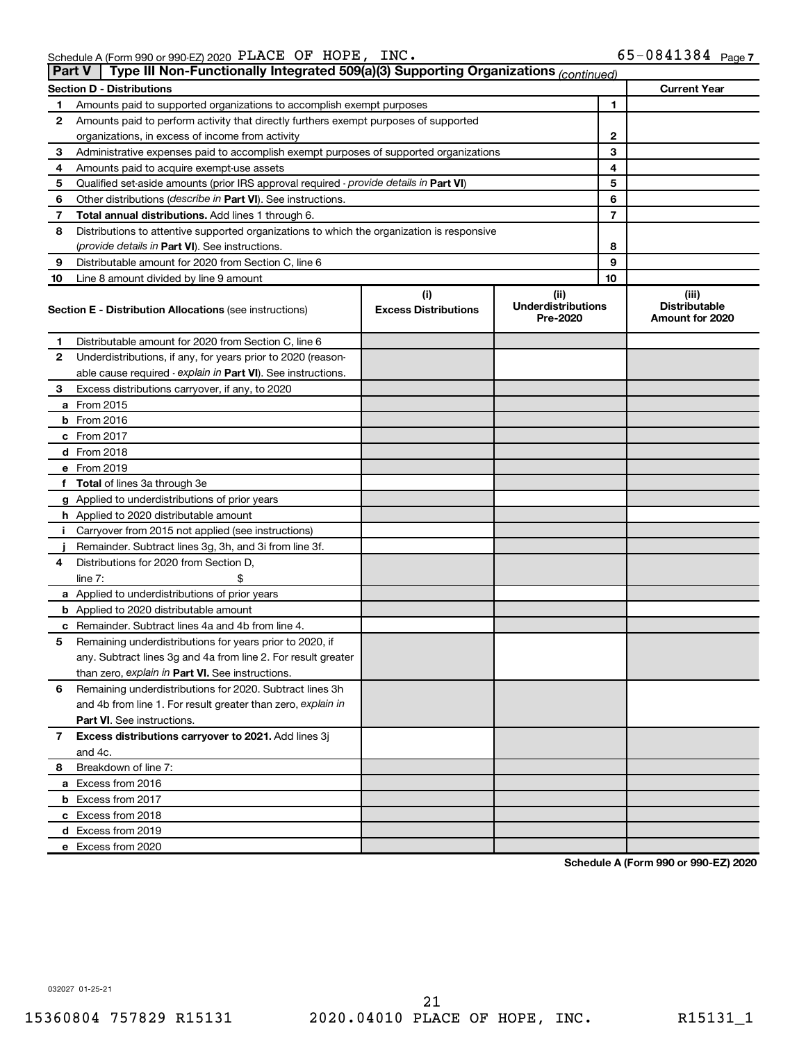| Part V | Type III Non-Functionally Integrated 509(a)(3) Supporting Organizations (continued)        |                                    |                                               |                                                  |
|--------|--------------------------------------------------------------------------------------------|------------------------------------|-----------------------------------------------|--------------------------------------------------|
|        | <b>Section D - Distributions</b>                                                           |                                    |                                               | <b>Current Year</b>                              |
| 1      | Amounts paid to supported organizations to accomplish exempt purposes                      |                                    | 1                                             |                                                  |
| 2      | Amounts paid to perform activity that directly furthers exempt purposes of supported       |                                    |                                               |                                                  |
|        | organizations, in excess of income from activity                                           |                                    | 2                                             |                                                  |
| 3      | Administrative expenses paid to accomplish exempt purposes of supported organizations      |                                    | 3                                             |                                                  |
| 4      | Amounts paid to acquire exempt-use assets                                                  |                                    | 4                                             |                                                  |
| 5      | Qualified set-aside amounts (prior IRS approval required - provide details in Part VI)     | 5                                  |                                               |                                                  |
| 6      | Other distributions ( <i>describe in Part VI</i> ). See instructions.                      | 6                                  |                                               |                                                  |
| 7      | Total annual distributions. Add lines 1 through 6.                                         | 7                                  |                                               |                                                  |
| 8      | Distributions to attentive supported organizations to which the organization is responsive |                                    |                                               |                                                  |
|        | ( <i>provide details in Part VI</i> ). See instructions.                                   |                                    | 8                                             |                                                  |
| 9      | Distributable amount for 2020 from Section C, line 6                                       |                                    | 9                                             |                                                  |
| 10     | Line 8 amount divided by line 9 amount                                                     |                                    | 10                                            |                                                  |
|        | <b>Section E - Distribution Allocations (see instructions)</b>                             | (i)<br><b>Excess Distributions</b> | (ii)<br><b>Underdistributions</b><br>Pre-2020 | (iii)<br><b>Distributable</b><br>Amount for 2020 |
| 1      | Distributable amount for 2020 from Section C, line 6                                       |                                    |                                               |                                                  |
| 2      | Underdistributions, if any, for years prior to 2020 (reason-                               |                                    |                                               |                                                  |
|        | able cause required - explain in Part VI). See instructions.                               |                                    |                                               |                                                  |
| 3      | Excess distributions carryover, if any, to 2020                                            |                                    |                                               |                                                  |
|        | a From 2015                                                                                |                                    |                                               |                                                  |
|        | $b$ From 2016                                                                              |                                    |                                               |                                                  |
|        | c From 2017                                                                                |                                    |                                               |                                                  |
|        | <b>d</b> From 2018                                                                         |                                    |                                               |                                                  |
|        | e From 2019                                                                                |                                    |                                               |                                                  |
|        | f Total of lines 3a through 3e                                                             |                                    |                                               |                                                  |
|        | g Applied to underdistributions of prior years                                             |                                    |                                               |                                                  |
|        | h Applied to 2020 distributable amount                                                     |                                    |                                               |                                                  |
| Ť.     | Carryover from 2015 not applied (see instructions)                                         |                                    |                                               |                                                  |
|        | Remainder. Subtract lines 3g, 3h, and 3i from line 3f.                                     |                                    |                                               |                                                  |
| 4      | Distributions for 2020 from Section D,                                                     |                                    |                                               |                                                  |
|        | line $7:$                                                                                  |                                    |                                               |                                                  |
|        | a Applied to underdistributions of prior years                                             |                                    |                                               |                                                  |
|        | <b>b</b> Applied to 2020 distributable amount                                              |                                    |                                               |                                                  |
|        | c Remainder. Subtract lines 4a and 4b from line 4.                                         |                                    |                                               |                                                  |
| 5      | Remaining underdistributions for years prior to 2020, if                                   |                                    |                                               |                                                  |
|        | any. Subtract lines 3g and 4a from line 2. For result greater                              |                                    |                                               |                                                  |
|        | than zero, explain in Part VI. See instructions.                                           |                                    |                                               |                                                  |
| 6      | Remaining underdistributions for 2020. Subtract lines 3h                                   |                                    |                                               |                                                  |
|        | and 4b from line 1. For result greater than zero, explain in                               |                                    |                                               |                                                  |
|        | <b>Part VI.</b> See instructions.                                                          |                                    |                                               |                                                  |
| 7      | Excess distributions carryover to 2021. Add lines 3j                                       |                                    |                                               |                                                  |
|        | and 4c.                                                                                    |                                    |                                               |                                                  |
| 8      | Breakdown of line 7:                                                                       |                                    |                                               |                                                  |
|        | a Excess from 2016                                                                         |                                    |                                               |                                                  |
|        | <b>b</b> Excess from 2017                                                                  |                                    |                                               |                                                  |
|        | c Excess from 2018                                                                         |                                    |                                               |                                                  |
|        | d Excess from 2019                                                                         |                                    |                                               |                                                  |
|        | e Excess from 2020                                                                         |                                    |                                               |                                                  |

**Schedule A (Form 990 or 990-EZ) 2020**

032027 01-25-21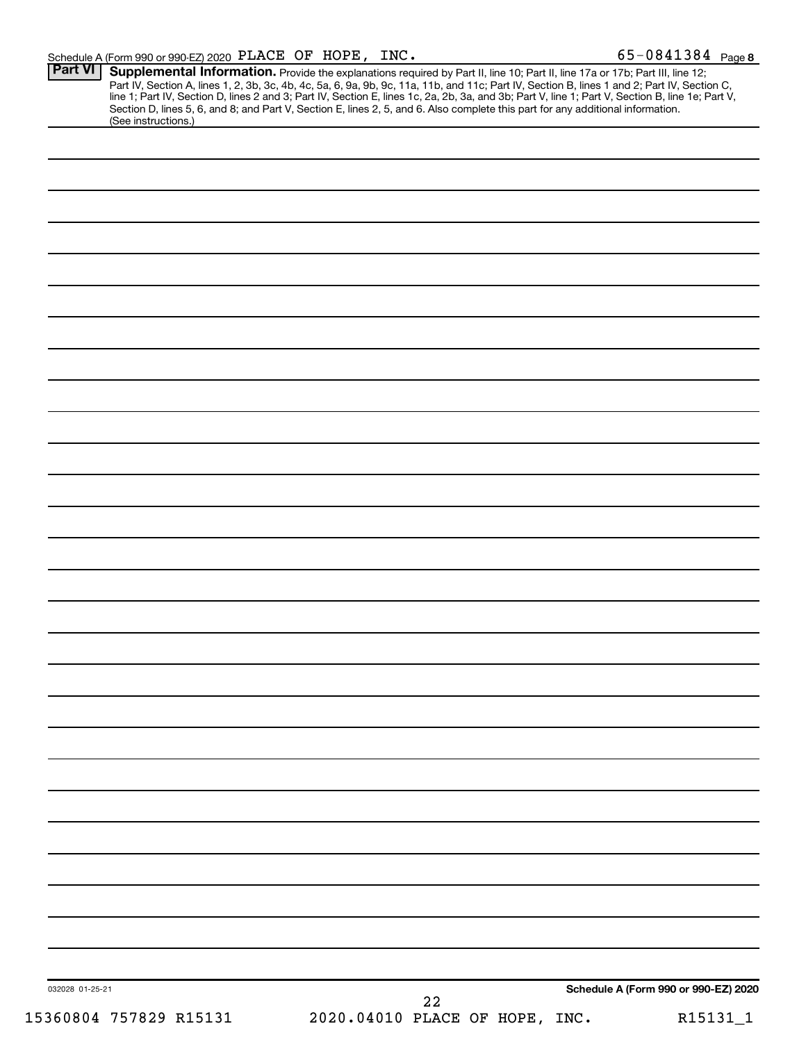|                                | <b>Part VI</b><br>(See instructions.) | Supplemental Information. Provide the explanations required by Part II, line 10; Part II, line 17a or 17b; Part III, line 12;<br>Part IV, Section A, lines 1, 2, 3b, 3c, 4b, 4c, 5a, 6, 9a, 9b, 9c, 11a, 11b, and 11c; Part IV, Section B, lines 1 and 2; Part IV, Section C, line 1; Part IV, Section D, lines 2 and 3; Part IV, Section E, lines 1c, 2a, 2b,<br>Section D, lines 5, 6, and 8; and Part V, Section E, lines 2, 5, and 6. Also complete this part for any additional information. |
|--------------------------------|---------------------------------------|---------------------------------------------------------------------------------------------------------------------------------------------------------------------------------------------------------------------------------------------------------------------------------------------------------------------------------------------------------------------------------------------------------------------------------------------------------------------------------------------------|
|                                |                                       |                                                                                                                                                                                                                                                                                                                                                                                                                                                                                                   |
|                                |                                       |                                                                                                                                                                                                                                                                                                                                                                                                                                                                                                   |
|                                |                                       |                                                                                                                                                                                                                                                                                                                                                                                                                                                                                                   |
|                                |                                       |                                                                                                                                                                                                                                                                                                                                                                                                                                                                                                   |
|                                |                                       |                                                                                                                                                                                                                                                                                                                                                                                                                                                                                                   |
|                                |                                       |                                                                                                                                                                                                                                                                                                                                                                                                                                                                                                   |
|                                |                                       |                                                                                                                                                                                                                                                                                                                                                                                                                                                                                                   |
|                                |                                       |                                                                                                                                                                                                                                                                                                                                                                                                                                                                                                   |
|                                |                                       |                                                                                                                                                                                                                                                                                                                                                                                                                                                                                                   |
|                                |                                       |                                                                                                                                                                                                                                                                                                                                                                                                                                                                                                   |
|                                |                                       |                                                                                                                                                                                                                                                                                                                                                                                                                                                                                                   |
|                                |                                       |                                                                                                                                                                                                                                                                                                                                                                                                                                                                                                   |
|                                |                                       |                                                                                                                                                                                                                                                                                                                                                                                                                                                                                                   |
|                                |                                       |                                                                                                                                                                                                                                                                                                                                                                                                                                                                                                   |
|                                |                                       |                                                                                                                                                                                                                                                                                                                                                                                                                                                                                                   |
|                                |                                       |                                                                                                                                                                                                                                                                                                                                                                                                                                                                                                   |
|                                |                                       |                                                                                                                                                                                                                                                                                                                                                                                                                                                                                                   |
|                                |                                       |                                                                                                                                                                                                                                                                                                                                                                                                                                                                                                   |
|                                |                                       |                                                                                                                                                                                                                                                                                                                                                                                                                                                                                                   |
|                                |                                       |                                                                                                                                                                                                                                                                                                                                                                                                                                                                                                   |
|                                |                                       |                                                                                                                                                                                                                                                                                                                                                                                                                                                                                                   |
|                                |                                       |                                                                                                                                                                                                                                                                                                                                                                                                                                                                                                   |
|                                |                                       |                                                                                                                                                                                                                                                                                                                                                                                                                                                                                                   |
|                                |                                       |                                                                                                                                                                                                                                                                                                                                                                                                                                                                                                   |
|                                |                                       |                                                                                                                                                                                                                                                                                                                                                                                                                                                                                                   |
|                                |                                       |                                                                                                                                                                                                                                                                                                                                                                                                                                                                                                   |
|                                |                                       |                                                                                                                                                                                                                                                                                                                                                                                                                                                                                                   |
|                                |                                       |                                                                                                                                                                                                                                                                                                                                                                                                                                                                                                   |
|                                |                                       |                                                                                                                                                                                                                                                                                                                                                                                                                                                                                                   |
|                                |                                       |                                                                                                                                                                                                                                                                                                                                                                                                                                                                                                   |
|                                |                                       |                                                                                                                                                                                                                                                                                                                                                                                                                                                                                                   |
|                                |                                       |                                                                                                                                                                                                                                                                                                                                                                                                                                                                                                   |
|                                |                                       |                                                                                                                                                                                                                                                                                                                                                                                                                                                                                                   |
|                                |                                       |                                                                                                                                                                                                                                                                                                                                                                                                                                                                                                   |
|                                |                                       |                                                                                                                                                                                                                                                                                                                                                                                                                                                                                                   |
|                                | 032028 01-25-21                       | Schedule A (Form 990 or 990-EZ) 2020                                                                                                                                                                                                                                                                                                                                                                                                                                                              |
| 2020.04010 PLACE OF HOPE, INC. | 15360804 757829 R15131                | 22<br>R15131_1                                                                                                                                                                                                                                                                                                                                                                                                                                                                                    |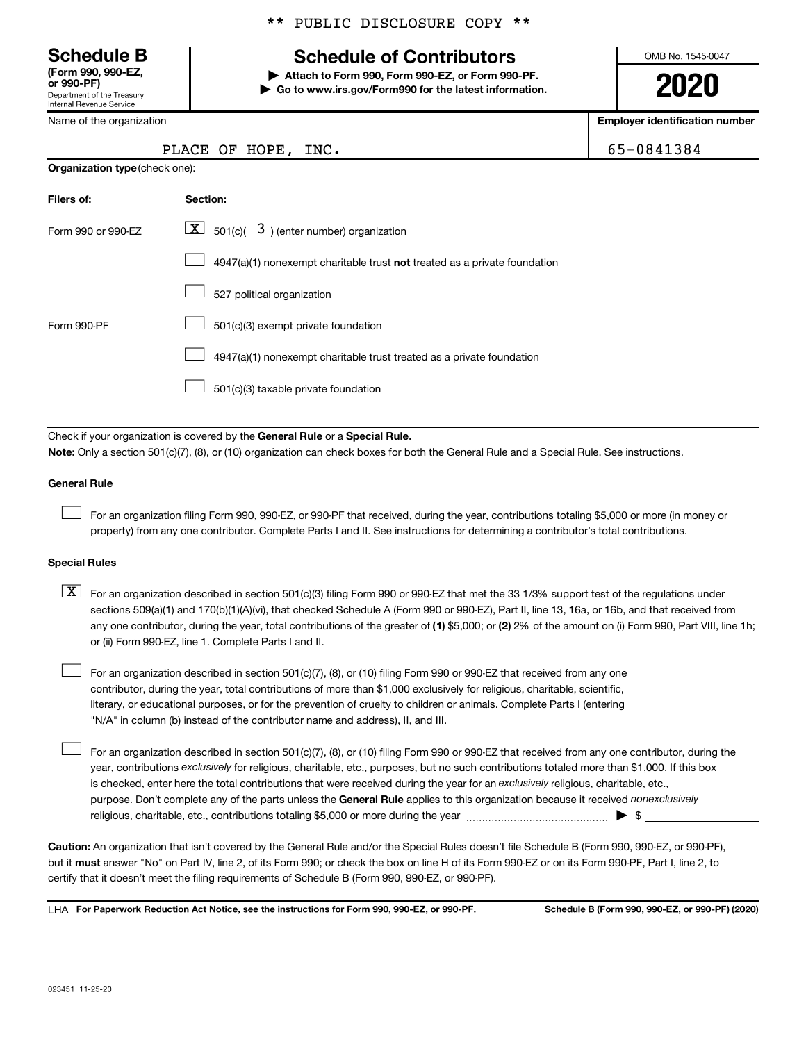Department of the Treasury Internal Revenue Service **(Form 990, 990-EZ,**

Name of the organization

**Organization type** (check one):

## \*\* PUBLIC DISCLOSURE COPY \*\*

## **Schedule B Schedule of Contributors**

**or 990-PF) | Attach to Form 990, Form 990-EZ, or Form 990-PF. | Go to www.irs.gov/Form990 for the latest information.** OMB No. 1545-0047

**2020**

**Employer identification number**

| $5 - 0841384$ |  |  |
|---------------|--|--|
|               |  |  |

|  | PLACE OF HOPE, INC. | 65-0841384 |
|--|---------------------|------------|
|  |                     |            |

| Filers of:         | Section:                                                                  |
|--------------------|---------------------------------------------------------------------------|
| Form 990 or 990-FZ | $ \mathbf{X} $ 501(c)( 3) (enter number) organization                     |
|                    | 4947(a)(1) nonexempt charitable trust not treated as a private foundation |
|                    | 527 political organization                                                |
| Form 990-PF        | 501(c)(3) exempt private foundation                                       |
|                    | 4947(a)(1) nonexempt charitable trust treated as a private foundation     |
|                    | 501(c)(3) taxable private foundation                                      |

Check if your organization is covered by the General Rule or a Special Rule.

**Note:**  Only a section 501(c)(7), (8), or (10) organization can check boxes for both the General Rule and a Special Rule. See instructions.

#### **General Rule**

 $\Box$ 

 $\Box$ 

For an organization filing Form 990, 990-EZ, or 990-PF that received, during the year, contributions totaling \$5,000 or more (in money or property) from any one contributor. Complete Parts I and II. See instructions for determining a contributor's total contributions.

#### **Special Rules**

any one contributor, during the year, total contributions of the greater of (1) \$5,000; or (2) 2% of the amount on (i) Form 990, Part VIII, line 1h;  $\boxed{\text{X}}$  For an organization described in section 501(c)(3) filing Form 990 or 990-EZ that met the 33 1/3% support test of the regulations under sections 509(a)(1) and 170(b)(1)(A)(vi), that checked Schedule A (Form 990 or 990-EZ), Part II, line 13, 16a, or 16b, and that received from or (ii) Form 990-EZ, line 1. Complete Parts I and II.

For an organization described in section 501(c)(7), (8), or (10) filing Form 990 or 990-EZ that received from any one contributor, during the year, total contributions of more than \$1,000 exclusively for religious, charitable, scientific, literary, or educational purposes, or for the prevention of cruelty to children or animals. Complete Parts I (entering "N/A" in column (b) instead of the contributor name and address), II, and III.  $\Box$ 

purpose. Don't complete any of the parts unless the General Rule applies to this organization because it received nonexclusively year, contributions exclusively for religious, charitable, etc., purposes, but no such contributions totaled more than \$1,000. If this box is checked, enter here the total contributions that were received during the year for an exclusively religious, charitable, etc., For an organization described in section 501(c)(7), (8), or (10) filing Form 990 or 990-EZ that received from any one contributor, during the religious, charitable, etc., contributions totaling \$5,000 or more during the year  $~\ldots\ldots\ldots\ldots\ldots\ldots\ldots\ldots\blacktriangleright~$ \$

**Caution:**  An organization that isn't covered by the General Rule and/or the Special Rules doesn't file Schedule B (Form 990, 990-EZ, or 990-PF),  **must** but it answer "No" on Part IV, line 2, of its Form 990; or check the box on line H of its Form 990-EZ or on its Form 990-PF, Part I, line 2, to certify that it doesn't meet the filing requirements of Schedule B (Form 990, 990-EZ, or 990-PF).

**For Paperwork Reduction Act Notice, see the instructions for Form 990, 990-EZ, or 990-PF. Schedule B (Form 990, 990-EZ, or 990-PF) (2020)** LHA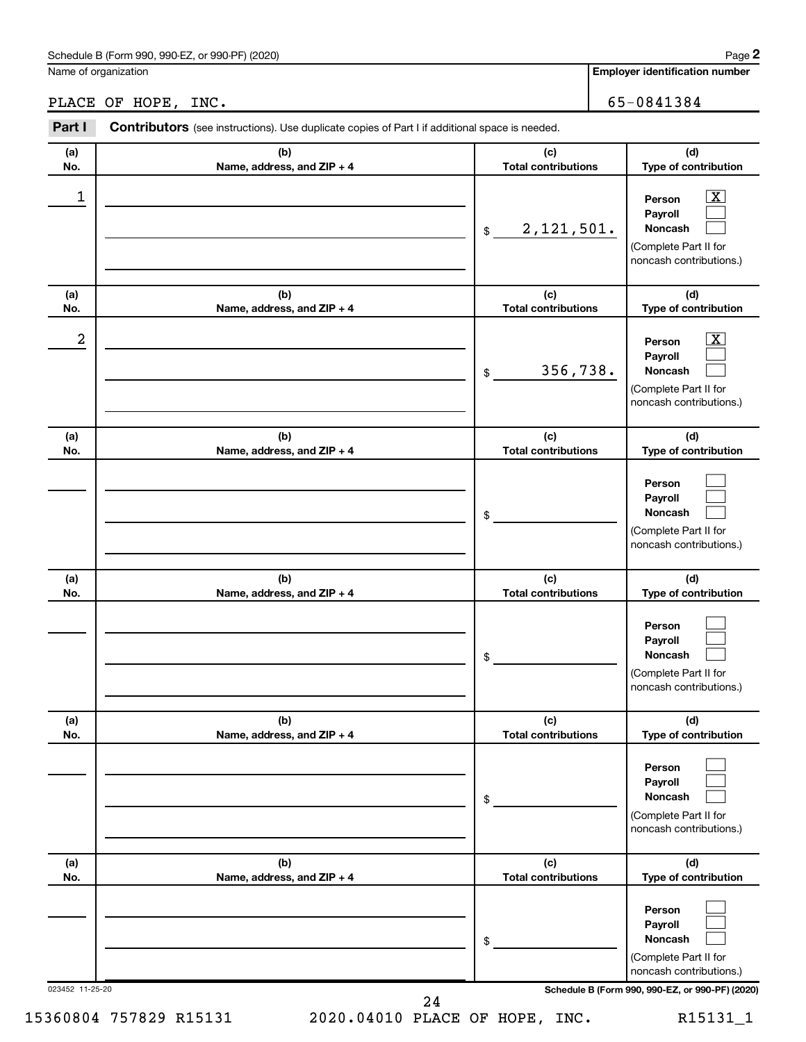## Schedule B (Form 990, 990-EZ, or 990-PF) (2020)

Name of organization

## PLACE OF HOPE, INC. 65-0841384

| Part I          | Contributors (see instructions). Use duplicate copies of Part I if additional space is needed. |                                   |                                                                                                             |
|-----------------|------------------------------------------------------------------------------------------------|-----------------------------------|-------------------------------------------------------------------------------------------------------------|
| (a)<br>No.      | (b)<br>Name, address, and ZIP + 4                                                              | (c)<br><b>Total contributions</b> | (d)<br>Type of contribution                                                                                 |
| 1               |                                                                                                | 2, 121, 501.<br>\$                | $\overline{\textbf{X}}$<br>Person<br>Payroll<br>Noncash<br>(Complete Part II for<br>noncash contributions.) |
| (a)<br>No.      | (b)<br>Name, address, and ZIP + 4                                                              | (c)<br><b>Total contributions</b> | (d)<br>Type of contribution                                                                                 |
| 2               |                                                                                                | 356,738.<br>$\$$                  | $\overline{\text{X}}$<br>Person<br>Payroll<br>Noncash<br>(Complete Part II for<br>noncash contributions.)   |
| (a)<br>No.      | (b)<br>Name, address, and ZIP + 4                                                              | (c)<br><b>Total contributions</b> | (d)<br>Type of contribution                                                                                 |
|                 |                                                                                                | \$                                | Person<br>Payroll<br>Noncash<br>(Complete Part II for<br>noncash contributions.)                            |
| (a)<br>No.      | (b)<br>Name, address, and ZIP + 4                                                              | (c)<br><b>Total contributions</b> | (d)<br>Type of contribution                                                                                 |
|                 |                                                                                                | \$                                | Person<br>Payroll<br>Noncash<br>(Complete Part II for<br>noncash contributions.)                            |
| (a)<br>No.      | (b)<br>Name, address, and ZIP + 4                                                              | (c)<br><b>Total contributions</b> | (d)<br>Type of contribution                                                                                 |
|                 |                                                                                                | \$                                | Person<br>Payroll<br>Noncash<br>(Complete Part II for<br>noncash contributions.)                            |
| (a)<br>No.      | (b)<br>Name, address, and ZIP + 4                                                              | (c)<br><b>Total contributions</b> | (d)<br>Type of contribution                                                                                 |
|                 |                                                                                                | \$                                | Person<br>Payroll<br>Noncash<br>(Complete Part II for<br>noncash contributions.)                            |
| 023452 11-25-20 |                                                                                                |                                   | Schedule B (Form 990, 990-EZ, or 990-PF) (2020)                                                             |

24

15360804 757829 R15131 2020.04010 PLACE OF HOPE, INC. R15131\_1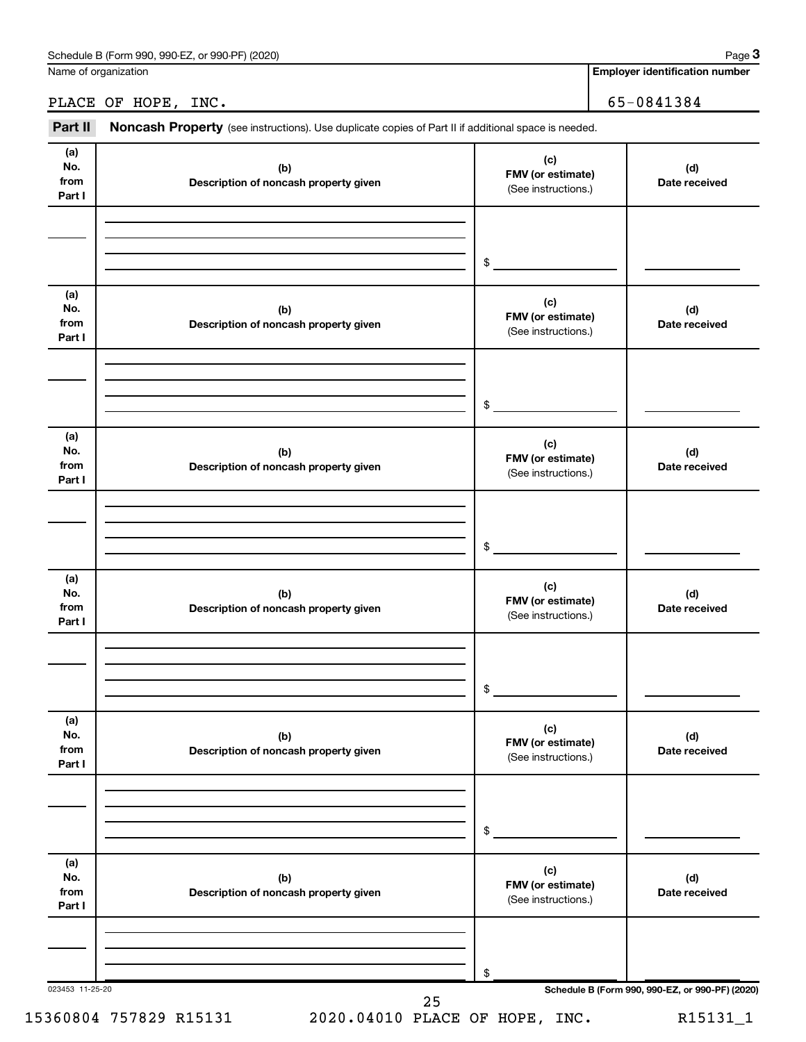Name of organization

## PLACE OF HOPE, INC. 65-0841384

Part II Noncash Property (see instructions). Use duplicate copies of Part II if additional space is needed.

| (a)             |                                       | (c)                                      |                                                 |
|-----------------|---------------------------------------|------------------------------------------|-------------------------------------------------|
| No.             | (b)                                   | FMV (or estimate)                        | (d)                                             |
| from            | Description of noncash property given | (See instructions.)                      | Date received                                   |
| Part I          |                                       |                                          |                                                 |
|                 |                                       |                                          |                                                 |
|                 |                                       |                                          |                                                 |
|                 |                                       | \$                                       |                                                 |
| (a)             |                                       |                                          |                                                 |
| No.             | (b)                                   | (c)<br>FMV (or estimate)                 | (d)                                             |
| from            | Description of noncash property given | (See instructions.)                      | Date received                                   |
| Part I          |                                       |                                          |                                                 |
|                 |                                       |                                          |                                                 |
|                 |                                       |                                          |                                                 |
|                 |                                       | \$                                       |                                                 |
| (a)             |                                       | (c)                                      |                                                 |
| No.             | (b)                                   | FMV (or estimate)                        | (d)                                             |
| from            | Description of noncash property given | (See instructions.)                      | Date received                                   |
| Part I          |                                       |                                          |                                                 |
|                 |                                       |                                          |                                                 |
|                 |                                       |                                          |                                                 |
|                 |                                       | \$                                       |                                                 |
| (a)             |                                       | (c)                                      |                                                 |
| No.             | (b)                                   |                                          | (d)                                             |
| from            | Description of noncash property given | FMV (or estimate)<br>(See instructions.) | Date received                                   |
| Part I          |                                       |                                          |                                                 |
|                 |                                       |                                          |                                                 |
|                 |                                       |                                          |                                                 |
|                 |                                       | \$                                       |                                                 |
| (a)             |                                       |                                          |                                                 |
| No.             | (b)                                   | (c)                                      | (d)                                             |
| from            | Description of noncash property given | FMV (or estimate)<br>(See instructions.) | Date received                                   |
| Part I          |                                       |                                          |                                                 |
|                 |                                       |                                          |                                                 |
|                 |                                       |                                          |                                                 |
|                 |                                       | \$                                       |                                                 |
| (a)             |                                       | (c)                                      |                                                 |
| No.             | (b)                                   | FMV (or estimate)                        | (d)                                             |
| from            | Description of noncash property given | (See instructions.)                      | Date received                                   |
| Part I          |                                       |                                          |                                                 |
|                 |                                       |                                          |                                                 |
|                 |                                       |                                          |                                                 |
| 023453 11-25-20 |                                       | \$                                       | Schedule B (Form 990, 990-EZ, or 990-PF) (2020) |
|                 | 25                                    |                                          |                                                 |
|                 | 15360804 757829 R15131                | 2020.04010 PLACE OF HOPE, INC.           | R15131_1                                        |

**3**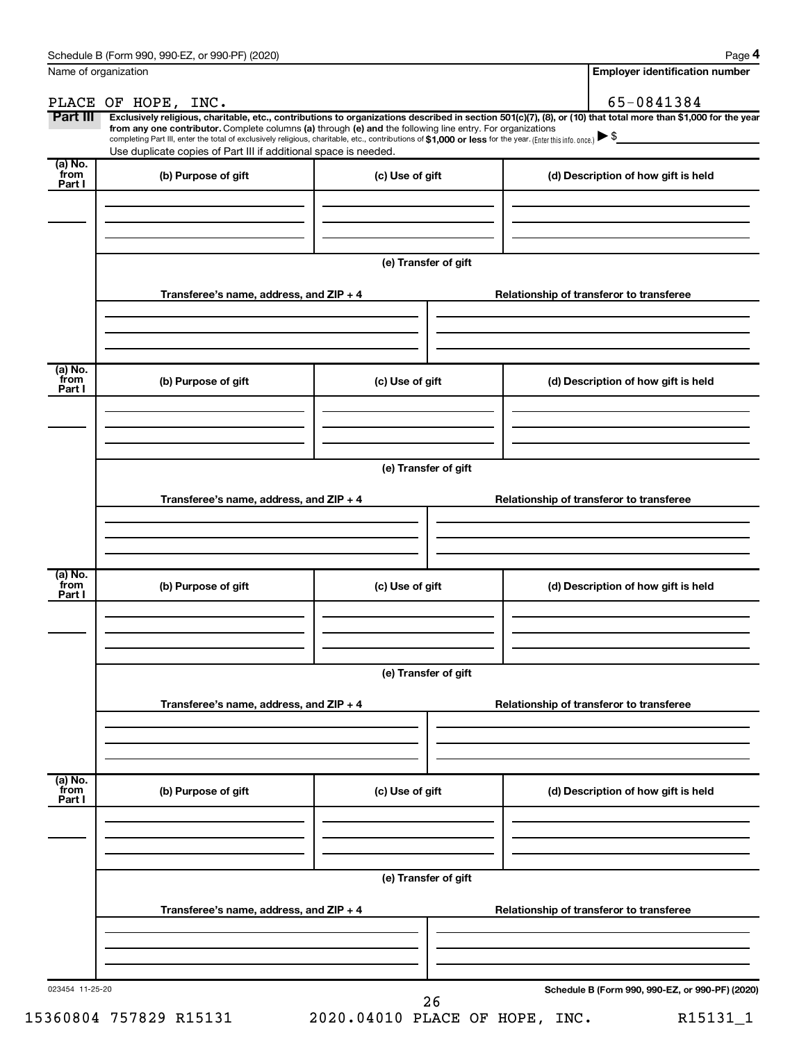**4**

|                             | Name of organization                                                                                                                                                                                                                                                                                                                                                                                                                                                                                                                 |                      | <b>Employer identification number</b>                                                                                |
|-----------------------------|--------------------------------------------------------------------------------------------------------------------------------------------------------------------------------------------------------------------------------------------------------------------------------------------------------------------------------------------------------------------------------------------------------------------------------------------------------------------------------------------------------------------------------------|----------------------|----------------------------------------------------------------------------------------------------------------------|
|                             | PLACE OF HOPE, INC.                                                                                                                                                                                                                                                                                                                                                                                                                                                                                                                  |                      | 65-0841384                                                                                                           |
| Part III                    | Exclusively religious, charitable, etc., contributions to organizations described in section 501(c)(7), (8), or (10) that total more than \$1,000 for the year<br>from any one contributor. Complete columns (a) through (e) and the following line entry. For organizations<br>completing Part III, enter the total of exclusively religious, charitable, etc., contributions of \$1,000 or less for the year. (Enter this info. once.) $\blacktriangleright$ \$<br>Use duplicate copies of Part III if additional space is needed. |                      | <u> 1990 - Jan Jawa Barat, prima prima prima prima prima prima prima prima prima prima prima prima prima prima p</u> |
| $(a)$ No.<br>from<br>Part I | (b) Purpose of gift                                                                                                                                                                                                                                                                                                                                                                                                                                                                                                                  | (c) Use of gift      | (d) Description of how gift is held                                                                                  |
|                             |                                                                                                                                                                                                                                                                                                                                                                                                                                                                                                                                      |                      |                                                                                                                      |
|                             |                                                                                                                                                                                                                                                                                                                                                                                                                                                                                                                                      | (e) Transfer of gift |                                                                                                                      |
|                             | Transferee's name, address, and ZIP + 4                                                                                                                                                                                                                                                                                                                                                                                                                                                                                              |                      | Relationship of transferor to transferee                                                                             |
| $(a)$ No.<br>from           | (b) Purpose of gift                                                                                                                                                                                                                                                                                                                                                                                                                                                                                                                  | (c) Use of gift      | (d) Description of how gift is held                                                                                  |
| Part I                      |                                                                                                                                                                                                                                                                                                                                                                                                                                                                                                                                      |                      |                                                                                                                      |
|                             |                                                                                                                                                                                                                                                                                                                                                                                                                                                                                                                                      | (e) Transfer of gift |                                                                                                                      |
|                             | Transferee's name, address, and ZIP + 4                                                                                                                                                                                                                                                                                                                                                                                                                                                                                              |                      | Relationship of transferor to transferee                                                                             |
| $(a)$ No.                   |                                                                                                                                                                                                                                                                                                                                                                                                                                                                                                                                      |                      |                                                                                                                      |
| from<br>Part I              | (b) Purpose of gift                                                                                                                                                                                                                                                                                                                                                                                                                                                                                                                  | (c) Use of gift      | (d) Description of how gift is held                                                                                  |
|                             |                                                                                                                                                                                                                                                                                                                                                                                                                                                                                                                                      |                      |                                                                                                                      |
|                             | Transferee's name, address, and ZIP + 4                                                                                                                                                                                                                                                                                                                                                                                                                                                                                              | (e) Transfer of gift | Relationship of transferor to transferee                                                                             |
|                             |                                                                                                                                                                                                                                                                                                                                                                                                                                                                                                                                      |                      |                                                                                                                      |
| (a) No.<br>from<br>Part I   | (b) Purpose of gift                                                                                                                                                                                                                                                                                                                                                                                                                                                                                                                  | (c) Use of gift      | (d) Description of how gift is held                                                                                  |
|                             |                                                                                                                                                                                                                                                                                                                                                                                                                                                                                                                                      |                      |                                                                                                                      |
|                             |                                                                                                                                                                                                                                                                                                                                                                                                                                                                                                                                      | (e) Transfer of gift |                                                                                                                      |
|                             | Transferee's name, address, and ZIP + 4                                                                                                                                                                                                                                                                                                                                                                                                                                                                                              |                      | Relationship of transferor to transferee                                                                             |
|                             |                                                                                                                                                                                                                                                                                                                                                                                                                                                                                                                                      |                      |                                                                                                                      |
| 023454 11-25-20             |                                                                                                                                                                                                                                                                                                                                                                                                                                                                                                                                      | 26                   | Schedule B (Form 990, 990-EZ, or 990-PF) (2020)                                                                      |

15360804 757829 R15131 2020.04010 PLACE OF HOPE, INC. R15131\_1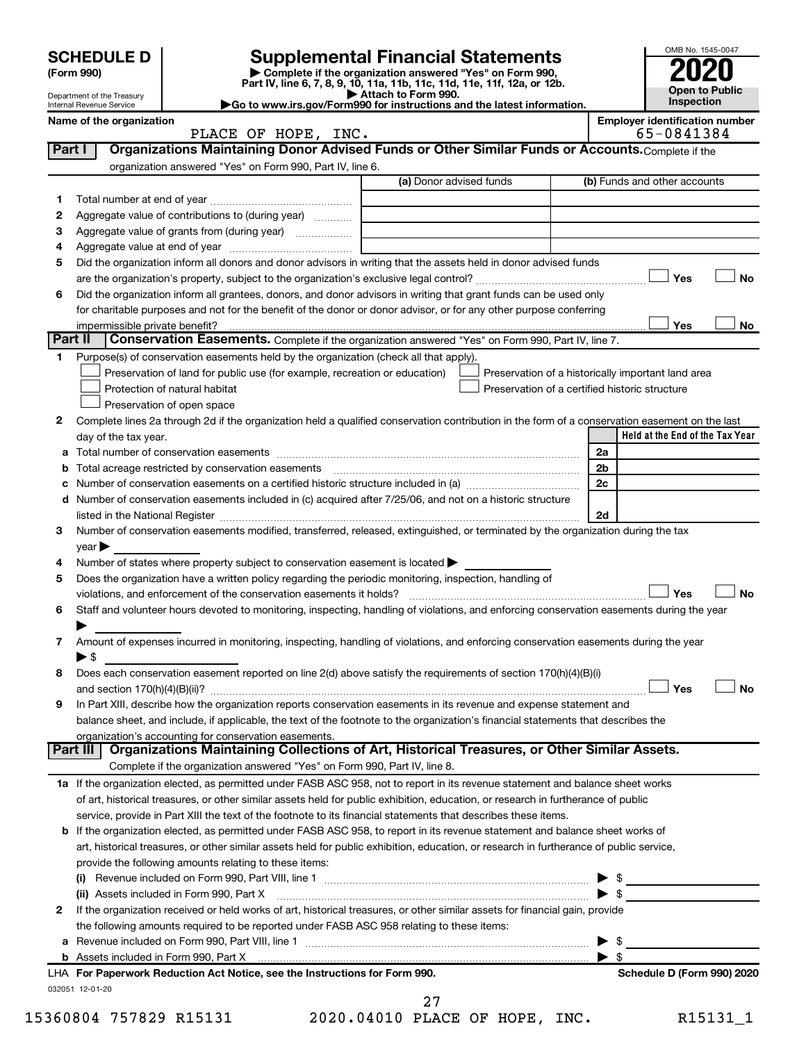|         | <b>SCHEDULE D</b>                                    |                                                                                                        | <b>Supplemental Financial Statements</b>                                                                                                                                                                                                                 |                          | OMB No. 1545-0047                     |
|---------|------------------------------------------------------|--------------------------------------------------------------------------------------------------------|----------------------------------------------------------------------------------------------------------------------------------------------------------------------------------------------------------------------------------------------------------|--------------------------|---------------------------------------|
|         | (Form 990)                                           |                                                                                                        | Complete if the organization answered "Yes" on Form 990,<br>Part IV, line 6, 7, 8, 9, 10, 11a, 11b, 11c, 11d, 11e, 11f, 12a, or 12b.                                                                                                                     |                          |                                       |
|         | Department of the Treasury                           |                                                                                                        | Attach to Form 990.                                                                                                                                                                                                                                      |                          | <b>Open to Public</b><br>Inspection   |
|         | Internal Revenue Service<br>Name of the organization |                                                                                                        | Go to www.irs.gov/Form990 for instructions and the latest information.                                                                                                                                                                                   |                          | <b>Employer identification number</b> |
|         |                                                      | PLACE OF HOPE, INC.                                                                                    |                                                                                                                                                                                                                                                          |                          | 65-0841384                            |
| Part I  |                                                      |                                                                                                        | Organizations Maintaining Donor Advised Funds or Other Similar Funds or Accounts. Complete if the                                                                                                                                                        |                          |                                       |
|         |                                                      | organization answered "Yes" on Form 990, Part IV, line 6.                                              |                                                                                                                                                                                                                                                          |                          |                                       |
|         |                                                      |                                                                                                        | (a) Donor advised funds                                                                                                                                                                                                                                  |                          | (b) Funds and other accounts          |
| 1       |                                                      |                                                                                                        |                                                                                                                                                                                                                                                          |                          |                                       |
| 2       |                                                      | Aggregate value of contributions to (during year)                                                      |                                                                                                                                                                                                                                                          |                          |                                       |
| З<br>4  |                                                      |                                                                                                        |                                                                                                                                                                                                                                                          |                          |                                       |
| 5       |                                                      |                                                                                                        | Did the organization inform all donors and donor advisors in writing that the assets held in donor advised funds                                                                                                                                         |                          |                                       |
|         |                                                      |                                                                                                        |                                                                                                                                                                                                                                                          |                          | Yes<br><b>No</b>                      |
| 6       |                                                      |                                                                                                        | Did the organization inform all grantees, donors, and donor advisors in writing that grant funds can be used only                                                                                                                                        |                          |                                       |
|         |                                                      |                                                                                                        | for charitable purposes and not for the benefit of the donor or donor advisor, or for any other purpose conferring                                                                                                                                       |                          |                                       |
|         | impermissible private benefit?                       |                                                                                                        |                                                                                                                                                                                                                                                          |                          | Yes<br>No                             |
| Part II |                                                      |                                                                                                        | Conservation Easements. Complete if the organization answered "Yes" on Form 990, Part IV, line 7.                                                                                                                                                        |                          |                                       |
| 1.      |                                                      | Purpose(s) of conservation easements held by the organization (check all that apply).                  |                                                                                                                                                                                                                                                          |                          |                                       |
|         |                                                      | Preservation of land for public use (for example, recreation or education)                             | Preservation of a historically important land area                                                                                                                                                                                                       |                          |                                       |
|         |                                                      | Protection of natural habitat<br>Preservation of open space                                            | Preservation of a certified historic structure                                                                                                                                                                                                           |                          |                                       |
| 2       |                                                      |                                                                                                        | Complete lines 2a through 2d if the organization held a qualified conservation contribution in the form of a conservation easement on the last                                                                                                           |                          |                                       |
|         | day of the tax year.                                 |                                                                                                        |                                                                                                                                                                                                                                                          |                          | Held at the End of the Tax Year       |
| a       |                                                      |                                                                                                        |                                                                                                                                                                                                                                                          | 2a                       |                                       |
| b       |                                                      |                                                                                                        |                                                                                                                                                                                                                                                          | 2 <sub>b</sub>           |                                       |
| с       |                                                      |                                                                                                        |                                                                                                                                                                                                                                                          | 2c                       |                                       |
| d       |                                                      |                                                                                                        | Number of conservation easements included in (c) acquired after 7/25/06, and not on a historic structure                                                                                                                                                 |                          |                                       |
|         |                                                      |                                                                                                        |                                                                                                                                                                                                                                                          | 2d                       |                                       |
| 3       |                                                      |                                                                                                        | Number of conservation easements modified, transferred, released, extinguished, or terminated by the organization during the tax                                                                                                                         |                          |                                       |
| 4       | $year \blacktriangleright$                           | Number of states where property subject to conservation easement is located >                          |                                                                                                                                                                                                                                                          |                          |                                       |
| 5       |                                                      | Does the organization have a written policy regarding the periodic monitoring, inspection, handling of |                                                                                                                                                                                                                                                          |                          |                                       |
|         |                                                      |                                                                                                        |                                                                                                                                                                                                                                                          |                          | Yes<br><b>No</b>                      |
| 6       |                                                      |                                                                                                        | Staff and volunteer hours devoted to monitoring, inspecting, handling of violations, and enforcing conservation easements during the year                                                                                                                |                          |                                       |
|         |                                                      |                                                                                                        |                                                                                                                                                                                                                                                          |                          |                                       |
| 7       |                                                      |                                                                                                        | Amount of expenses incurred in monitoring, inspecting, handling of violations, and enforcing conservation easements during the year                                                                                                                      |                          |                                       |
|         | $\blacktriangleright$ \$                             |                                                                                                        |                                                                                                                                                                                                                                                          |                          |                                       |
| 8       |                                                      |                                                                                                        | Does each conservation easement reported on line 2(d) above satisfy the requirements of section 170(h)(4)(B)(i)                                                                                                                                          |                          |                                       |
|         |                                                      |                                                                                                        |                                                                                                                                                                                                                                                          |                          | Yes<br><b>No</b>                      |
| 9       |                                                      |                                                                                                        | In Part XIII, describe how the organization reports conservation easements in its revenue and expense statement and<br>balance sheet, and include, if applicable, the text of the footnote to the organization's financial statements that describes the |                          |                                       |
|         |                                                      | organization's accounting for conservation easements.                                                  |                                                                                                                                                                                                                                                          |                          |                                       |
|         | Part III                                             |                                                                                                        | Organizations Maintaining Collections of Art, Historical Treasures, or Other Similar Assets.                                                                                                                                                             |                          |                                       |
|         |                                                      | Complete if the organization answered "Yes" on Form 990, Part IV, line 8.                              |                                                                                                                                                                                                                                                          |                          |                                       |
|         |                                                      |                                                                                                        | 1a If the organization elected, as permitted under FASB ASC 958, not to report in its revenue statement and balance sheet works                                                                                                                          |                          |                                       |
|         |                                                      |                                                                                                        | of art, historical treasures, or other similar assets held for public exhibition, education, or research in furtherance of public                                                                                                                        |                          |                                       |
|         |                                                      |                                                                                                        | service, provide in Part XIII the text of the footnote to its financial statements that describes these items.                                                                                                                                           |                          |                                       |
|         |                                                      |                                                                                                        | <b>b</b> If the organization elected, as permitted under FASB ASC 958, to report in its revenue statement and balance sheet works of                                                                                                                     |                          |                                       |
|         |                                                      |                                                                                                        | art, historical treasures, or other similar assets held for public exhibition, education, or research in furtherance of public service,                                                                                                                  |                          |                                       |
|         |                                                      | provide the following amounts relating to these items:                                                 |                                                                                                                                                                                                                                                          |                          |                                       |
|         |                                                      | (ii) Assets included in Form 990, Part X                                                               |                                                                                                                                                                                                                                                          | $\blacktriangleright$ \$ |                                       |
| 2       |                                                      |                                                                                                        | If the organization received or held works of art, historical treasures, or other similar assets for financial gain, provide                                                                                                                             |                          |                                       |
|         |                                                      | the following amounts required to be reported under FASB ASC 958 relating to these items:              |                                                                                                                                                                                                                                                          |                          |                                       |
|         |                                                      |                                                                                                        |                                                                                                                                                                                                                                                          | \$                       |                                       |
|         |                                                      |                                                                                                        |                                                                                                                                                                                                                                                          | - \$                     |                                       |
|         |                                                      | LHA For Paperwork Reduction Act Notice, see the Instructions for Form 990.                             |                                                                                                                                                                                                                                                          |                          | Schedule D (Form 990) 2020            |
|         | 032051 12-01-20                                      |                                                                                                        |                                                                                                                                                                                                                                                          |                          |                                       |
|         |                                                      |                                                                                                        | 27                                                                                                                                                                                                                                                       |                          |                                       |

<sup>15360804 757829</sup> R15131 2020.04010 PLACE OF HOPE, INC. R15131\_1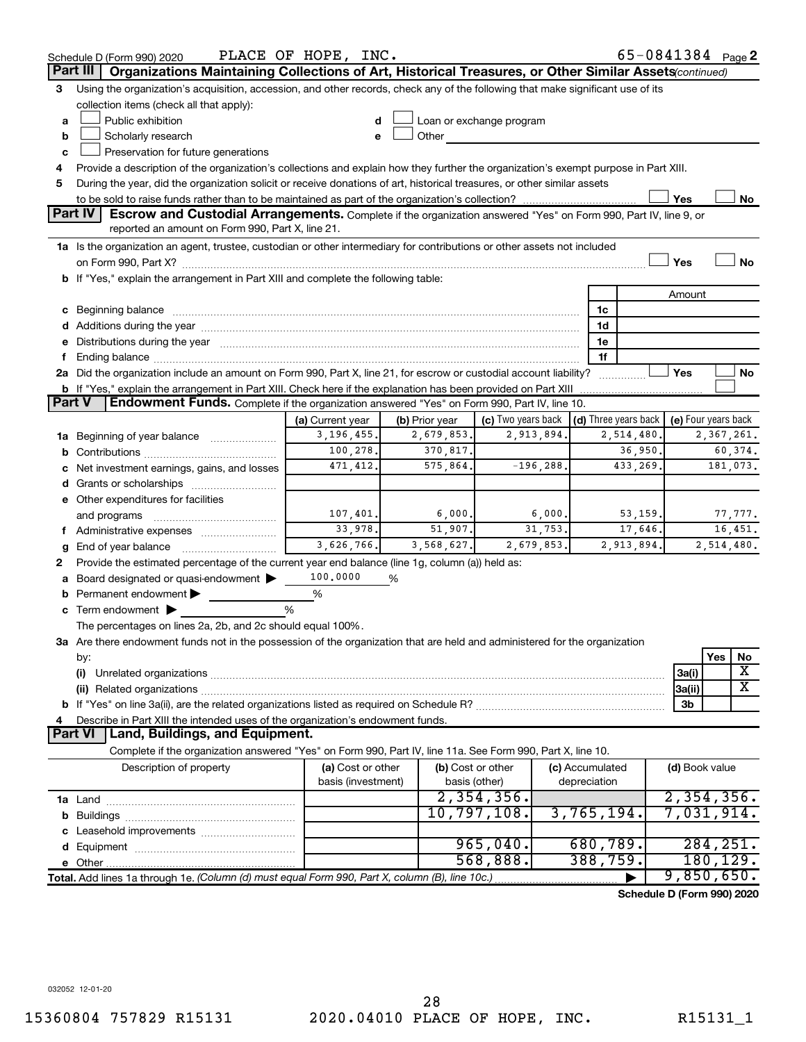|               | Schedule D (Form 990) 2020                                                                                                                                                                                                           | PLACE OF HOPE, INC. |                |                                                                                                                                                                                                                               |                 | 65-0841384 Page 2                |
|---------------|--------------------------------------------------------------------------------------------------------------------------------------------------------------------------------------------------------------------------------------|---------------------|----------------|-------------------------------------------------------------------------------------------------------------------------------------------------------------------------------------------------------------------------------|-----------------|----------------------------------|
|               | Part III<br>Organizations Maintaining Collections of Art, Historical Treasures, or Other Similar Assets(continued)                                                                                                                   |                     |                |                                                                                                                                                                                                                               |                 |                                  |
| 3             | Using the organization's acquisition, accession, and other records, check any of the following that make significant use of its                                                                                                      |                     |                |                                                                                                                                                                                                                               |                 |                                  |
|               | collection items (check all that apply):                                                                                                                                                                                             |                     |                |                                                                                                                                                                                                                               |                 |                                  |
| a             | Public exhibition                                                                                                                                                                                                                    | d                   |                | Loan or exchange program                                                                                                                                                                                                      |                 |                                  |
| b             | Scholarly research                                                                                                                                                                                                                   |                     |                | Other and the contract of the contract of the contract of the contract of the contract of the contract of the contract of the contract of the contract of the contract of the contract of the contract of the contract of the |                 |                                  |
| c             | Preservation for future generations                                                                                                                                                                                                  |                     |                |                                                                                                                                                                                                                               |                 |                                  |
| 4             | Provide a description of the organization's collections and explain how they further the organization's exempt purpose in Part XIII.                                                                                                 |                     |                |                                                                                                                                                                                                                               |                 |                                  |
| 5             | During the year, did the organization solicit or receive donations of art, historical treasures, or other similar assets                                                                                                             |                     |                |                                                                                                                                                                                                                               |                 |                                  |
|               |                                                                                                                                                                                                                                      |                     |                |                                                                                                                                                                                                                               |                 | Yes<br>No                        |
|               | Part IV<br><b>Escrow and Custodial Arrangements.</b> Complete if the organization answered "Yes" on Form 990, Part IV, line 9, or<br>reported an amount on Form 990, Part X, line 21.                                                |                     |                |                                                                                                                                                                                                                               |                 |                                  |
|               |                                                                                                                                                                                                                                      |                     |                |                                                                                                                                                                                                                               |                 |                                  |
|               | 1a Is the organization an agent, trustee, custodian or other intermediary for contributions or other assets not included                                                                                                             |                     |                |                                                                                                                                                                                                                               |                 | <b>No</b><br>Yes                 |
|               |                                                                                                                                                                                                                                      |                     |                |                                                                                                                                                                                                                               |                 |                                  |
|               | b If "Yes," explain the arrangement in Part XIII and complete the following table:                                                                                                                                                   |                     |                |                                                                                                                                                                                                                               |                 | Amount                           |
|               |                                                                                                                                                                                                                                      |                     |                |                                                                                                                                                                                                                               |                 |                                  |
|               | c Beginning balance <b>contract to the contract of the contract of the contract of the contract of the contract of the contract of the contract of the contract of the contract of the contract of the contract of the contract </b> |                     |                |                                                                                                                                                                                                                               | 1c<br>1d        |                                  |
|               | d Additions during the year manufactured and an account of the year manufactured and account of the year manufactured and account of the year manufactured and account of the year manufactured and account of the year manufa       |                     |                |                                                                                                                                                                                                                               | 1e              |                                  |
| f.            | e Distributions during the year manufactured and a control of the year manufactured and a Distributions during the year                                                                                                              |                     |                |                                                                                                                                                                                                                               | 1f              |                                  |
|               | 2a Did the organization include an amount on Form 990, Part X, line 21, for escrow or custodial account liability?                                                                                                                   |                     |                |                                                                                                                                                                                                                               |                 | Yes<br>No                        |
|               |                                                                                                                                                                                                                                      |                     |                |                                                                                                                                                                                                                               | .               |                                  |
| <b>Part V</b> | Endowment Funds. Complete if the organization answered "Yes" on Form 990, Part IV, line 10.                                                                                                                                          |                     |                |                                                                                                                                                                                                                               |                 |                                  |
|               |                                                                                                                                                                                                                                      | (a) Current year    | (b) Prior year | (c) Two years back $\vert$ (d) Three years back $\vert$                                                                                                                                                                       |                 | (e) Four years back              |
|               | 1a Beginning of year balance                                                                                                                                                                                                         | 3, 196, 455.        | 2,679,853.     | 2,913,894.                                                                                                                                                                                                                    | 2,514,480.      | 2,367,261.                       |
|               |                                                                                                                                                                                                                                      | 100,278.            | 370,817.       |                                                                                                                                                                                                                               | 36,950.         | 60,374.                          |
|               | c Net investment earnings, gains, and losses                                                                                                                                                                                         | 471,412.            | 575,864.       | $-196, 288.$                                                                                                                                                                                                                  | 433,269.        | 181,073.                         |
|               | d Grants or scholarships                                                                                                                                                                                                             |                     |                |                                                                                                                                                                                                                               |                 |                                  |
|               | e Other expenditures for facilities                                                                                                                                                                                                  |                     |                |                                                                                                                                                                                                                               |                 |                                  |
|               | and programs                                                                                                                                                                                                                         | 107,401.            | 6,000.         | 6,000.                                                                                                                                                                                                                        | 53,159.         | 77,777.                          |
|               | f Administrative expenses                                                                                                                                                                                                            | 33,978.             | 51,907.        | 31, 753.                                                                                                                                                                                                                      | 17,646.         | 16,451.                          |
| g             |                                                                                                                                                                                                                                      | 3,626,766.          | 3,568,627.     | 2,679,853.                                                                                                                                                                                                                    | 2,913,894.      | 2,514,480.                       |
| 2             | Provide the estimated percentage of the current year end balance (line 1g, column (a)) held as:                                                                                                                                      |                     |                |                                                                                                                                                                                                                               |                 |                                  |
|               | a Board designated or quasi-endowment >                                                                                                                                                                                              | 100,0000            | %              |                                                                                                                                                                                                                               |                 |                                  |
| b             | Permanent endowment                                                                                                                                                                                                                  | %                   |                |                                                                                                                                                                                                                               |                 |                                  |
|               | $\mathbf c$ Term endowment $\blacktriangleright$                                                                                                                                                                                     | %                   |                |                                                                                                                                                                                                                               |                 |                                  |
|               | The percentages on lines 2a, 2b, and 2c should equal 100%.                                                                                                                                                                           |                     |                |                                                                                                                                                                                                                               |                 |                                  |
|               | 3a Are there endowment funds not in the possession of the organization that are held and administered for the organization                                                                                                           |                     |                |                                                                                                                                                                                                                               |                 |                                  |
|               | by:                                                                                                                                                                                                                                  |                     |                |                                                                                                                                                                                                                               |                 | Yes<br>No                        |
|               | (i)                                                                                                                                                                                                                                  |                     |                |                                                                                                                                                                                                                               |                 | X<br>3a(i)                       |
|               |                                                                                                                                                                                                                                      |                     |                |                                                                                                                                                                                                                               |                 | $\overline{\text{X}}$<br> 3a(ii) |
|               |                                                                                                                                                                                                                                      |                     |                |                                                                                                                                                                                                                               |                 | 3b                               |
| 4             | Describe in Part XIII the intended uses of the organization's endowment funds.                                                                                                                                                       |                     |                |                                                                                                                                                                                                                               |                 |                                  |
|               | Land, Buildings, and Equipment.<br><b>Part VI</b>                                                                                                                                                                                    |                     |                |                                                                                                                                                                                                                               |                 |                                  |
|               | Complete if the organization answered "Yes" on Form 990, Part IV, line 11a. See Form 990, Part X, line 10.                                                                                                                           |                     |                |                                                                                                                                                                                                                               |                 |                                  |
|               | Description of property                                                                                                                                                                                                              | (a) Cost or other   |                | (b) Cost or other                                                                                                                                                                                                             | (c) Accumulated | (d) Book value                   |
|               |                                                                                                                                                                                                                                      | basis (investment)  |                | basis (other)                                                                                                                                                                                                                 | depreciation    |                                  |
|               |                                                                                                                                                                                                                                      |                     |                | 2,354,356.                                                                                                                                                                                                                    |                 | 2,354,356.                       |
|               |                                                                                                                                                                                                                                      |                     |                | 10,797,108.                                                                                                                                                                                                                   | 3,765,194.      | 7,031,914.                       |
|               |                                                                                                                                                                                                                                      |                     |                |                                                                                                                                                                                                                               |                 |                                  |
|               |                                                                                                                                                                                                                                      |                     |                | 965,040.                                                                                                                                                                                                                      | 680,789.        | 284, 251.                        |
|               |                                                                                                                                                                                                                                      |                     |                | 568,888.                                                                                                                                                                                                                      | 388,759.        | 180,129.                         |
|               | Total. Add lines 1a through 1e. (Column (d) must equal Form 990, Part X, column (B), line 10c.)                                                                                                                                      |                     |                |                                                                                                                                                                                                                               |                 | 9,850,650.                       |
|               |                                                                                                                                                                                                                                      |                     |                |                                                                                                                                                                                                                               |                 | Schedule D (Form 990) 2020       |

032052 12-01-20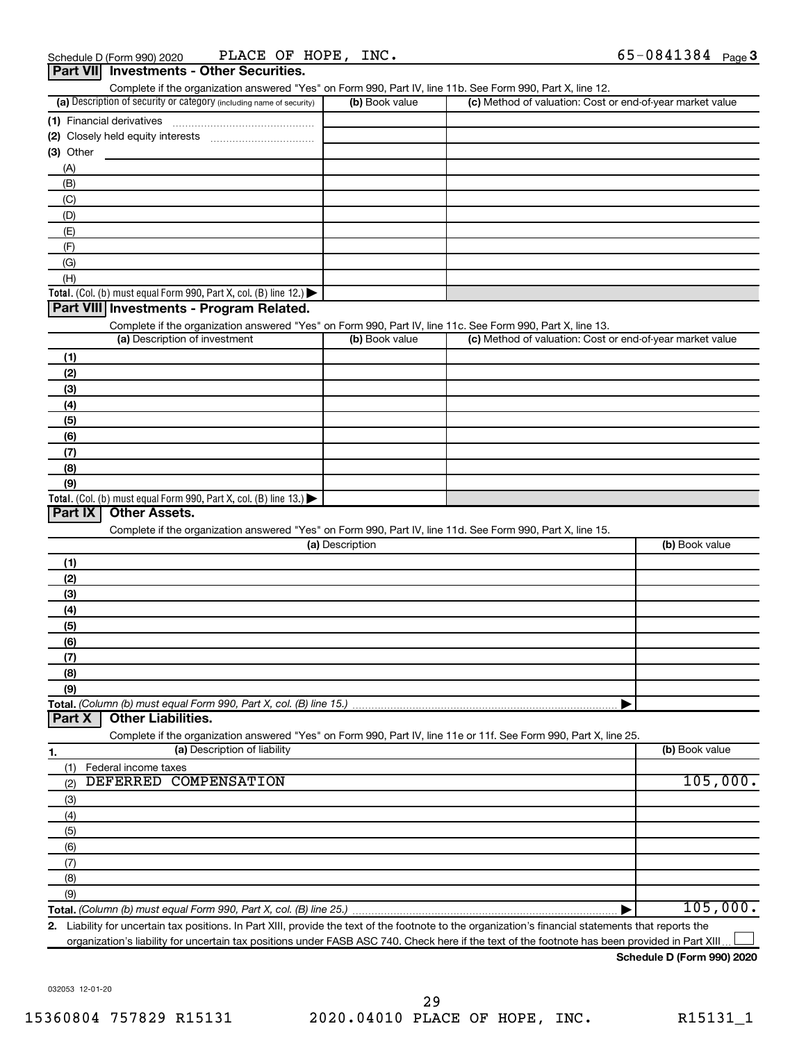| Complete if the organization answered "Yes" on Form 990, Part IV, line 11b. See Form 990, Part X, line 12.<br>(a) Description of security or category (including name of security) | (b) Book value  | (c) Method of valuation: Cost or end-of-year market value |                |
|------------------------------------------------------------------------------------------------------------------------------------------------------------------------------------|-----------------|-----------------------------------------------------------|----------------|
|                                                                                                                                                                                    |                 |                                                           |                |
| (1) Financial derivatives                                                                                                                                                          |                 |                                                           |                |
|                                                                                                                                                                                    |                 |                                                           |                |
| (3) Other                                                                                                                                                                          |                 |                                                           |                |
| (A)                                                                                                                                                                                |                 |                                                           |                |
| (B)                                                                                                                                                                                |                 |                                                           |                |
| (C)                                                                                                                                                                                |                 |                                                           |                |
| (D)                                                                                                                                                                                |                 |                                                           |                |
| (E)                                                                                                                                                                                |                 |                                                           |                |
| (F)                                                                                                                                                                                |                 |                                                           |                |
| (G)                                                                                                                                                                                |                 |                                                           |                |
| (H)                                                                                                                                                                                |                 |                                                           |                |
| <b>Total.</b> (Col. (b) must equal Form 990, Part X, col. (B) line 12.)                                                                                                            |                 |                                                           |                |
| Part VIII Investments - Program Related.                                                                                                                                           |                 |                                                           |                |
| Complete if the organization answered "Yes" on Form 990, Part IV, line 11c. See Form 990, Part X, line 13.                                                                         |                 |                                                           |                |
| (a) Description of investment                                                                                                                                                      | (b) Book value  | (c) Method of valuation: Cost or end-of-year market value |                |
| (1)                                                                                                                                                                                |                 |                                                           |                |
| (2)                                                                                                                                                                                |                 |                                                           |                |
| (3)                                                                                                                                                                                |                 |                                                           |                |
| (4)                                                                                                                                                                                |                 |                                                           |                |
| (5)                                                                                                                                                                                |                 |                                                           |                |
| (6)                                                                                                                                                                                |                 |                                                           |                |
|                                                                                                                                                                                    |                 |                                                           |                |
| (7)                                                                                                                                                                                |                 |                                                           |                |
| (8)                                                                                                                                                                                |                 |                                                           |                |
| (9)                                                                                                                                                                                |                 |                                                           |                |
| <b>Total.</b> (Col. (b) must equal Form 990, Part X, col. (B) line 13.)<br>Part IX<br><b>Other Assets.</b>                                                                         |                 |                                                           |                |
|                                                                                                                                                                                    |                 |                                                           |                |
| Complete if the organization answered "Yes" on Form 990, Part IV, line 11d. See Form 990, Part X, line 15.                                                                         |                 |                                                           |                |
|                                                                                                                                                                                    | (a) Description |                                                           | (b) Book value |
| (1)                                                                                                                                                                                |                 |                                                           |                |
| (2)                                                                                                                                                                                |                 |                                                           |                |
| (3)                                                                                                                                                                                |                 |                                                           |                |
| (4)                                                                                                                                                                                |                 |                                                           |                |
| (5)                                                                                                                                                                                |                 |                                                           |                |
| (6)                                                                                                                                                                                |                 |                                                           |                |
| (7)                                                                                                                                                                                |                 |                                                           |                |
| (8)                                                                                                                                                                                |                 |                                                           |                |
| (9)                                                                                                                                                                                |                 |                                                           |                |
| Total. (Column (b) must equal Form 990, Part X, col. (B) line 15.)                                                                                                                 |                 |                                                           |                |
| <b>Other Liabilities.</b><br>Part X                                                                                                                                                |                 |                                                           |                |
| Complete if the organization answered "Yes" on Form 990, Part IV, line 11e or 11f. See Form 990, Part X, line 25.                                                                  |                 |                                                           |                |
| (a) Description of liability<br>1.                                                                                                                                                 |                 |                                                           | (b) Book value |
| Federal income taxes<br>(1)                                                                                                                                                        |                 |                                                           |                |
| DEFERRED COMPENSATION                                                                                                                                                              |                 |                                                           | 105,000.       |
| (2)                                                                                                                                                                                |                 |                                                           |                |
| (3)                                                                                                                                                                                |                 |                                                           |                |
| (4)                                                                                                                                                                                |                 |                                                           |                |
| (5)                                                                                                                                                                                |                 |                                                           |                |
| (6)                                                                                                                                                                                |                 |                                                           |                |
| (7)                                                                                                                                                                                |                 |                                                           |                |
|                                                                                                                                                                                    |                 |                                                           |                |
| (8)                                                                                                                                                                                |                 |                                                           |                |
| (9)                                                                                                                                                                                |                 |                                                           | 105,000.       |

**2.** Liability for uncertain tax positions. In Part XIII, provide the text of the footnote to the organization's financial statements that reports the organization's liability for uncertain tax positions under FASB ASC 740. Check here if the text of the footnote has been provided in Part XIII.  $\perp$ 

**Schedule D (Form 990) 2020**

032053 12-01-20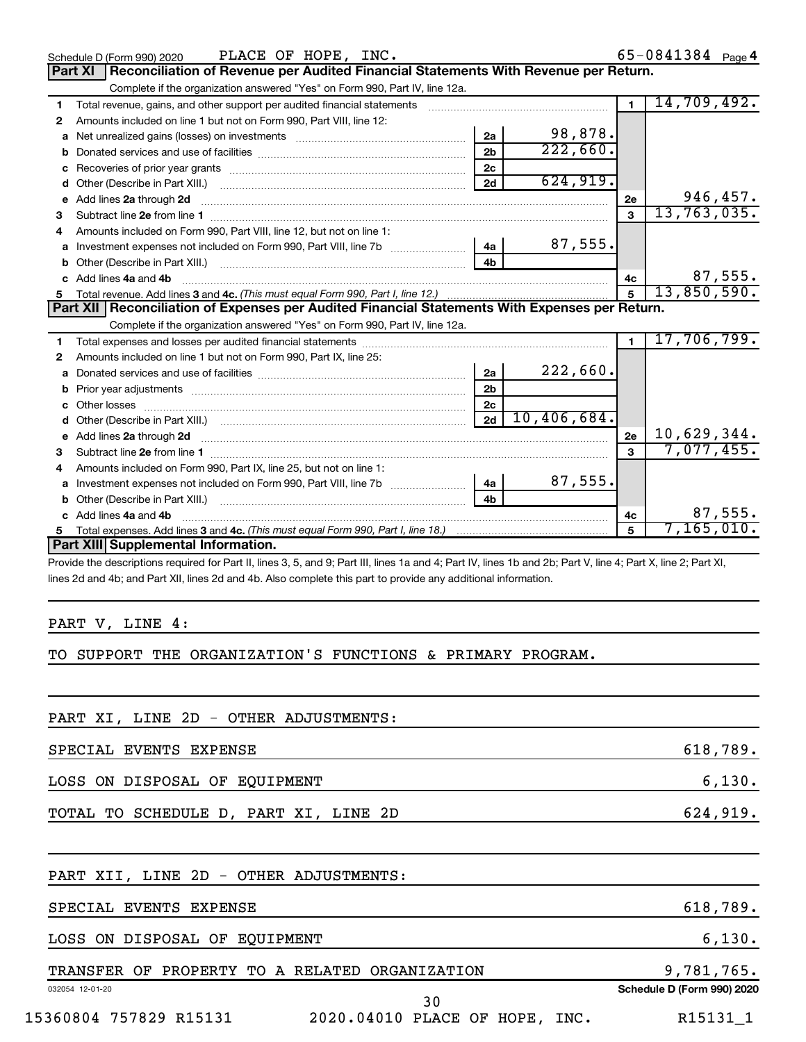|    | PLACE OF HOPE, INC.<br>Schedule D (Form 990) 2020                                                                                                                                                                                    |                |             |                | 65-0841384 Page 4 |
|----|--------------------------------------------------------------------------------------------------------------------------------------------------------------------------------------------------------------------------------------|----------------|-------------|----------------|-------------------|
|    | Reconciliation of Revenue per Audited Financial Statements With Revenue per Return.<br>Part XI                                                                                                                                       |                |             |                |                   |
|    | Complete if the organization answered "Yes" on Form 990, Part IV, line 12a.                                                                                                                                                          |                |             |                |                   |
| 1  | Total revenue, gains, and other support per audited financial statements [11] [11] Total revenue, gains, and other support per audited financial statements                                                                          |                |             | $\overline{1}$ | 14,709,492.       |
| 2  | Amounts included on line 1 but not on Form 990, Part VIII, line 12:                                                                                                                                                                  |                |             |                |                   |
| a  |                                                                                                                                                                                                                                      | 2a             | 98,878.     |                |                   |
| b  |                                                                                                                                                                                                                                      | 2 <sub>b</sub> | 222,660.    |                |                   |
| c  |                                                                                                                                                                                                                                      | 2c             |             |                |                   |
| d  |                                                                                                                                                                                                                                      | 2d             | 624,919.    |                |                   |
| е  | Add lines 2a through 2d <b>continuum continuum contract and all the contract of the contract of the contract of the contract of the contract of the contract of the contract of the contract of the contract of the contract of </b> |                |             | 2е             | 946,457.          |
| з  |                                                                                                                                                                                                                                      |                |             | $\mathbf{3}$   | 13, 763, 035.     |
| 4  | Amounts included on Form 990, Part VIII, line 12, but not on line 1:                                                                                                                                                                 |                |             |                |                   |
| a  |                                                                                                                                                                                                                                      | 4a             | 87,555.     |                |                   |
| b  |                                                                                                                                                                                                                                      | 4 <sub>h</sub> |             |                |                   |
| c. | Add lines 4a and 4b                                                                                                                                                                                                                  |                |             | 4c             | 87,555.           |
| 5  |                                                                                                                                                                                                                                      |                |             | 5              | 13,850,590.       |
|    | Part XII   Reconciliation of Expenses per Audited Financial Statements With Expenses per Return.                                                                                                                                     |                |             |                |                   |
|    |                                                                                                                                                                                                                                      |                |             |                |                   |
|    | Complete if the organization answered "Yes" on Form 990, Part IV, line 12a.                                                                                                                                                          |                |             |                |                   |
| 1  |                                                                                                                                                                                                                                      |                |             | $\mathbf{1}$   | 17,706,799.       |
| 2  | Amounts included on line 1 but not on Form 990, Part IX, line 25:                                                                                                                                                                    |                |             |                |                   |
| a  |                                                                                                                                                                                                                                      | 2a             | 222,660.    |                |                   |
| b  |                                                                                                                                                                                                                                      | 2 <sub>b</sub> |             |                |                   |
| C. |                                                                                                                                                                                                                                      | 2c             |             |                |                   |
| d  |                                                                                                                                                                                                                                      | 2d             | 10,406,684. |                |                   |
| e  | Add lines 2a through 2d                                                                                                                                                                                                              |                |             | 2e             | 10,629,344.       |
| 3  |                                                                                                                                                                                                                                      |                |             | 3              | 7,077,455.        |
| 4  | Amounts included on Form 990, Part IX, line 25, but not on line 1:                                                                                                                                                                   |                |             |                |                   |
| a  |                                                                                                                                                                                                                                      | 4a             | 87,555.     |                |                   |
|    | Other (Describe in Part XIII.) [100] [100] [100] [100] [100] [100] [100] [100] [100] [100] [100] [100] [100] [                                                                                                                       | 4 <sub>h</sub> |             |                |                   |
|    | c Add lines 4a and 4b                                                                                                                                                                                                                |                |             | 4с             | 87,555.           |
|    | Part XIII Supplemental Information.                                                                                                                                                                                                  |                |             | 5              | 7,165,010.        |

Provide the descriptions required for Part II, lines 3, 5, and 9; Part III, lines 1a and 4; Part IV, lines 1b and 2b; Part V, line 4; Part X, line 2; Part XI, lines 2d and 4b; and Part XII, lines 2d and 4b. Also complete this part to provide any additional information.

## PART V, LINE 4:

## TO SUPPORT THE ORGANIZATION'S FUNCTIONS & PRIMARY PROGRAM.

| PART XI, LINE 2D - OTHER ADJUSTMENTS:                    |                            |
|----------------------------------------------------------|----------------------------|
| SPECIAL EVENTS EXPENSE                                   | 618,789.                   |
| LOSS ON DISPOSAL OF EQUIPMENT                            | 6,130.                     |
| TOTAL TO SCHEDULE D, PART XI, LINE 2D                    | 624,919.                   |
|                                                          |                            |
| PART XII, LINE 2D - OTHER ADJUSTMENTS:                   |                            |
| SPECIAL EVENTS EXPENSE                                   | 618,789.                   |
| LOSS ON DISPOSAL OF EQUIPMENT                            | 6,130.                     |
| TRANSFER OF PROPERTY TO A RELATED ORGANIZATION           | 9,781,765.                 |
| 032054 12-01-20<br>30                                    | Schedule D (Form 990) 2020 |
| 15360804 757829 R15131<br>2020.04010 PLACE OF HOPE, INC. | R15131 1                   |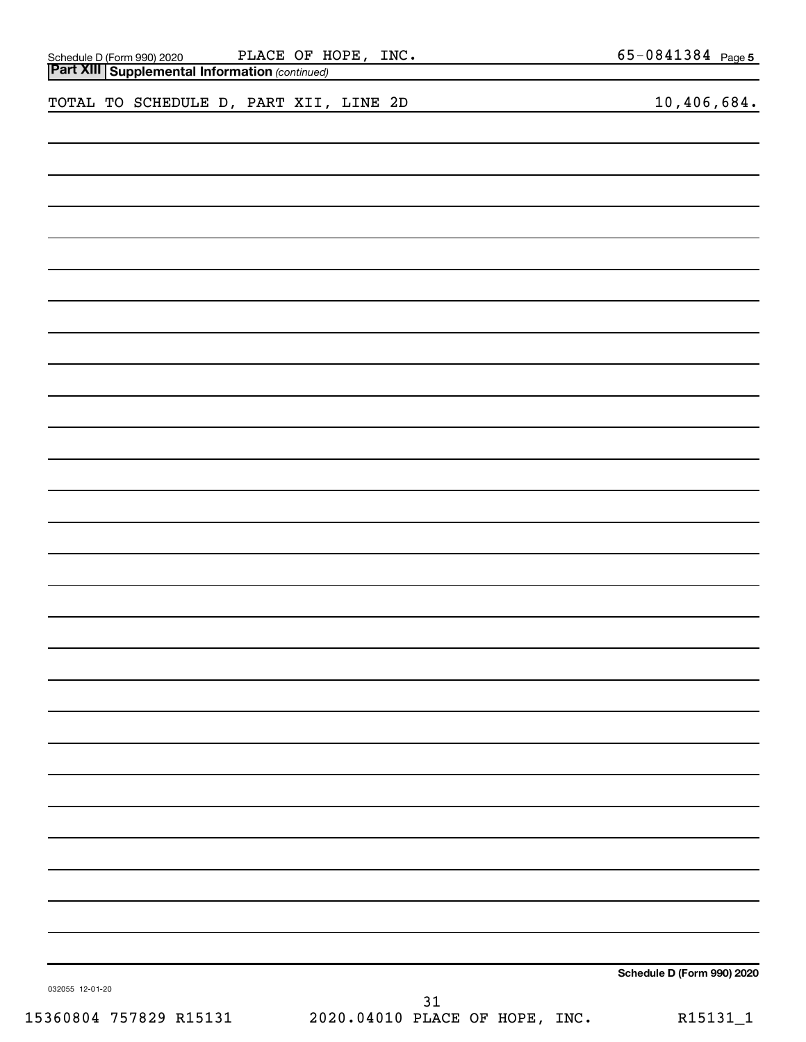| Schedule D (Form 990) 2020 PLACE OF H<br>Part XIII Supplemental Information (continued) | PLACE OF HOPE, INC. |    | $65 - 0841384$ Page 5      |
|-----------------------------------------------------------------------------------------|---------------------|----|----------------------------|
| TOTAL TO SCHEDULE D, PART XII, LINE 2D                                                  |                     |    | 10,406,684.                |
|                                                                                         |                     |    |                            |
|                                                                                         |                     |    |                            |
|                                                                                         |                     |    |                            |
|                                                                                         |                     |    |                            |
|                                                                                         |                     |    |                            |
|                                                                                         |                     |    |                            |
|                                                                                         |                     |    |                            |
|                                                                                         |                     |    |                            |
|                                                                                         |                     |    |                            |
|                                                                                         |                     |    |                            |
|                                                                                         |                     |    |                            |
|                                                                                         |                     |    |                            |
|                                                                                         |                     |    |                            |
|                                                                                         |                     |    |                            |
|                                                                                         |                     |    |                            |
|                                                                                         |                     |    |                            |
|                                                                                         |                     |    |                            |
|                                                                                         |                     |    |                            |
|                                                                                         |                     |    |                            |
|                                                                                         |                     |    |                            |
|                                                                                         |                     |    |                            |
|                                                                                         |                     |    |                            |
|                                                                                         |                     |    |                            |
|                                                                                         |                     |    |                            |
|                                                                                         |                     |    |                            |
| 032055 12-01-20                                                                         |                     | 31 | Schedule D (Form 990) 2020 |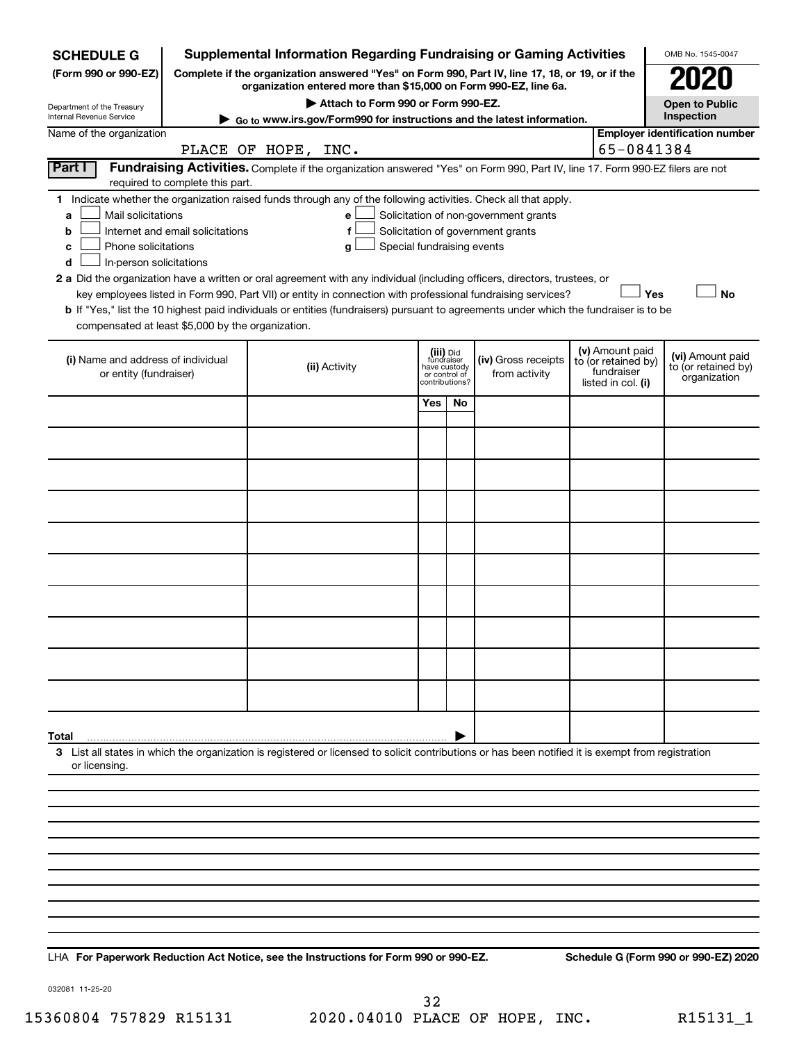| <b>SCHEDULE G</b>                                                                                                                                                                 |                                                                                                                                                                     | <b>Supplemental Information Regarding Fundraising or Gaming Activities</b>                                                                                                                                                                                                                                                                                                                                                                                                                                                                         |                                                          |                |                                                                            |  |                                                         | OMB No. 1545-0047                                       |  |
|-----------------------------------------------------------------------------------------------------------------------------------------------------------------------------------|---------------------------------------------------------------------------------------------------------------------------------------------------------------------|----------------------------------------------------------------------------------------------------------------------------------------------------------------------------------------------------------------------------------------------------------------------------------------------------------------------------------------------------------------------------------------------------------------------------------------------------------------------------------------------------------------------------------------------------|----------------------------------------------------------|----------------|----------------------------------------------------------------------------|--|---------------------------------------------------------|---------------------------------------------------------|--|
| (Form 990 or 990-EZ)                                                                                                                                                              | Complete if the organization answered "Yes" on Form 990, Part IV, line 17, 18, or 19, or if the<br>organization entered more than \$15,000 on Form 990-EZ, line 6a. |                                                                                                                                                                                                                                                                                                                                                                                                                                                                                                                                                    |                                                          |                |                                                                            |  |                                                         |                                                         |  |
| Department of the Treasury                                                                                                                                                        | Attach to Form 990 or Form 990-EZ.<br><b>Open to Public</b><br>Inspection                                                                                           |                                                                                                                                                                                                                                                                                                                                                                                                                                                                                                                                                    |                                                          |                |                                                                            |  |                                                         |                                                         |  |
| Internal Revenue Service                                                                                                                                                          | ► Go to www.irs.gov/Form990 for instructions and the latest information.                                                                                            |                                                                                                                                                                                                                                                                                                                                                                                                                                                                                                                                                    |                                                          |                |                                                                            |  |                                                         |                                                         |  |
| Name of the organization                                                                                                                                                          |                                                                                                                                                                     | PLACE OF HOPE, INC.                                                                                                                                                                                                                                                                                                                                                                                                                                                                                                                                |                                                          |                |                                                                            |  | 65-0841384                                              | <b>Employer identification number</b>                   |  |
| Part I<br>required to complete this part.                                                                                                                                         |                                                                                                                                                                     | Fundraising Activities. Complete if the organization answered "Yes" on Form 990, Part IV, line 17. Form 990-EZ filers are not                                                                                                                                                                                                                                                                                                                                                                                                                      |                                                          |                |                                                                            |  |                                                         |                                                         |  |
| Mail solicitations<br>a<br>Internet and email solicitations<br>b<br>Phone solicitations<br>с<br>In-person solicitations<br>d<br>compensated at least \$5,000 by the organization. |                                                                                                                                                                     | 1 Indicate whether the organization raised funds through any of the following activities. Check all that apply.<br>е<br>f<br>Special fundraising events<br>g<br>2 a Did the organization have a written or oral agreement with any individual (including officers, directors, trustees, or<br>key employees listed in Form 990, Part VII) or entity in connection with professional fundraising services?<br>b If "Yes," list the 10 highest paid individuals or entities (fundraisers) pursuant to agreements under which the fundraiser is to be |                                                          |                | Solicitation of non-government grants<br>Solicitation of government grants |  | Yes<br>(v) Amount paid                                  | <b>No</b>                                               |  |
| (i) Name and address of individual<br>or entity (fundraiser)                                                                                                                      |                                                                                                                                                                     | (ii) Activity                                                                                                                                                                                                                                                                                                                                                                                                                                                                                                                                      | (iii) Did<br>fundraiser<br>have custody<br>or control of | contributions? | (iv) Gross receipts<br>from activity                                       |  | to (or retained by)<br>fundraiser<br>listed in col. (i) | (vi) Amount paid<br>to (or retained by)<br>organization |  |
|                                                                                                                                                                                   |                                                                                                                                                                     |                                                                                                                                                                                                                                                                                                                                                                                                                                                                                                                                                    | Yes                                                      | No             |                                                                            |  |                                                         |                                                         |  |
|                                                                                                                                                                                   |                                                                                                                                                                     |                                                                                                                                                                                                                                                                                                                                                                                                                                                                                                                                                    |                                                          |                |                                                                            |  |                                                         |                                                         |  |
|                                                                                                                                                                                   |                                                                                                                                                                     |                                                                                                                                                                                                                                                                                                                                                                                                                                                                                                                                                    |                                                          |                |                                                                            |  |                                                         |                                                         |  |
|                                                                                                                                                                                   |                                                                                                                                                                     |                                                                                                                                                                                                                                                                                                                                                                                                                                                                                                                                                    |                                                          |                |                                                                            |  |                                                         |                                                         |  |
|                                                                                                                                                                                   |                                                                                                                                                                     |                                                                                                                                                                                                                                                                                                                                                                                                                                                                                                                                                    |                                                          |                |                                                                            |  |                                                         |                                                         |  |
|                                                                                                                                                                                   |                                                                                                                                                                     |                                                                                                                                                                                                                                                                                                                                                                                                                                                                                                                                                    |                                                          |                |                                                                            |  |                                                         |                                                         |  |
|                                                                                                                                                                                   |                                                                                                                                                                     |                                                                                                                                                                                                                                                                                                                                                                                                                                                                                                                                                    |                                                          |                |                                                                            |  |                                                         |                                                         |  |
|                                                                                                                                                                                   |                                                                                                                                                                     |                                                                                                                                                                                                                                                                                                                                                                                                                                                                                                                                                    |                                                          |                |                                                                            |  |                                                         |                                                         |  |
|                                                                                                                                                                                   |                                                                                                                                                                     |                                                                                                                                                                                                                                                                                                                                                                                                                                                                                                                                                    |                                                          |                |                                                                            |  |                                                         |                                                         |  |
|                                                                                                                                                                                   |                                                                                                                                                                     |                                                                                                                                                                                                                                                                                                                                                                                                                                                                                                                                                    |                                                          |                |                                                                            |  |                                                         |                                                         |  |
| Total                                                                                                                                                                             |                                                                                                                                                                     |                                                                                                                                                                                                                                                                                                                                                                                                                                                                                                                                                    |                                                          |                |                                                                            |  |                                                         |                                                         |  |
| or licensing.                                                                                                                                                                     |                                                                                                                                                                     | 3 List all states in which the organization is registered or licensed to solicit contributions or has been notified it is exempt from registration                                                                                                                                                                                                                                                                                                                                                                                                 |                                                          |                |                                                                            |  |                                                         |                                                         |  |
|                                                                                                                                                                                   |                                                                                                                                                                     |                                                                                                                                                                                                                                                                                                                                                                                                                                                                                                                                                    |                                                          |                |                                                                            |  |                                                         |                                                         |  |
|                                                                                                                                                                                   |                                                                                                                                                                     |                                                                                                                                                                                                                                                                                                                                                                                                                                                                                                                                                    |                                                          |                |                                                                            |  |                                                         |                                                         |  |
|                                                                                                                                                                                   |                                                                                                                                                                     |                                                                                                                                                                                                                                                                                                                                                                                                                                                                                                                                                    |                                                          |                |                                                                            |  |                                                         |                                                         |  |
|                                                                                                                                                                                   |                                                                                                                                                                     |                                                                                                                                                                                                                                                                                                                                                                                                                                                                                                                                                    |                                                          |                |                                                                            |  |                                                         |                                                         |  |
|                                                                                                                                                                                   |                                                                                                                                                                     |                                                                                                                                                                                                                                                                                                                                                                                                                                                                                                                                                    |                                                          |                |                                                                            |  |                                                         |                                                         |  |
|                                                                                                                                                                                   |                                                                                                                                                                     |                                                                                                                                                                                                                                                                                                                                                                                                                                                                                                                                                    |                                                          |                |                                                                            |  |                                                         |                                                         |  |
|                                                                                                                                                                                   |                                                                                                                                                                     |                                                                                                                                                                                                                                                                                                                                                                                                                                                                                                                                                    |                                                          |                |                                                                            |  |                                                         |                                                         |  |

**For Paperwork Reduction Act Notice, see the Instructions for Form 990 or 990-EZ. Schedule G (Form 990 or 990-EZ) 2020** LHA

032081 11-25-20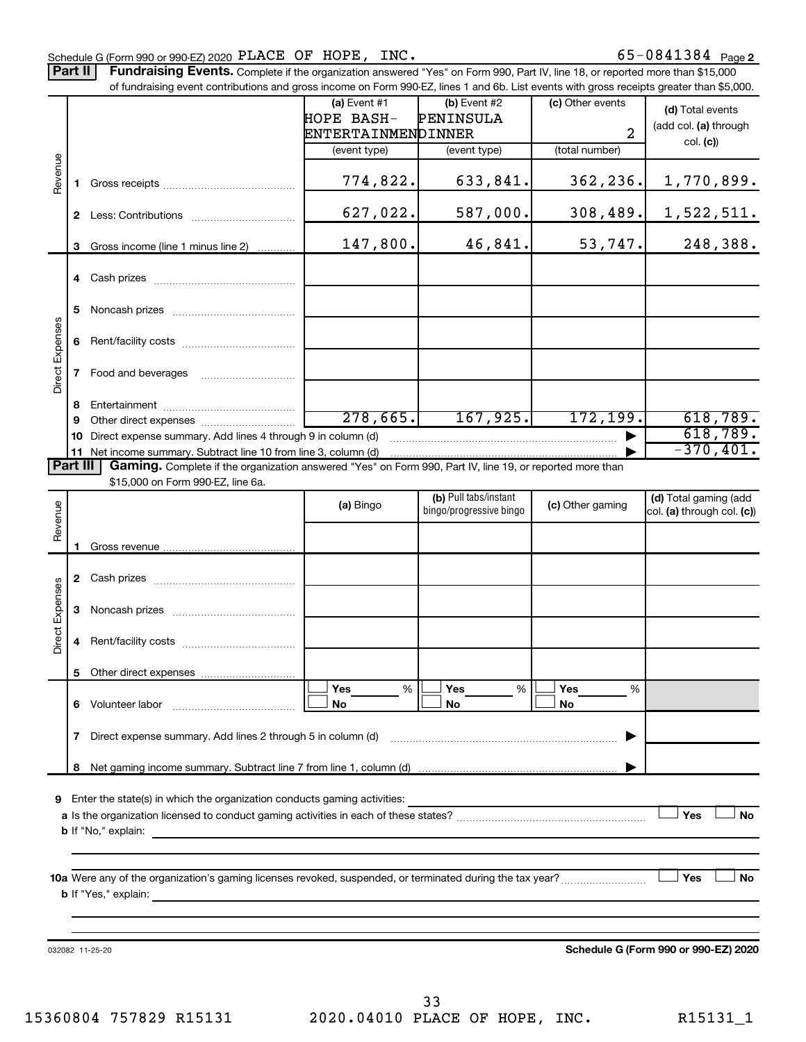## Schedule G (Form 990 or 990-EZ) 2020  $\rm \bf \texttt{PLACE}$   $\rm \bf OF$   $\rm \bf HOPE$ ,  $\rm \bf \texttt{INC.}$  65 - 0841384  $\rm \texttt{Page}$

Part II | Fundraising Events. Complete if the organization answered "Yes" on Form 990, Part IV, line 18, or reported more than \$15,000 of fundraising event contributions and gross income on Form 990-EZ, lines 1 and 6b. List events with gross receipts greater than \$5,000.

|                        |              | OFfundraising event continuutions and gross income on Form 990-EZ, illies T and OD. Elst events with gross receipts greater than \$0,000. |                              |                                                  |                  |                                                     |
|------------------------|--------------|-------------------------------------------------------------------------------------------------------------------------------------------|------------------------------|--------------------------------------------------|------------------|-----------------------------------------------------|
|                        |              |                                                                                                                                           | (a) Event $#1$<br>HOPE BASH- | $(b)$ Event #2<br>PENINSULA                      | (c) Other events | (d) Total events                                    |
|                        |              |                                                                                                                                           |                              |                                                  | $\overline{a}$   | (add col. (a) through                               |
|                        |              |                                                                                                                                           | ENTERTAINMENDINNER           |                                                  |                  | col. (c)                                            |
|                        |              |                                                                                                                                           | (event type)                 | (event type)                                     | (total number)   |                                                     |
| Revenue                | 1.           |                                                                                                                                           | 774,822.                     | 633,841.                                         | 362,236.         | 1,770,899.                                          |
|                        |              |                                                                                                                                           | 627,022.                     | 587,000.                                         | 308,489.         | <u>1,522,511.</u>                                   |
|                        | 3            | Gross income (line 1 minus line 2)                                                                                                        | 147,800.                     | 46,841.                                          | 53,747.          | 248,388.                                            |
|                        |              |                                                                                                                                           |                              |                                                  |                  |                                                     |
|                        | 5.           |                                                                                                                                           |                              |                                                  |                  |                                                     |
|                        |              |                                                                                                                                           |                              |                                                  |                  |                                                     |
| <b>Direct Expenses</b> |              | 7 Food and beverages                                                                                                                      |                              |                                                  |                  |                                                     |
|                        | 8            |                                                                                                                                           |                              |                                                  |                  |                                                     |
|                        | 9            |                                                                                                                                           | 278,665.                     | 167, 925.                                        | 172, 199.        | 618,789.                                            |
|                        | 10           | Direct expense summary. Add lines 4 through 9 in column (d)                                                                               |                              |                                                  |                  | 618,789.                                            |
|                        |              | 11 Net income summary. Subtract line 10 from line 3, column (d)                                                                           |                              |                                                  |                  | $-370,401.$                                         |
| Part III               |              | Gaming. Complete if the organization answered "Yes" on Form 990, Part IV, line 19, or reported more than                                  |                              |                                                  |                  |                                                     |
|                        |              | \$15,000 on Form 990-EZ, line 6a.                                                                                                         |                              |                                                  |                  |                                                     |
| Revenue                |              |                                                                                                                                           | (a) Bingo                    | (b) Pull tabs/instant<br>bingo/progressive bingo | (c) Other gaming | (d) Total gaming (add<br>col. (a) through col. (c)) |
|                        |              |                                                                                                                                           |                              |                                                  |                  |                                                     |
|                        | 1.           |                                                                                                                                           |                              |                                                  |                  |                                                     |
|                        |              |                                                                                                                                           |                              |                                                  |                  |                                                     |
| <b>Direct Expenses</b> |              |                                                                                                                                           |                              |                                                  |                  |                                                     |
|                        | 4            |                                                                                                                                           |                              |                                                  |                  |                                                     |
|                        |              |                                                                                                                                           |                              |                                                  |                  |                                                     |
|                        |              |                                                                                                                                           | <b>Yes</b><br>%              | Yes<br>%                                         | Yes<br>%         |                                                     |
|                        |              | 6 Volunteer labor                                                                                                                         | No                           | No                                               | No               |                                                     |
|                        | $\mathbf{7}$ | Direct expense summary. Add lines 2 through 5 in column (d)                                                                               |                              |                                                  |                  |                                                     |
|                        | 8            |                                                                                                                                           |                              |                                                  |                  |                                                     |
|                        |              | 9 Enter the state(s) in which the organization conducts gaming activities:<br><b>b</b> If "No," explain:                                  |                              |                                                  |                  | Yes<br>No                                           |
|                        |              |                                                                                                                                           |                              |                                                  |                  |                                                     |
|                        |              | 10a Were any of the organization's gaming licenses revoked, suspended, or terminated during the tax year?<br><b>b</b> If "Yes," explain:  |                              |                                                  |                  | Yes<br>No                                           |
|                        |              |                                                                                                                                           |                              |                                                  |                  |                                                     |
|                        |              |                                                                                                                                           |                              |                                                  |                  |                                                     |
|                        |              | 032082 11-25-20                                                                                                                           |                              |                                                  |                  | Schedule G (Form 990 or 990-EZ) 2020                |
|                        |              |                                                                                                                                           |                              |                                                  |                  |                                                     |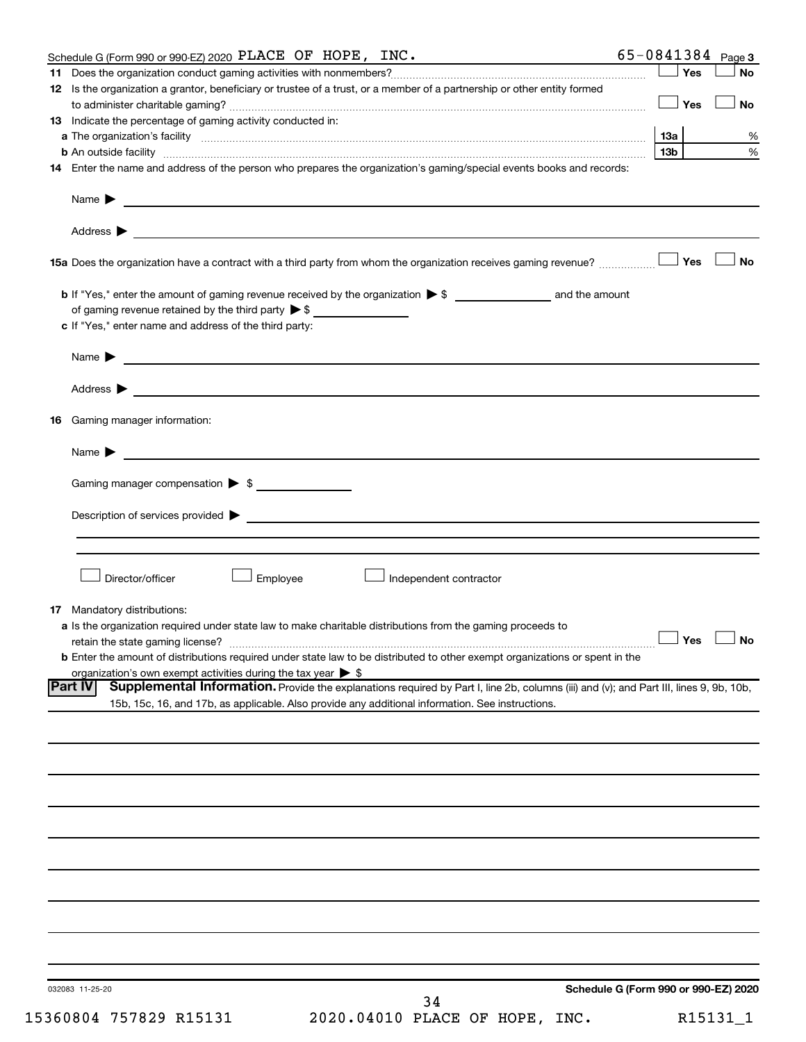| Yes<br><b>No</b><br>12 Is the organization a grantor, beneficiary or trustee of a trust, or a member of a partnership or other entity formed<br>Yes<br><b>No</b><br><b>13</b> Indicate the percentage of gaming activity conducted in:<br>13а<br>%<br>13 <sub>b</sub><br>$\%$<br><b>b</b> An outside facility <i>www.communicality www.communicality.communicality www.communicality www.communicality www.communicality www.communicality www.communicality www.communicality.com</i><br>14 Enter the name and address of the person who prepares the organization's gaming/special events books and records:<br>Name $\blacktriangleright$<br><u> 1989 - Johann Stein, marwolaethau a bhann an t-Amhainn an t-Amhainn an t-Amhainn an t-Amhainn an t-Amhainn an</u><br>Yes<br><b>No</b><br>15a Does the organization have a contract with a third party from whom the organization receives gaming revenue?<br>of gaming revenue retained by the third party $\triangleright$ \$<br>c If "Yes," enter name and address of the third party:<br><u> 1989 - Johann Barbara, martin amerikan basal dan berasal dan berasal dalam basal dan berasal dalam berasal da</u><br>Name $\blacktriangleright$<br><b>16</b> Gaming manager information:<br><u> 1989 - Johann Harry Barn, mars and de Branch and de Branch and de Branch and de Branch and de Branch and de B</u><br>Name $\blacktriangleright$<br>Gaming manager compensation $\triangleright$ \$<br>Director/officer<br>Employee<br>Independent contractor<br><b>17</b> Mandatory distributions:<br>a Is the organization required under state law to make charitable distributions from the gaming proceeds to<br>$\Box$ Yes $\ \bot$<br>retain the state gaming license?<br><b>b</b> Enter the amount of distributions required under state law to be distributed to other exempt organizations or spent in the<br>organization's own exempt activities during the tax year $\triangleright$ \$<br><b>Part IV</b><br>Supplemental Information. Provide the explanations required by Part I, line 2b, columns (iii) and (v); and Part III, lines 9, 9b, 10b,<br>15b, 15c, 16, and 17b, as applicable. Also provide any additional information. See instructions.<br>032083 11-25-20<br>34 | Schedule G (Form 990 or 990-EZ) 2020 PLACE OF HOPE, INC. |  | $65 - 0841384$ Page 3 |
|--------------------------------------------------------------------------------------------------------------------------------------------------------------------------------------------------------------------------------------------------------------------------------------------------------------------------------------------------------------------------------------------------------------------------------------------------------------------------------------------------------------------------------------------------------------------------------------------------------------------------------------------------------------------------------------------------------------------------------------------------------------------------------------------------------------------------------------------------------------------------------------------------------------------------------------------------------------------------------------------------------------------------------------------------------------------------------------------------------------------------------------------------------------------------------------------------------------------------------------------------------------------------------------------------------------------------------------------------------------------------------------------------------------------------------------------------------------------------------------------------------------------------------------------------------------------------------------------------------------------------------------------------------------------------------------------------------------------------------------------------------------------------------------------------------------------------------------------------------------------------------------------------------------------------------------------------------------------------------------------------------------------------------------------------------------------------------------------------------------------------------------------------------------------------------------------------------------------------------------------------|----------------------------------------------------------|--|-----------------------|
|                                                                                                                                                                                                                                                                                                                                                                                                                                                                                                                                                                                                                                                                                                                                                                                                                                                                                                                                                                                                                                                                                                                                                                                                                                                                                                                                                                                                                                                                                                                                                                                                                                                                                                                                                                                                                                                                                                                                                                                                                                                                                                                                                                                                                                                  |                                                          |  |                       |
|                                                                                                                                                                                                                                                                                                                                                                                                                                                                                                                                                                                                                                                                                                                                                                                                                                                                                                                                                                                                                                                                                                                                                                                                                                                                                                                                                                                                                                                                                                                                                                                                                                                                                                                                                                                                                                                                                                                                                                                                                                                                                                                                                                                                                                                  |                                                          |  |                       |
|                                                                                                                                                                                                                                                                                                                                                                                                                                                                                                                                                                                                                                                                                                                                                                                                                                                                                                                                                                                                                                                                                                                                                                                                                                                                                                                                                                                                                                                                                                                                                                                                                                                                                                                                                                                                                                                                                                                                                                                                                                                                                                                                                                                                                                                  |                                                          |  |                       |
|                                                                                                                                                                                                                                                                                                                                                                                                                                                                                                                                                                                                                                                                                                                                                                                                                                                                                                                                                                                                                                                                                                                                                                                                                                                                                                                                                                                                                                                                                                                                                                                                                                                                                                                                                                                                                                                                                                                                                                                                                                                                                                                                                                                                                                                  |                                                          |  |                       |
|                                                                                                                                                                                                                                                                                                                                                                                                                                                                                                                                                                                                                                                                                                                                                                                                                                                                                                                                                                                                                                                                                                                                                                                                                                                                                                                                                                                                                                                                                                                                                                                                                                                                                                                                                                                                                                                                                                                                                                                                                                                                                                                                                                                                                                                  |                                                          |  |                       |
|                                                                                                                                                                                                                                                                                                                                                                                                                                                                                                                                                                                                                                                                                                                                                                                                                                                                                                                                                                                                                                                                                                                                                                                                                                                                                                                                                                                                                                                                                                                                                                                                                                                                                                                                                                                                                                                                                                                                                                                                                                                                                                                                                                                                                                                  |                                                          |  |                       |
|                                                                                                                                                                                                                                                                                                                                                                                                                                                                                                                                                                                                                                                                                                                                                                                                                                                                                                                                                                                                                                                                                                                                                                                                                                                                                                                                                                                                                                                                                                                                                                                                                                                                                                                                                                                                                                                                                                                                                                                                                                                                                                                                                                                                                                                  |                                                          |  |                       |
|                                                                                                                                                                                                                                                                                                                                                                                                                                                                                                                                                                                                                                                                                                                                                                                                                                                                                                                                                                                                                                                                                                                                                                                                                                                                                                                                                                                                                                                                                                                                                                                                                                                                                                                                                                                                                                                                                                                                                                                                                                                                                                                                                                                                                                                  |                                                          |  |                       |
|                                                                                                                                                                                                                                                                                                                                                                                                                                                                                                                                                                                                                                                                                                                                                                                                                                                                                                                                                                                                                                                                                                                                                                                                                                                                                                                                                                                                                                                                                                                                                                                                                                                                                                                                                                                                                                                                                                                                                                                                                                                                                                                                                                                                                                                  |                                                          |  |                       |
|                                                                                                                                                                                                                                                                                                                                                                                                                                                                                                                                                                                                                                                                                                                                                                                                                                                                                                                                                                                                                                                                                                                                                                                                                                                                                                                                                                                                                                                                                                                                                                                                                                                                                                                                                                                                                                                                                                                                                                                                                                                                                                                                                                                                                                                  |                                                          |  |                       |
|                                                                                                                                                                                                                                                                                                                                                                                                                                                                                                                                                                                                                                                                                                                                                                                                                                                                                                                                                                                                                                                                                                                                                                                                                                                                                                                                                                                                                                                                                                                                                                                                                                                                                                                                                                                                                                                                                                                                                                                                                                                                                                                                                                                                                                                  |                                                          |  |                       |
|                                                                                                                                                                                                                                                                                                                                                                                                                                                                                                                                                                                                                                                                                                                                                                                                                                                                                                                                                                                                                                                                                                                                                                                                                                                                                                                                                                                                                                                                                                                                                                                                                                                                                                                                                                                                                                                                                                                                                                                                                                                                                                                                                                                                                                                  |                                                          |  |                       |
|                                                                                                                                                                                                                                                                                                                                                                                                                                                                                                                                                                                                                                                                                                                                                                                                                                                                                                                                                                                                                                                                                                                                                                                                                                                                                                                                                                                                                                                                                                                                                                                                                                                                                                                                                                                                                                                                                                                                                                                                                                                                                                                                                                                                                                                  |                                                          |  |                       |
|                                                                                                                                                                                                                                                                                                                                                                                                                                                                                                                                                                                                                                                                                                                                                                                                                                                                                                                                                                                                                                                                                                                                                                                                                                                                                                                                                                                                                                                                                                                                                                                                                                                                                                                                                                                                                                                                                                                                                                                                                                                                                                                                                                                                                                                  |                                                          |  |                       |
|                                                                                                                                                                                                                                                                                                                                                                                                                                                                                                                                                                                                                                                                                                                                                                                                                                                                                                                                                                                                                                                                                                                                                                                                                                                                                                                                                                                                                                                                                                                                                                                                                                                                                                                                                                                                                                                                                                                                                                                                                                                                                                                                                                                                                                                  |                                                          |  |                       |
|                                                                                                                                                                                                                                                                                                                                                                                                                                                                                                                                                                                                                                                                                                                                                                                                                                                                                                                                                                                                                                                                                                                                                                                                                                                                                                                                                                                                                                                                                                                                                                                                                                                                                                                                                                                                                                                                                                                                                                                                                                                                                                                                                                                                                                                  |                                                          |  |                       |
|                                                                                                                                                                                                                                                                                                                                                                                                                                                                                                                                                                                                                                                                                                                                                                                                                                                                                                                                                                                                                                                                                                                                                                                                                                                                                                                                                                                                                                                                                                                                                                                                                                                                                                                                                                                                                                                                                                                                                                                                                                                                                                                                                                                                                                                  |                                                          |  |                       |
|                                                                                                                                                                                                                                                                                                                                                                                                                                                                                                                                                                                                                                                                                                                                                                                                                                                                                                                                                                                                                                                                                                                                                                                                                                                                                                                                                                                                                                                                                                                                                                                                                                                                                                                                                                                                                                                                                                                                                                                                                                                                                                                                                                                                                                                  |                                                          |  |                       |
|                                                                                                                                                                                                                                                                                                                                                                                                                                                                                                                                                                                                                                                                                                                                                                                                                                                                                                                                                                                                                                                                                                                                                                                                                                                                                                                                                                                                                                                                                                                                                                                                                                                                                                                                                                                                                                                                                                                                                                                                                                                                                                                                                                                                                                                  |                                                          |  |                       |
|                                                                                                                                                                                                                                                                                                                                                                                                                                                                                                                                                                                                                                                                                                                                                                                                                                                                                                                                                                                                                                                                                                                                                                                                                                                                                                                                                                                                                                                                                                                                                                                                                                                                                                                                                                                                                                                                                                                                                                                                                                                                                                                                                                                                                                                  |                                                          |  |                       |
|                                                                                                                                                                                                                                                                                                                                                                                                                                                                                                                                                                                                                                                                                                                                                                                                                                                                                                                                                                                                                                                                                                                                                                                                                                                                                                                                                                                                                                                                                                                                                                                                                                                                                                                                                                                                                                                                                                                                                                                                                                                                                                                                                                                                                                                  |                                                          |  |                       |
|                                                                                                                                                                                                                                                                                                                                                                                                                                                                                                                                                                                                                                                                                                                                                                                                                                                                                                                                                                                                                                                                                                                                                                                                                                                                                                                                                                                                                                                                                                                                                                                                                                                                                                                                                                                                                                                                                                                                                                                                                                                                                                                                                                                                                                                  |                                                          |  |                       |
|                                                                                                                                                                                                                                                                                                                                                                                                                                                                                                                                                                                                                                                                                                                                                                                                                                                                                                                                                                                                                                                                                                                                                                                                                                                                                                                                                                                                                                                                                                                                                                                                                                                                                                                                                                                                                                                                                                                                                                                                                                                                                                                                                                                                                                                  |                                                          |  |                       |
|                                                                                                                                                                                                                                                                                                                                                                                                                                                                                                                                                                                                                                                                                                                                                                                                                                                                                                                                                                                                                                                                                                                                                                                                                                                                                                                                                                                                                                                                                                                                                                                                                                                                                                                                                                                                                                                                                                                                                                                                                                                                                                                                                                                                                                                  |                                                          |  |                       |
|                                                                                                                                                                                                                                                                                                                                                                                                                                                                                                                                                                                                                                                                                                                                                                                                                                                                                                                                                                                                                                                                                                                                                                                                                                                                                                                                                                                                                                                                                                                                                                                                                                                                                                                                                                                                                                                                                                                                                                                                                                                                                                                                                                                                                                                  |                                                          |  |                       |
|                                                                                                                                                                                                                                                                                                                                                                                                                                                                                                                                                                                                                                                                                                                                                                                                                                                                                                                                                                                                                                                                                                                                                                                                                                                                                                                                                                                                                                                                                                                                                                                                                                                                                                                                                                                                                                                                                                                                                                                                                                                                                                                                                                                                                                                  |                                                          |  |                       |
|                                                                                                                                                                                                                                                                                                                                                                                                                                                                                                                                                                                                                                                                                                                                                                                                                                                                                                                                                                                                                                                                                                                                                                                                                                                                                                                                                                                                                                                                                                                                                                                                                                                                                                                                                                                                                                                                                                                                                                                                                                                                                                                                                                                                                                                  |                                                          |  |                       |
|                                                                                                                                                                                                                                                                                                                                                                                                                                                                                                                                                                                                                                                                                                                                                                                                                                                                                                                                                                                                                                                                                                                                                                                                                                                                                                                                                                                                                                                                                                                                                                                                                                                                                                                                                                                                                                                                                                                                                                                                                                                                                                                                                                                                                                                  |                                                          |  |                       |
|                                                                                                                                                                                                                                                                                                                                                                                                                                                                                                                                                                                                                                                                                                                                                                                                                                                                                                                                                                                                                                                                                                                                                                                                                                                                                                                                                                                                                                                                                                                                                                                                                                                                                                                                                                                                                                                                                                                                                                                                                                                                                                                                                                                                                                                  |                                                          |  |                       |
|                                                                                                                                                                                                                                                                                                                                                                                                                                                                                                                                                                                                                                                                                                                                                                                                                                                                                                                                                                                                                                                                                                                                                                                                                                                                                                                                                                                                                                                                                                                                                                                                                                                                                                                                                                                                                                                                                                                                                                                                                                                                                                                                                                                                                                                  |                                                          |  |                       |
|                                                                                                                                                                                                                                                                                                                                                                                                                                                                                                                                                                                                                                                                                                                                                                                                                                                                                                                                                                                                                                                                                                                                                                                                                                                                                                                                                                                                                                                                                                                                                                                                                                                                                                                                                                                                                                                                                                                                                                                                                                                                                                                                                                                                                                                  |                                                          |  |                       |
| Schedule G (Form 990 or 990-EZ) 2020                                                                                                                                                                                                                                                                                                                                                                                                                                                                                                                                                                                                                                                                                                                                                                                                                                                                                                                                                                                                                                                                                                                                                                                                                                                                                                                                                                                                                                                                                                                                                                                                                                                                                                                                                                                                                                                                                                                                                                                                                                                                                                                                                                                                             |                                                          |  |                       |
|                                                                                                                                                                                                                                                                                                                                                                                                                                                                                                                                                                                                                                                                                                                                                                                                                                                                                                                                                                                                                                                                                                                                                                                                                                                                                                                                                                                                                                                                                                                                                                                                                                                                                                                                                                                                                                                                                                                                                                                                                                                                                                                                                                                                                                                  |                                                          |  |                       |
|                                                                                                                                                                                                                                                                                                                                                                                                                                                                                                                                                                                                                                                                                                                                                                                                                                                                                                                                                                                                                                                                                                                                                                                                                                                                                                                                                                                                                                                                                                                                                                                                                                                                                                                                                                                                                                                                                                                                                                                                                                                                                                                                                                                                                                                  |                                                          |  |                       |
|                                                                                                                                                                                                                                                                                                                                                                                                                                                                                                                                                                                                                                                                                                                                                                                                                                                                                                                                                                                                                                                                                                                                                                                                                                                                                                                                                                                                                                                                                                                                                                                                                                                                                                                                                                                                                                                                                                                                                                                                                                                                                                                                                                                                                                                  |                                                          |  |                       |
|                                                                                                                                                                                                                                                                                                                                                                                                                                                                                                                                                                                                                                                                                                                                                                                                                                                                                                                                                                                                                                                                                                                                                                                                                                                                                                                                                                                                                                                                                                                                                                                                                                                                                                                                                                                                                                                                                                                                                                                                                                                                                                                                                                                                                                                  |                                                          |  |                       |
|                                                                                                                                                                                                                                                                                                                                                                                                                                                                                                                                                                                                                                                                                                                                                                                                                                                                                                                                                                                                                                                                                                                                                                                                                                                                                                                                                                                                                                                                                                                                                                                                                                                                                                                                                                                                                                                                                                                                                                                                                                                                                                                                                                                                                                                  |                                                          |  |                       |
|                                                                                                                                                                                                                                                                                                                                                                                                                                                                                                                                                                                                                                                                                                                                                                                                                                                                                                                                                                                                                                                                                                                                                                                                                                                                                                                                                                                                                                                                                                                                                                                                                                                                                                                                                                                                                                                                                                                                                                                                                                                                                                                                                                                                                                                  |                                                          |  |                       |
|                                                                                                                                                                                                                                                                                                                                                                                                                                                                                                                                                                                                                                                                                                                                                                                                                                                                                                                                                                                                                                                                                                                                                                                                                                                                                                                                                                                                                                                                                                                                                                                                                                                                                                                                                                                                                                                                                                                                                                                                                                                                                                                                                                                                                                                  |                                                          |  |                       |
|                                                                                                                                                                                                                                                                                                                                                                                                                                                                                                                                                                                                                                                                                                                                                                                                                                                                                                                                                                                                                                                                                                                                                                                                                                                                                                                                                                                                                                                                                                                                                                                                                                                                                                                                                                                                                                                                                                                                                                                                                                                                                                                                                                                                                                                  |                                                          |  |                       |
|                                                                                                                                                                                                                                                                                                                                                                                                                                                                                                                                                                                                                                                                                                                                                                                                                                                                                                                                                                                                                                                                                                                                                                                                                                                                                                                                                                                                                                                                                                                                                                                                                                                                                                                                                                                                                                                                                                                                                                                                                                                                                                                                                                                                                                                  |                                                          |  |                       |
|                                                                                                                                                                                                                                                                                                                                                                                                                                                                                                                                                                                                                                                                                                                                                                                                                                                                                                                                                                                                                                                                                                                                                                                                                                                                                                                                                                                                                                                                                                                                                                                                                                                                                                                                                                                                                                                                                                                                                                                                                                                                                                                                                                                                                                                  |                                                          |  |                       |
|                                                                                                                                                                                                                                                                                                                                                                                                                                                                                                                                                                                                                                                                                                                                                                                                                                                                                                                                                                                                                                                                                                                                                                                                                                                                                                                                                                                                                                                                                                                                                                                                                                                                                                                                                                                                                                                                                                                                                                                                                                                                                                                                                                                                                                                  |                                                          |  |                       |
|                                                                                                                                                                                                                                                                                                                                                                                                                                                                                                                                                                                                                                                                                                                                                                                                                                                                                                                                                                                                                                                                                                                                                                                                                                                                                                                                                                                                                                                                                                                                                                                                                                                                                                                                                                                                                                                                                                                                                                                                                                                                                                                                                                                                                                                  |                                                          |  |                       |
|                                                                                                                                                                                                                                                                                                                                                                                                                                                                                                                                                                                                                                                                                                                                                                                                                                                                                                                                                                                                                                                                                                                                                                                                                                                                                                                                                                                                                                                                                                                                                                                                                                                                                                                                                                                                                                                                                                                                                                                                                                                                                                                                                                                                                                                  |                                                          |  |                       |
|                                                                                                                                                                                                                                                                                                                                                                                                                                                                                                                                                                                                                                                                                                                                                                                                                                                                                                                                                                                                                                                                                                                                                                                                                                                                                                                                                                                                                                                                                                                                                                                                                                                                                                                                                                                                                                                                                                                                                                                                                                                                                                                                                                                                                                                  |                                                          |  |                       |
|                                                                                                                                                                                                                                                                                                                                                                                                                                                                                                                                                                                                                                                                                                                                                                                                                                                                                                                                                                                                                                                                                                                                                                                                                                                                                                                                                                                                                                                                                                                                                                                                                                                                                                                                                                                                                                                                                                                                                                                                                                                                                                                                                                                                                                                  |                                                          |  |                       |
|                                                                                                                                                                                                                                                                                                                                                                                                                                                                                                                                                                                                                                                                                                                                                                                                                                                                                                                                                                                                                                                                                                                                                                                                                                                                                                                                                                                                                                                                                                                                                                                                                                                                                                                                                                                                                                                                                                                                                                                                                                                                                                                                                                                                                                                  |                                                          |  |                       |
|                                                                                                                                                                                                                                                                                                                                                                                                                                                                                                                                                                                                                                                                                                                                                                                                                                                                                                                                                                                                                                                                                                                                                                                                                                                                                                                                                                                                                                                                                                                                                                                                                                                                                                                                                                                                                                                                                                                                                                                                                                                                                                                                                                                                                                                  |                                                          |  |                       |
|                                                                                                                                                                                                                                                                                                                                                                                                                                                                                                                                                                                                                                                                                                                                                                                                                                                                                                                                                                                                                                                                                                                                                                                                                                                                                                                                                                                                                                                                                                                                                                                                                                                                                                                                                                                                                                                                                                                                                                                                                                                                                                                                                                                                                                                  |                                                          |  |                       |
|                                                                                                                                                                                                                                                                                                                                                                                                                                                                                                                                                                                                                                                                                                                                                                                                                                                                                                                                                                                                                                                                                                                                                                                                                                                                                                                                                                                                                                                                                                                                                                                                                                                                                                                                                                                                                                                                                                                                                                                                                                                                                                                                                                                                                                                  |                                                          |  |                       |
|                                                                                                                                                                                                                                                                                                                                                                                                                                                                                                                                                                                                                                                                                                                                                                                                                                                                                                                                                                                                                                                                                                                                                                                                                                                                                                                                                                                                                                                                                                                                                                                                                                                                                                                                                                                                                                                                                                                                                                                                                                                                                                                                                                                                                                                  |                                                          |  |                       |
|                                                                                                                                                                                                                                                                                                                                                                                                                                                                                                                                                                                                                                                                                                                                                                                                                                                                                                                                                                                                                                                                                                                                                                                                                                                                                                                                                                                                                                                                                                                                                                                                                                                                                                                                                                                                                                                                                                                                                                                                                                                                                                                                                                                                                                                  |                                                          |  |                       |
|                                                                                                                                                                                                                                                                                                                                                                                                                                                                                                                                                                                                                                                                                                                                                                                                                                                                                                                                                                                                                                                                                                                                                                                                                                                                                                                                                                                                                                                                                                                                                                                                                                                                                                                                                                                                                                                                                                                                                                                                                                                                                                                                                                                                                                                  |                                                          |  |                       |
|                                                                                                                                                                                                                                                                                                                                                                                                                                                                                                                                                                                                                                                                                                                                                                                                                                                                                                                                                                                                                                                                                                                                                                                                                                                                                                                                                                                                                                                                                                                                                                                                                                                                                                                                                                                                                                                                                                                                                                                                                                                                                                                                                                                                                                                  |                                                          |  |                       |
|                                                                                                                                                                                                                                                                                                                                                                                                                                                                                                                                                                                                                                                                                                                                                                                                                                                                                                                                                                                                                                                                                                                                                                                                                                                                                                                                                                                                                                                                                                                                                                                                                                                                                                                                                                                                                                                                                                                                                                                                                                                                                                                                                                                                                                                  |                                                          |  |                       |
|                                                                                                                                                                                                                                                                                                                                                                                                                                                                                                                                                                                                                                                                                                                                                                                                                                                                                                                                                                                                                                                                                                                                                                                                                                                                                                                                                                                                                                                                                                                                                                                                                                                                                                                                                                                                                                                                                                                                                                                                                                                                                                                                                                                                                                                  |                                                          |  |                       |
|                                                                                                                                                                                                                                                                                                                                                                                                                                                                                                                                                                                                                                                                                                                                                                                                                                                                                                                                                                                                                                                                                                                                                                                                                                                                                                                                                                                                                                                                                                                                                                                                                                                                                                                                                                                                                                                                                                                                                                                                                                                                                                                                                                                                                                                  |                                                          |  |                       |
|                                                                                                                                                                                                                                                                                                                                                                                                                                                                                                                                                                                                                                                                                                                                                                                                                                                                                                                                                                                                                                                                                                                                                                                                                                                                                                                                                                                                                                                                                                                                                                                                                                                                                                                                                                                                                                                                                                                                                                                                                                                                                                                                                                                                                                                  |                                                          |  |                       |
|                                                                                                                                                                                                                                                                                                                                                                                                                                                                                                                                                                                                                                                                                                                                                                                                                                                                                                                                                                                                                                                                                                                                                                                                                                                                                                                                                                                                                                                                                                                                                                                                                                                                                                                                                                                                                                                                                                                                                                                                                                                                                                                                                                                                                                                  |                                                          |  |                       |
|                                                                                                                                                                                                                                                                                                                                                                                                                                                                                                                                                                                                                                                                                                                                                                                                                                                                                                                                                                                                                                                                                                                                                                                                                                                                                                                                                                                                                                                                                                                                                                                                                                                                                                                                                                                                                                                                                                                                                                                                                                                                                                                                                                                                                                                  |                                                          |  |                       |
|                                                                                                                                                                                                                                                                                                                                                                                                                                                                                                                                                                                                                                                                                                                                                                                                                                                                                                                                                                                                                                                                                                                                                                                                                                                                                                                                                                                                                                                                                                                                                                                                                                                                                                                                                                                                                                                                                                                                                                                                                                                                                                                                                                                                                                                  |                                                          |  |                       |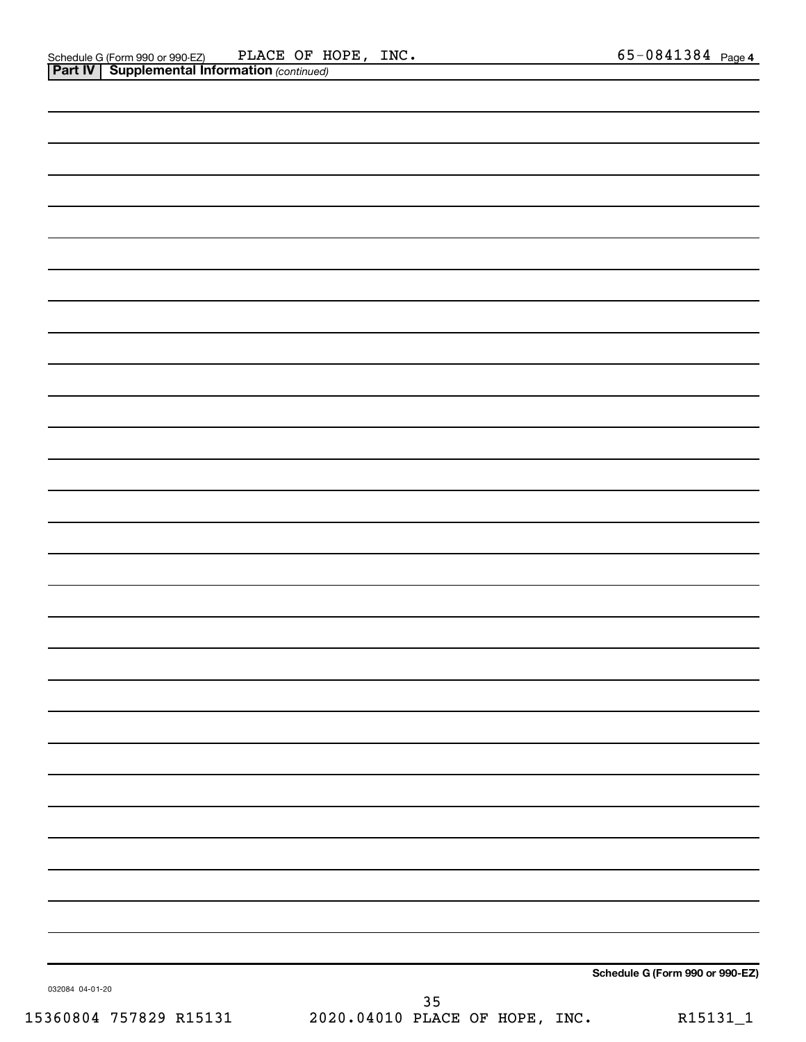| 032084 04-01-20 | Schedule G (Form 990 or 990-EZ) |
|-----------------|---------------------------------|
|                 | 35                              |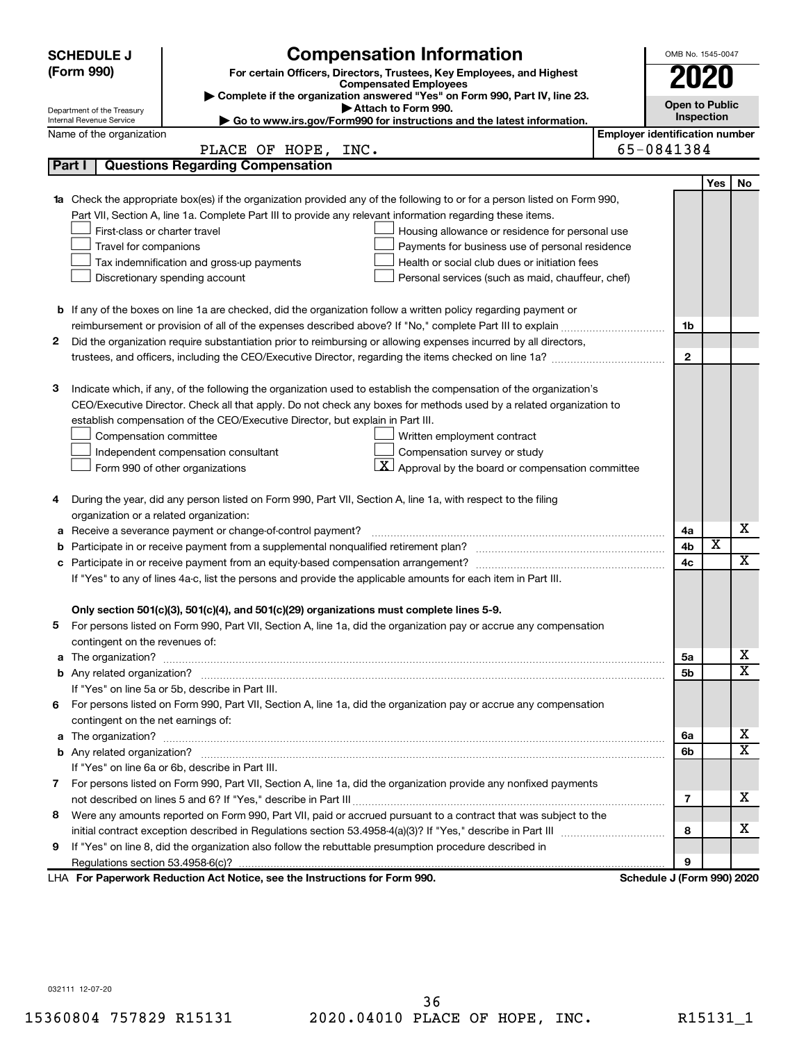|   | <b>SCHEDULE J</b>                                                                                                                                                                 | <b>Compensation Information</b>                                                                                           |                                       | OMB No. 1545-0047          |                         |                         |  |  |  |
|---|-----------------------------------------------------------------------------------------------------------------------------------------------------------------------------------|---------------------------------------------------------------------------------------------------------------------------|---------------------------------------|----------------------------|-------------------------|-------------------------|--|--|--|
|   | (Form 990)                                                                                                                                                                        | For certain Officers, Directors, Trustees, Key Employees, and Highest                                                     |                                       | 2020                       |                         |                         |  |  |  |
|   |                                                                                                                                                                                   | <b>Compensated Employees</b>                                                                                              |                                       |                            |                         |                         |  |  |  |
|   | Department of the Treasury                                                                                                                                                        | Complete if the organization answered "Yes" on Form 990, Part IV, line 23.<br>Attach to Form 990.                         |                                       |                            | <b>Open to Public</b>   |                         |  |  |  |
|   | Internal Revenue Service                                                                                                                                                          | Go to www.irs.gov/Form990 for instructions and the latest information.                                                    |                                       | Inspection                 |                         |                         |  |  |  |
|   | Name of the organization                                                                                                                                                          |                                                                                                                           | <b>Employer identification number</b> |                            |                         |                         |  |  |  |
|   |                                                                                                                                                                                   | PLACE OF HOPE, INC.                                                                                                       |                                       | 65-0841384                 |                         |                         |  |  |  |
|   | Part I                                                                                                                                                                            | <b>Questions Regarding Compensation</b>                                                                                   |                                       |                            |                         |                         |  |  |  |
|   |                                                                                                                                                                                   |                                                                                                                           |                                       |                            | Yes                     | No                      |  |  |  |
|   |                                                                                                                                                                                   | 1a Check the appropriate box(es) if the organization provided any of the following to or for a person listed on Form 990, |                                       |                            |                         |                         |  |  |  |
|   |                                                                                                                                                                                   | Part VII, Section A, line 1a. Complete Part III to provide any relevant information regarding these items.                |                                       |                            |                         |                         |  |  |  |
|   | First-class or charter travel                                                                                                                                                     | Housing allowance or residence for personal use                                                                           |                                       |                            |                         |                         |  |  |  |
|   | Travel for companions                                                                                                                                                             | Payments for business use of personal residence                                                                           |                                       |                            |                         |                         |  |  |  |
|   | Health or social club dues or initiation fees<br>Tax indemnification and gross-up payments<br>Discretionary spending account<br>Personal services (such as maid, chauffeur, chef) |                                                                                                                           |                                       |                            |                         |                         |  |  |  |
|   |                                                                                                                                                                                   |                                                                                                                           |                                       |                            |                         |                         |  |  |  |
|   |                                                                                                                                                                                   |                                                                                                                           |                                       |                            |                         |                         |  |  |  |
|   |                                                                                                                                                                                   | <b>b</b> If any of the boxes on line 1a are checked, did the organization follow a written policy regarding payment or    |                                       |                            |                         |                         |  |  |  |
|   |                                                                                                                                                                                   |                                                                                                                           |                                       | 1b                         |                         |                         |  |  |  |
| 2 |                                                                                                                                                                                   | Did the organization require substantiation prior to reimbursing or allowing expenses incurred by all directors,          |                                       | $\mathbf{2}$               |                         |                         |  |  |  |
|   |                                                                                                                                                                                   |                                                                                                                           |                                       |                            |                         |                         |  |  |  |
| з |                                                                                                                                                                                   | Indicate which, if any, of the following the organization used to establish the compensation of the organization's        |                                       |                            |                         |                         |  |  |  |
|   |                                                                                                                                                                                   | CEO/Executive Director. Check all that apply. Do not check any boxes for methods used by a related organization to        |                                       |                            |                         |                         |  |  |  |
|   |                                                                                                                                                                                   | establish compensation of the CEO/Executive Director, but explain in Part III.                                            |                                       |                            |                         |                         |  |  |  |
|   | Compensation committee                                                                                                                                                            | Written employment contract                                                                                               |                                       |                            |                         |                         |  |  |  |
|   |                                                                                                                                                                                   | Compensation survey or study<br>Independent compensation consultant                                                       |                                       |                            |                         |                         |  |  |  |
|   |                                                                                                                                                                                   | $\mathbf{X}$ Approval by the board or compensation committee<br>Form 990 of other organizations                           |                                       |                            |                         |                         |  |  |  |
|   |                                                                                                                                                                                   |                                                                                                                           |                                       |                            |                         |                         |  |  |  |
| 4 |                                                                                                                                                                                   | During the year, did any person listed on Form 990, Part VII, Section A, line 1a, with respect to the filing              |                                       |                            |                         |                         |  |  |  |
|   | organization or a related organization:                                                                                                                                           |                                                                                                                           |                                       |                            |                         |                         |  |  |  |
| а |                                                                                                                                                                                   | Receive a severance payment or change-of-control payment?                                                                 |                                       | 4a                         |                         | х                       |  |  |  |
| b |                                                                                                                                                                                   |                                                                                                                           |                                       | 4b                         | $\overline{\textbf{x}}$ |                         |  |  |  |
|   |                                                                                                                                                                                   |                                                                                                                           |                                       | 4c                         |                         | $\overline{\mathbf{X}}$ |  |  |  |
|   |                                                                                                                                                                                   | If "Yes" to any of lines 4a-c, list the persons and provide the applicable amounts for each item in Part III.             |                                       |                            |                         |                         |  |  |  |
|   |                                                                                                                                                                                   |                                                                                                                           |                                       |                            |                         |                         |  |  |  |
|   |                                                                                                                                                                                   | Only section 501(c)(3), 501(c)(4), and 501(c)(29) organizations must complete lines 5-9.                                  |                                       |                            |                         |                         |  |  |  |
|   |                                                                                                                                                                                   | For persons listed on Form 990, Part VII, Section A, line 1a, did the organization pay or accrue any compensation         |                                       |                            |                         |                         |  |  |  |
|   | contingent on the revenues of:                                                                                                                                                    |                                                                                                                           |                                       |                            |                         |                         |  |  |  |
|   |                                                                                                                                                                                   |                                                                                                                           |                                       | 5а                         |                         | х                       |  |  |  |
|   |                                                                                                                                                                                   |                                                                                                                           |                                       | 5b                         |                         | X                       |  |  |  |
|   |                                                                                                                                                                                   | If "Yes" on line 5a or 5b, describe in Part III.                                                                          |                                       |                            |                         |                         |  |  |  |
|   |                                                                                                                                                                                   | 6 For persons listed on Form 990, Part VII, Section A, line 1a, did the organization pay or accrue any compensation       |                                       |                            |                         |                         |  |  |  |
|   | contingent on the net earnings of:                                                                                                                                                |                                                                                                                           |                                       |                            |                         |                         |  |  |  |
|   |                                                                                                                                                                                   |                                                                                                                           |                                       | 6a                         |                         | х                       |  |  |  |
|   |                                                                                                                                                                                   |                                                                                                                           |                                       | 6b                         |                         | х                       |  |  |  |
|   |                                                                                                                                                                                   | If "Yes" on line 6a or 6b, describe in Part III.                                                                          |                                       |                            |                         |                         |  |  |  |
|   |                                                                                                                                                                                   | 7 For persons listed on Form 990, Part VII, Section A, line 1a, did the organization provide any nonfixed payments        |                                       |                            |                         |                         |  |  |  |
|   |                                                                                                                                                                                   |                                                                                                                           |                                       | 7                          |                         | х                       |  |  |  |
| 8 |                                                                                                                                                                                   | Were any amounts reported on Form 990, Part VII, paid or accrued pursuant to a contract that was subject to the           |                                       |                            |                         |                         |  |  |  |
|   |                                                                                                                                                                                   |                                                                                                                           |                                       | 8                          |                         | х                       |  |  |  |
| 9 |                                                                                                                                                                                   | If "Yes" on line 8, did the organization also follow the rebuttable presumption procedure described in                    |                                       |                            |                         |                         |  |  |  |
|   |                                                                                                                                                                                   |                                                                                                                           |                                       | 9                          |                         |                         |  |  |  |
|   |                                                                                                                                                                                   | LHA For Paperwork Reduction Act Notice, see the Instructions for Form 990.                                                |                                       | Schedule J (Form 990) 2020 |                         |                         |  |  |  |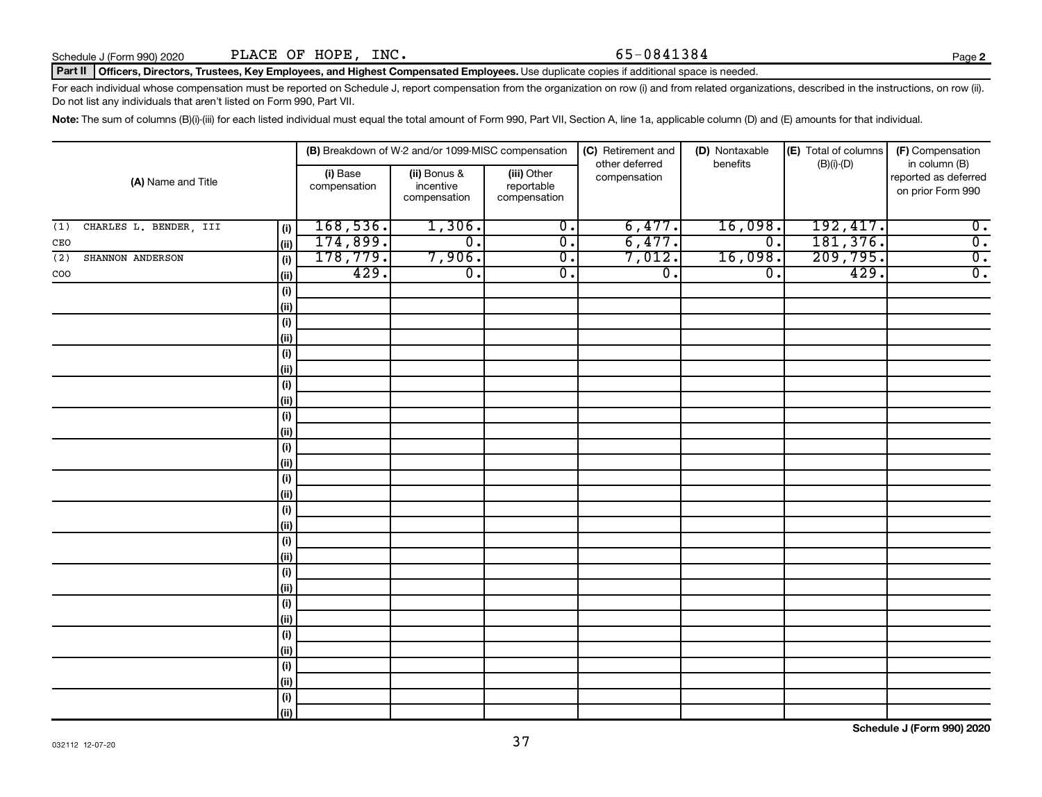## Part II | Officers, Directors, Trustees, Key Employees, and Highest Compensated Employees. Use duplicate copies if additional space is needed.

For each individual whose compensation must be reported on Schedule J, report compensation from the organization on row (i) and from related organizations, described in the instructions, on row (ii). Do not list any individuals that aren't listed on Form 990, Part VII.

Note: The sum of columns (B)(i)-(iii) for each listed individual must equal the total amount of Form 990, Part VII, Section A, line 1a, applicable column (D) and (E) amounts for that individual.

|                                      |                          | (B) Breakdown of W-2 and/or 1099-MISC compensation |                                           | (C) Retirement and<br>other deferred | (D) Nontaxable<br>benefits  | (E) Total of columns<br>$(B)(i)-(D)$ | (F) Compensation<br>in column (B)         |
|--------------------------------------|--------------------------|----------------------------------------------------|-------------------------------------------|--------------------------------------|-----------------------------|--------------------------------------|-------------------------------------------|
| (A) Name and Title                   | (i) Base<br>compensation | (ii) Bonus &<br>incentive<br>compensation          | (iii) Other<br>reportable<br>compensation | compensation                         |                             |                                      | reported as deferred<br>on prior Form 990 |
| CHARLES L. BENDER, III<br>(1)<br>(i) | 168,536.                 | 1,306.                                             | $\overline{0}$ .                          | 6,477.                               | 16,098.                     | 192, 417.                            | $\overline{0}$ .                          |
| (ii)<br>CEO                          | 174,899.                 | $\overline{\mathfrak{o}}$ .                        | $\overline{0}$ .                          | 6,477.                               | $\overline{\mathfrak{o}}$ . | 181,376.                             | $\overline{0}$ .                          |
| SHANNON ANDERSON<br>(i)<br>(2)       | 178,779.                 | 7,906.                                             | $\overline{0}$ .                          | 7,012.                               | 16,098.                     | 209,795.                             | $\overline{0}$ .                          |
| $\rm{COO}$<br>  (ii)                 | 429.                     | $\overline{\mathfrak{o}}$ .                        | $\overline{0}$ .                          | $\overline{0}$ .                     | $\overline{0}$ .            | 429.                                 | $\overline{0}$ .                          |
| (i)                                  |                          |                                                    |                                           |                                      |                             |                                      |                                           |
| (ii)                                 |                          |                                                    |                                           |                                      |                             |                                      |                                           |
| (i)                                  |                          |                                                    |                                           |                                      |                             |                                      |                                           |
| (ii)                                 |                          |                                                    |                                           |                                      |                             |                                      |                                           |
| (i)                                  |                          |                                                    |                                           |                                      |                             |                                      |                                           |
| (ii)                                 |                          |                                                    |                                           |                                      |                             |                                      |                                           |
| (i)                                  |                          |                                                    |                                           |                                      |                             |                                      |                                           |
| (ii)                                 |                          |                                                    |                                           |                                      |                             |                                      |                                           |
| (i)                                  |                          |                                                    |                                           |                                      |                             |                                      |                                           |
| (ii)                                 |                          |                                                    |                                           |                                      |                             |                                      |                                           |
| (i)                                  |                          |                                                    |                                           |                                      |                             |                                      |                                           |
| (ii)                                 |                          |                                                    |                                           |                                      |                             |                                      |                                           |
| (i)                                  |                          |                                                    |                                           |                                      |                             |                                      |                                           |
| (ii)                                 |                          |                                                    |                                           |                                      |                             |                                      |                                           |
| (i)                                  |                          |                                                    |                                           |                                      |                             |                                      |                                           |
| (ii)                                 |                          |                                                    |                                           |                                      |                             |                                      |                                           |
| $(\sf{i})$                           |                          |                                                    |                                           |                                      |                             |                                      |                                           |
| (ii)                                 |                          |                                                    |                                           |                                      |                             |                                      |                                           |
| $(\sf{i})$                           |                          |                                                    |                                           |                                      |                             |                                      |                                           |
| (ii)                                 |                          |                                                    |                                           |                                      |                             |                                      |                                           |
| (i)                                  |                          |                                                    |                                           |                                      |                             |                                      |                                           |
| (ii)                                 |                          |                                                    |                                           |                                      |                             |                                      |                                           |
| (i)                                  |                          |                                                    |                                           |                                      |                             |                                      |                                           |
| (ii)                                 |                          |                                                    |                                           |                                      |                             |                                      |                                           |
| (i)                                  |                          |                                                    |                                           |                                      |                             |                                      |                                           |
| (ii)                                 |                          |                                                    |                                           |                                      |                             |                                      |                                           |
| $(\sf{i})$                           |                          |                                                    |                                           |                                      |                             |                                      |                                           |
| (ii)                                 |                          |                                                    |                                           |                                      |                             |                                      |                                           |

**Schedule J (Form 990) 2020**

**2**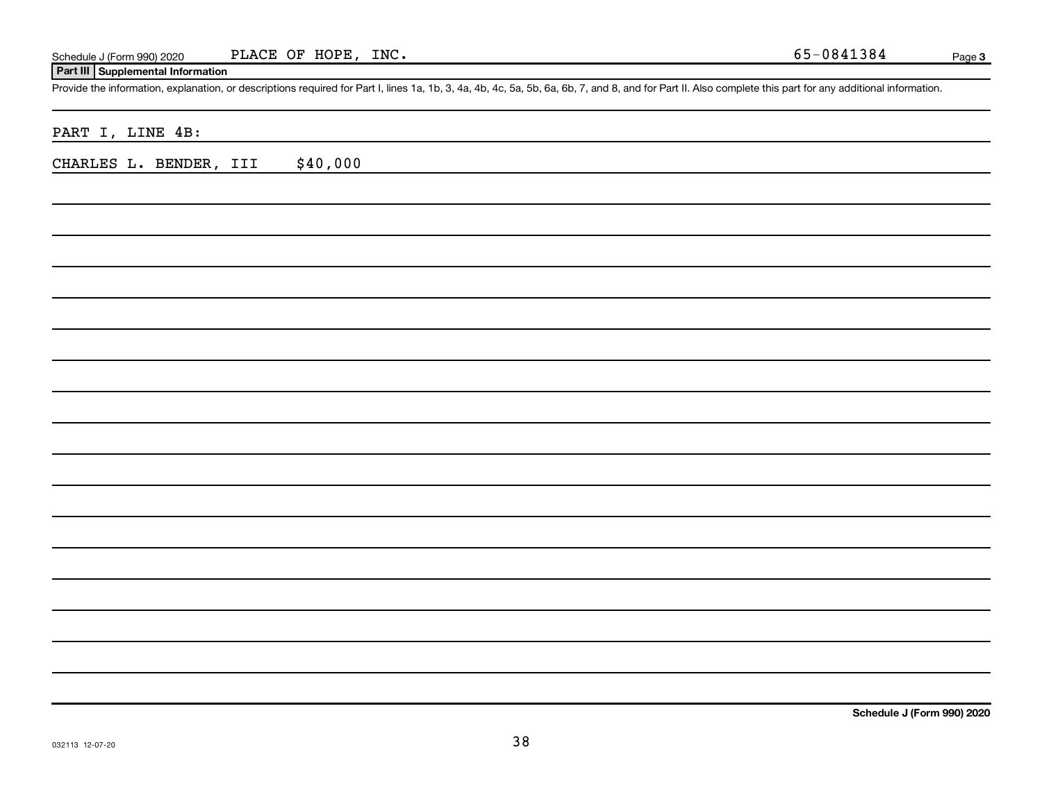## **Part III Supplemental Information**

Provide the information, explanation, or descriptions required for Part I, lines 1a, 1b, 3, 4a, 4b, 4c, 5a, 5b, 6a, 6b, 7, and 8, and for Part II. Also complete this part for any additional information.

PART I, LINE 4B:

CHARLES L. BENDER, III \$40,000

**Schedule J (Form 990) 2020**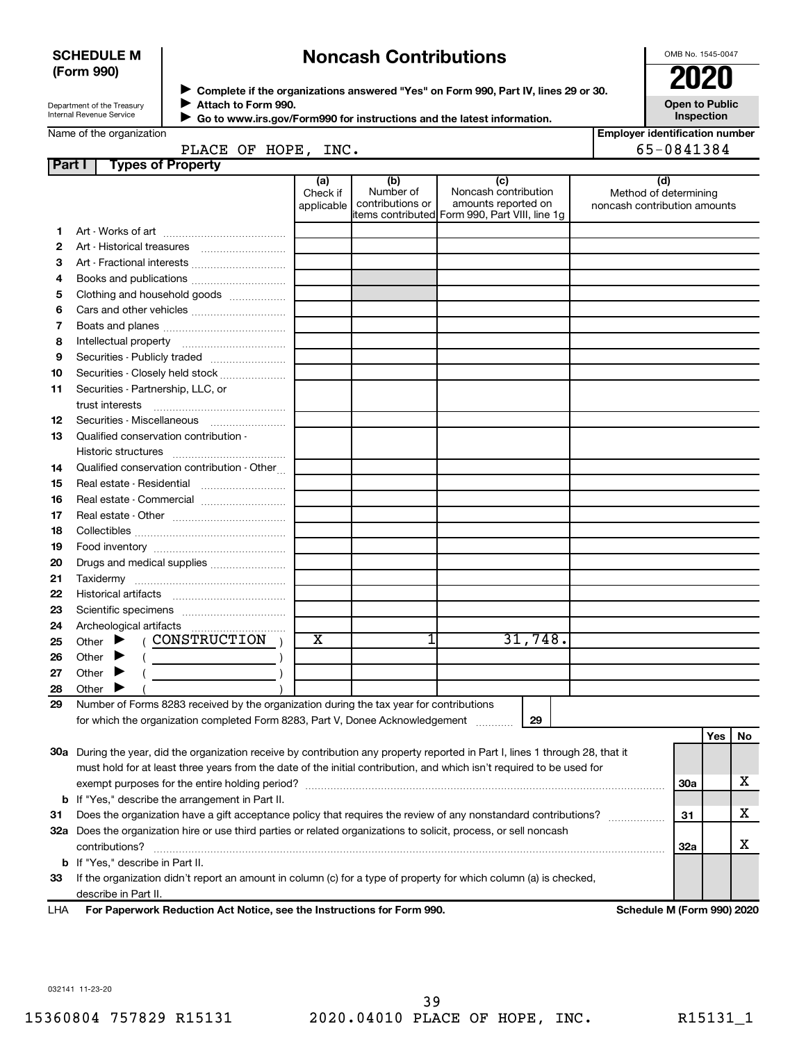## **SCHEDULE M (Form 990)**

## **Noncash Contributions**

OMB No. 1545-0047

| Department of the Treasury |  |
|----------------------------|--|
| Internal Revenue Service   |  |

◆ Complete if the organizations answered "Yes" on Form 990, Part IV, lines 29 or 30.<br>● Complete if the organizations answered "Yes" on Form 990, Part IV, lines 29 or 30. **Attach to Form 990.**  $\blacktriangleright$ 

**Open to Public Inspection**

|  | Name of the organization |  |
|--|--------------------------|--|
|  |                          |  |

|          |  | Go to www.irs.gov/Form990 for instructions and the latest information. |      |  |  |  |
|----------|--|------------------------------------------------------------------------|------|--|--|--|
| nization |  |                                                                        |      |  |  |  |
|          |  | PLACE OF HOPF                                                          | т ма |  |  |  |

| <b>Employer identification number</b> |  |
|---------------------------------------|--|
| EE NO11201                            |  |

| PLACE OF HOPE, INC. |                                                                                                                                                                                                                                                                                                                                                                                                                                                                                                                                                                                                                   |                               |                                      |                                                                                                      |  |                                                              | 65-0841384 |     |    |
|---------------------|-------------------------------------------------------------------------------------------------------------------------------------------------------------------------------------------------------------------------------------------------------------------------------------------------------------------------------------------------------------------------------------------------------------------------------------------------------------------------------------------------------------------------------------------------------------------------------------------------------------------|-------------------------------|--------------------------------------|------------------------------------------------------------------------------------------------------|--|--------------------------------------------------------------|------------|-----|----|
| Part                | <b>Types of Property</b>                                                                                                                                                                                                                                                                                                                                                                                                                                                                                                                                                                                          |                               |                                      |                                                                                                      |  |                                                              |            |     |    |
|                     |                                                                                                                                                                                                                                                                                                                                                                                                                                                                                                                                                                                                                   | (a)<br>Check if<br>applicable | (b)<br>Number of<br>contributions or | (c)<br>Noncash contribution<br>amounts reported on<br>items contributed Form 990, Part VIII, line 1g |  | (d)<br>Method of determining<br>noncash contribution amounts |            |     |    |
| 1.                  |                                                                                                                                                                                                                                                                                                                                                                                                                                                                                                                                                                                                                   |                               |                                      |                                                                                                      |  |                                                              |            |     |    |
| 2                   |                                                                                                                                                                                                                                                                                                                                                                                                                                                                                                                                                                                                                   |                               |                                      |                                                                                                      |  |                                                              |            |     |    |
| З                   | Art - Fractional interests                                                                                                                                                                                                                                                                                                                                                                                                                                                                                                                                                                                        |                               |                                      |                                                                                                      |  |                                                              |            |     |    |
| 4                   |                                                                                                                                                                                                                                                                                                                                                                                                                                                                                                                                                                                                                   |                               |                                      |                                                                                                      |  |                                                              |            |     |    |
| 5                   | Clothing and household goods                                                                                                                                                                                                                                                                                                                                                                                                                                                                                                                                                                                      |                               |                                      |                                                                                                      |  |                                                              |            |     |    |
| 6                   | Cars and other vehicles                                                                                                                                                                                                                                                                                                                                                                                                                                                                                                                                                                                           |                               |                                      |                                                                                                      |  |                                                              |            |     |    |
| 7                   |                                                                                                                                                                                                                                                                                                                                                                                                                                                                                                                                                                                                                   |                               |                                      |                                                                                                      |  |                                                              |            |     |    |
| 8                   |                                                                                                                                                                                                                                                                                                                                                                                                                                                                                                                                                                                                                   |                               |                                      |                                                                                                      |  |                                                              |            |     |    |
| 9                   | Securities - Publicly traded                                                                                                                                                                                                                                                                                                                                                                                                                                                                                                                                                                                      |                               |                                      |                                                                                                      |  |                                                              |            |     |    |
| 10                  | Securities - Closely held stock                                                                                                                                                                                                                                                                                                                                                                                                                                                                                                                                                                                   |                               |                                      |                                                                                                      |  |                                                              |            |     |    |
| 11                  | Securities - Partnership, LLC, or                                                                                                                                                                                                                                                                                                                                                                                                                                                                                                                                                                                 |                               |                                      |                                                                                                      |  |                                                              |            |     |    |
|                     | trust interests                                                                                                                                                                                                                                                                                                                                                                                                                                                                                                                                                                                                   |                               |                                      |                                                                                                      |  |                                                              |            |     |    |
| 12                  |                                                                                                                                                                                                                                                                                                                                                                                                                                                                                                                                                                                                                   |                               |                                      |                                                                                                      |  |                                                              |            |     |    |
| 13                  | Qualified conservation contribution -                                                                                                                                                                                                                                                                                                                                                                                                                                                                                                                                                                             |                               |                                      |                                                                                                      |  |                                                              |            |     |    |
|                     |                                                                                                                                                                                                                                                                                                                                                                                                                                                                                                                                                                                                                   |                               |                                      |                                                                                                      |  |                                                              |            |     |    |
| 14                  | Qualified conservation contribution - Other                                                                                                                                                                                                                                                                                                                                                                                                                                                                                                                                                                       |                               |                                      |                                                                                                      |  |                                                              |            |     |    |
| 15                  |                                                                                                                                                                                                                                                                                                                                                                                                                                                                                                                                                                                                                   |                               |                                      |                                                                                                      |  |                                                              |            |     |    |
| 16                  | Real estate - Commercial                                                                                                                                                                                                                                                                                                                                                                                                                                                                                                                                                                                          |                               |                                      |                                                                                                      |  |                                                              |            |     |    |
| 17                  |                                                                                                                                                                                                                                                                                                                                                                                                                                                                                                                                                                                                                   |                               |                                      |                                                                                                      |  |                                                              |            |     |    |
| 18                  |                                                                                                                                                                                                                                                                                                                                                                                                                                                                                                                                                                                                                   |                               |                                      |                                                                                                      |  |                                                              |            |     |    |
| 19                  |                                                                                                                                                                                                                                                                                                                                                                                                                                                                                                                                                                                                                   |                               |                                      |                                                                                                      |  |                                                              |            |     |    |
| 20                  | Drugs and medical supplies                                                                                                                                                                                                                                                                                                                                                                                                                                                                                                                                                                                        |                               |                                      |                                                                                                      |  |                                                              |            |     |    |
| 21                  |                                                                                                                                                                                                                                                                                                                                                                                                                                                                                                                                                                                                                   |                               |                                      |                                                                                                      |  |                                                              |            |     |    |
| 22                  |                                                                                                                                                                                                                                                                                                                                                                                                                                                                                                                                                                                                                   |                               |                                      |                                                                                                      |  |                                                              |            |     |    |
| 23                  |                                                                                                                                                                                                                                                                                                                                                                                                                                                                                                                                                                                                                   |                               |                                      |                                                                                                      |  |                                                              |            |     |    |
| 24                  | ( CONSTRUCTION )<br>Other $\blacktriangleright$                                                                                                                                                                                                                                                                                                                                                                                                                                                                                                                                                                   | $\overline{\text{X}}$         |                                      | 31,748.                                                                                              |  |                                                              |            |     |    |
| 25                  | Other $\blacktriangleright$                                                                                                                                                                                                                                                                                                                                                                                                                                                                                                                                                                                       |                               |                                      |                                                                                                      |  |                                                              |            |     |    |
| 26<br>27            | $\left(\begin{array}{ccc} \begin{array}{ccc} \end{array} & \begin{array}{ccc} \end{array} & \begin{array}{ccc} \end{array} & \begin{array}{ccc} \end{array} & \begin{array}{ccc} \end{array} & \begin{array}{ccc} \end{array} & \begin{array}{ccc} \end{array} & \begin{array}{ccc} \end{array} & \begin{array}{ccc} \end{array} & \begin{array}{ccc} \end{array} & \begin{array}{ccc} \end{array} & \begin{array}{ccc} \end{array} & \begin{array}{ccc} \end{array} & \begin{array}{ccc} \end{array} & \begin{array}{ccc} \end{array} & \begin{array}{ccc} \end{array} & \begin{$<br>Other $\blacktriangleright$ |                               |                                      |                                                                                                      |  |                                                              |            |     |    |
| 28                  | Other $\blacktriangleright$                                                                                                                                                                                                                                                                                                                                                                                                                                                                                                                                                                                       |                               |                                      |                                                                                                      |  |                                                              |            |     |    |
| 29                  | Number of Forms 8283 received by the organization during the tax year for contributions                                                                                                                                                                                                                                                                                                                                                                                                                                                                                                                           |                               |                                      |                                                                                                      |  |                                                              |            |     |    |
|                     | for which the organization completed Form 8283, Part V, Donee Acknowledgement                                                                                                                                                                                                                                                                                                                                                                                                                                                                                                                                     |                               |                                      | 29                                                                                                   |  |                                                              |            |     |    |
|                     |                                                                                                                                                                                                                                                                                                                                                                                                                                                                                                                                                                                                                   |                               |                                      |                                                                                                      |  |                                                              |            | Yes | No |
|                     | 30a During the year, did the organization receive by contribution any property reported in Part I, lines 1 through 28, that it                                                                                                                                                                                                                                                                                                                                                                                                                                                                                    |                               |                                      |                                                                                                      |  |                                                              |            |     |    |
|                     | must hold for at least three years from the date of the initial contribution, and which isn't required to be used for                                                                                                                                                                                                                                                                                                                                                                                                                                                                                             |                               |                                      |                                                                                                      |  |                                                              |            |     |    |
|                     |                                                                                                                                                                                                                                                                                                                                                                                                                                                                                                                                                                                                                   |                               |                                      |                                                                                                      |  |                                                              | 30a        |     | х  |
|                     | <b>b</b> If "Yes," describe the arrangement in Part II.                                                                                                                                                                                                                                                                                                                                                                                                                                                                                                                                                           |                               |                                      |                                                                                                      |  |                                                              |            |     |    |
| 31                  | Does the organization have a gift acceptance policy that requires the review of any nonstandard contributions?                                                                                                                                                                                                                                                                                                                                                                                                                                                                                                    |                               |                                      |                                                                                                      |  | .                                                            | 31         |     | х  |
|                     | 32a Does the organization hire or use third parties or related organizations to solicit, process, or sell noncash                                                                                                                                                                                                                                                                                                                                                                                                                                                                                                 |                               |                                      |                                                                                                      |  |                                                              |            |     |    |

**33** If the organization didn't report an amount in column (c) for a type of property for which column (a) is checked, describe in Part II.

 $\text{contributions?}$   $\ldots$   $\ldots$   $\ldots$   $\ldots$   $\ldots$   $\ldots$   $\ldots$   $\ldots$   $\ldots$   $\ldots$   $\ldots$   $\ldots$   $\ldots$   $\ldots$   $\ldots$   $\ldots$   $\ldots$   $\ldots$   $\ldots$   $\ldots$   $\ldots$   $\ldots$   $\ldots$   $\ldots$   $\ldots$   $\ldots$   $\ldots$   $\ldots$   $\ldots$   $\ldots$   $\ldots$   $\ldots$   $\ldots$   $\ldots$   $\ldots$ 

**For Paperwork Reduction Act Notice, see the Instructions for Form 990. Schedule M (Form 990) 2020** LHA

**32a**

X

032141 11-23-20

**b** If "Yes," describe in Part II.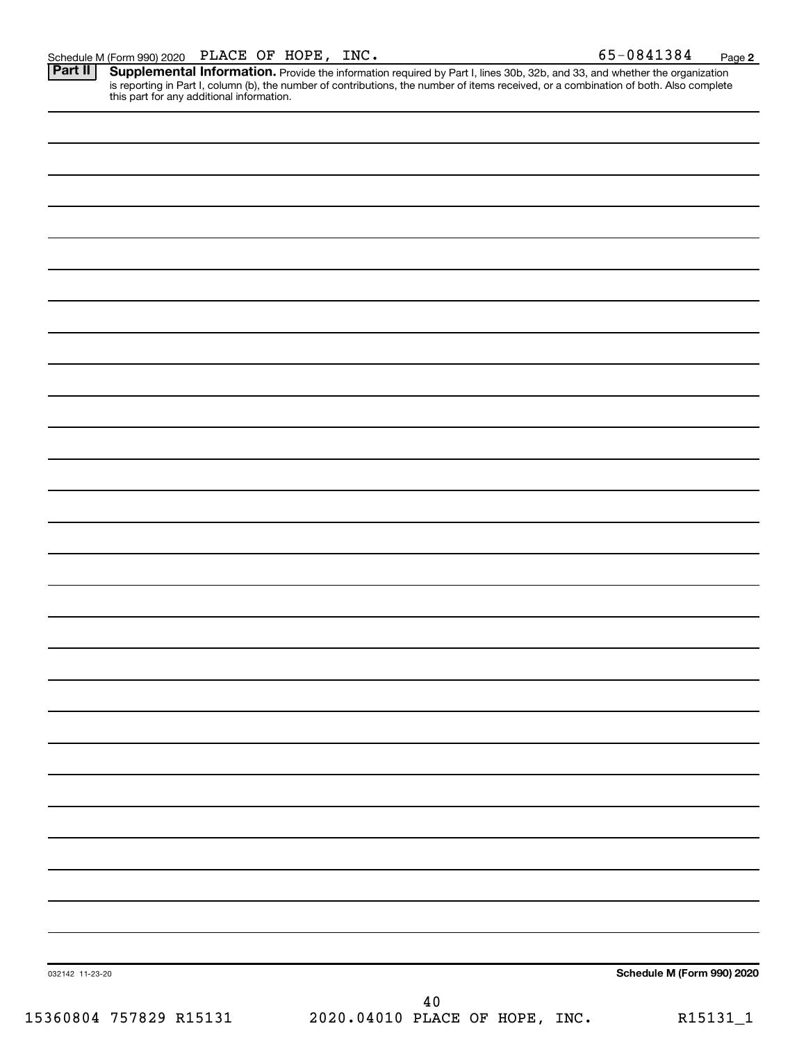Schedule M (Form 990) 2020 PLACE OF HOPE, INC.<br>**Part II** Supplemental Information. Provide the information required by Part I. lines 30b. 32b. and 33. and whether the orga Provide the information required by Part I, lines 30b, 32b, and 33, and whether the organization is reporting in Part I, column (b), the number of contributions, the number of items received, or a combination of both. Also complete this part for any additional information. **Part II Supplemental Information.** 

| 032142 11-23-20 | Schedule M (Form 990) 2020 |
|-----------------|----------------------------|
|                 | $40\,$                     |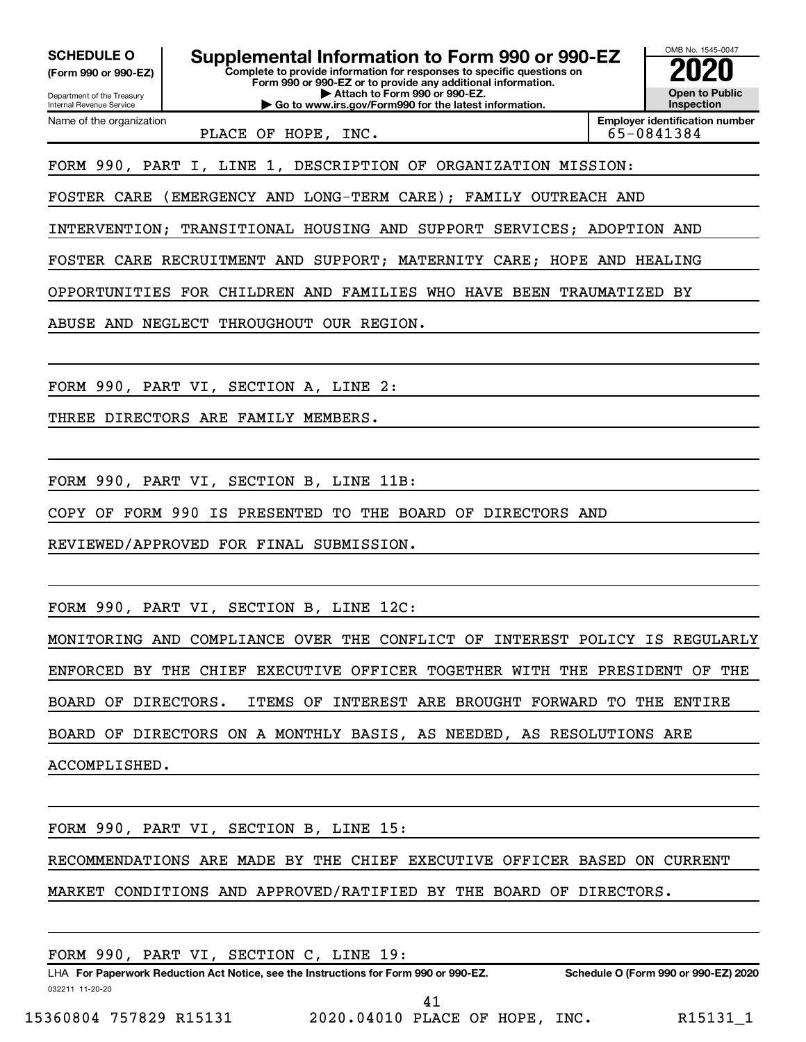**(Form 990 or 990-EZ)**

Department of the Treasury Internal Revenue Service

Name of the organization

**Complete to provide information for responses to specific questions on Form 990 or 990-EZ or to provide any additional information. | Attach to Form 990 or 990-EZ. SCHEDULE O Supplemental Information to Form 990 or 990-EZ 2020**<br>(Form 990 or 990-EZ) Complete to provide information for responses to specific questions on

**| Go to www.irs.gov/Form990 for the latest information.**

PLACE OF HOPE, INC. 65-0841384

**Employer identification number**

OMB No. 1545-0047

**Open to Public Inspection**

FORM 990, PART I, LINE 1, DESCRIPTION OF ORGANIZATION MISSION:

FOSTER CARE (EMERGENCY AND LONG-TERM CARE); FAMILY OUTREACH AND

INTERVENTION; TRANSITIONAL HOUSING AND SUPPORT SERVICES; ADOPTION AND

FOSTER CARE RECRUITMENT AND SUPPORT; MATERNITY CARE; HOPE AND HEALING

OPPORTUNITIES FOR CHILDREN AND FAMILIES WHO HAVE BEEN TRAUMATIZED BY

ABUSE AND NEGLECT THROUGHOUT OUR REGION.

FORM 990, PART VI, SECTION A, LINE 2:

THREE DIRECTORS ARE FAMILY MEMBERS.

FORM 990, PART VI, SECTION B, LINE 11B:

COPY OF FORM 990 IS PRESENTED TO THE BOARD OF DIRECTORS AND

REVIEWED/APPROVED FOR FINAL SUBMISSION.

FORM 990, PART VI, SECTION B, LINE 12C:

MONITORING AND COMPLIANCE OVER THE CONFLICT OF INTEREST POLICY IS REGULARLY ENFORCED BY THE CHIEF EXECUTIVE OFFICER TOGETHER WITH THE PRESIDENT OF THE BOARD OF DIRECTORS. ITEMS OF INTEREST ARE BROUGHT FORWARD TO THE ENTIRE BOARD OF DIRECTORS ON A MONTHLY BASIS, AS NEEDED, AS RESOLUTIONS ARE

ACCOMPLISHED.

FORM 990, PART VI, SECTION B, LINE 15:

RECOMMENDATIONS ARE MADE BY THE CHIEF EXECUTIVE OFFICER BASED ON CURRENT

MARKET CONDITIONS AND APPROVED/RATIFIED BY THE BOARD OF DIRECTORS.

| FORM 990, PART VI, SECTION C, LINE 19: |                                                                                      |                                      |
|----------------------------------------|--------------------------------------------------------------------------------------|--------------------------------------|
|                                        | LHA For Paperwork Reduction Act Notice, see the Instructions for Form 990 or 990-EZ. | Schedule O (Form 990 or 990-EZ) 2020 |
| 032211 11-20-20                        |                                                                                      |                                      |
| 15360804 757829 R15131                 | 2020.04010 PLACE OF HOPE, INC.                                                       | R15131 1                             |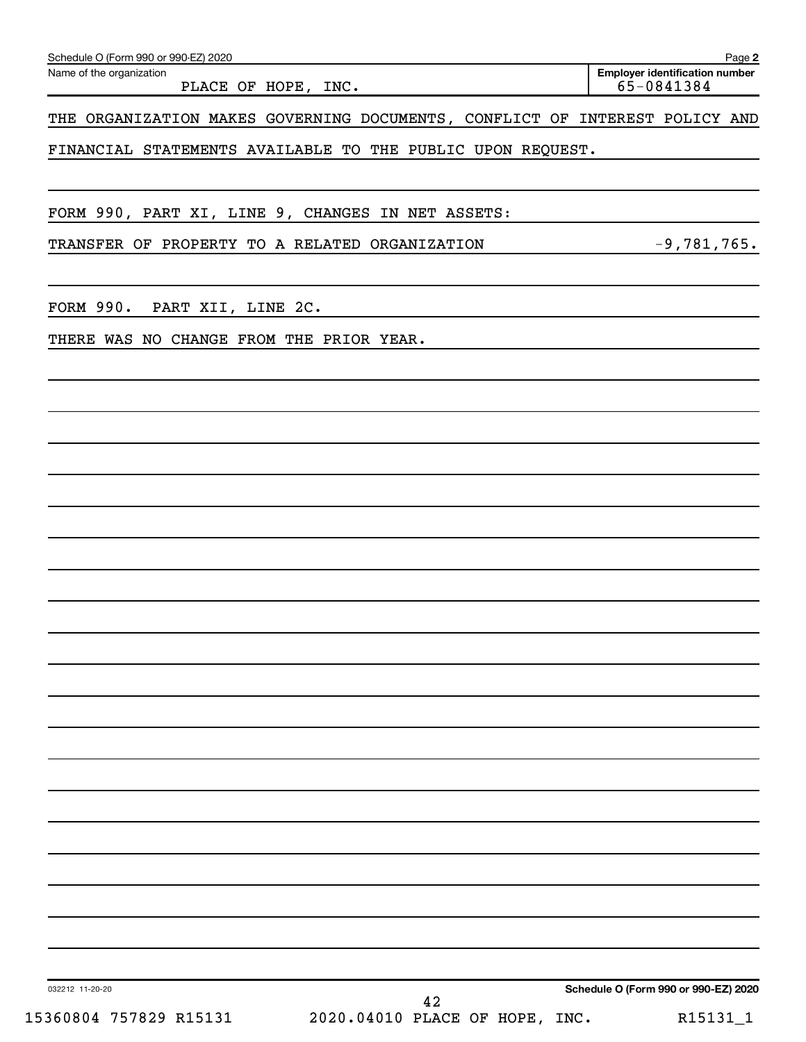| Schedule O (Form 990 or 990-EZ) 2020                                        |                                      |                                                     | Page 2 |
|-----------------------------------------------------------------------------|--------------------------------------|-----------------------------------------------------|--------|
| Name of the organization<br>PLACE OF HOPE, INC.                             |                                      | <b>Employer identification number</b><br>65-0841384 |        |
| THE ORGANIZATION MAKES GOVERNING DOCUMENTS, CONFLICT OF INTEREST POLICY AND |                                      |                                                     |        |
| FINANCIAL STATEMENTS AVAILABLE TO THE PUBLIC UPON REQUEST.                  |                                      |                                                     |        |
| FORM 990, PART XI, LINE 9, CHANGES IN NET ASSETS:                           |                                      |                                                     |        |
| TRANSFER OF PROPERTY TO A RELATED ORGANIZATION                              |                                      | $-9,781,765.$                                       |        |
| FORM 990.<br>PART XII, LINE 2C.                                             |                                      |                                                     |        |
| THERE WAS NO CHANGE FROM THE PRIOR YEAR.                                    |                                      |                                                     |        |
|                                                                             |                                      |                                                     |        |
|                                                                             |                                      |                                                     |        |
|                                                                             |                                      |                                                     |        |
|                                                                             |                                      |                                                     |        |
|                                                                             |                                      |                                                     |        |
|                                                                             |                                      |                                                     |        |
|                                                                             |                                      |                                                     |        |
|                                                                             |                                      |                                                     |        |
|                                                                             |                                      |                                                     |        |
|                                                                             |                                      |                                                     |        |
|                                                                             |                                      |                                                     |        |
|                                                                             |                                      |                                                     |        |
| 032212 11-20-20                                                             | Schedule O (Form 990 or 990-EZ) 2020 |                                                     |        |
| 42<br>15360804 757829 R15131<br>2020.04010 PLACE OF HOPE, INC.              |                                      | R15131_1                                            |        |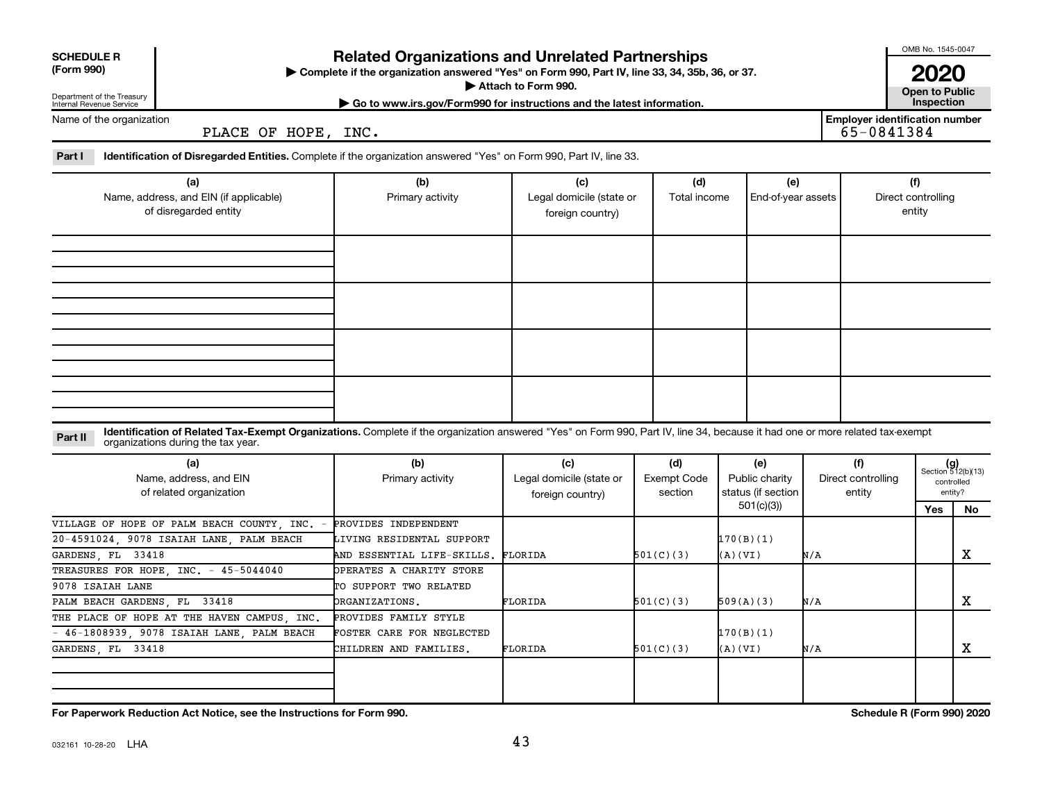| <b>SCHEDULE R</b><br>(Form 990)<br>Department of the Treasury | <b>Related Organizations and Unrelated Partnerships</b><br>> Complete if the organization answered "Yes" on Form 990, Part IV, line 33, 34, 35b, 36, or 37.<br>Attach to Form 990.<br>Go to www.irs.gov/Form990 for instructions and the latest information. |                                                         |                                                     |                                      |                                             |     |                                                     |                                     |                                                      |  |  |  |
|---------------------------------------------------------------|--------------------------------------------------------------------------------------------------------------------------------------------------------------------------------------------------------------------------------------------------------------|---------------------------------------------------------|-----------------------------------------------------|--------------------------------------|---------------------------------------------|-----|-----------------------------------------------------|-------------------------------------|------------------------------------------------------|--|--|--|
| Internal Revenue Service<br>Name of the organization          | PLACE OF HOPE, INC.                                                                                                                                                                                                                                          |                                                         |                                                     |                                      |                                             |     | <b>Employer identification number</b><br>65-0841384 | Inspection                          |                                                      |  |  |  |
| Part I                                                        | <b>Identification of Disregarded Entities.</b> Complete if the organization answered "Yes" on Form 990, Part IV, line 33.                                                                                                                                    |                                                         |                                                     |                                      |                                             |     |                                                     |                                     |                                                      |  |  |  |
|                                                               | (a)<br>Name, address, and EIN (if applicable)<br>of disregarded entity                                                                                                                                                                                       | (b)<br>Primary activity                                 | (c)<br>Legal domicile (state or<br>foreign country) | (d)<br>Total income                  | (e)<br>End-of-year assets                   |     |                                                     | (f)<br>Direct controlling<br>entity |                                                      |  |  |  |
|                                                               |                                                                                                                                                                                                                                                              |                                                         |                                                     |                                      |                                             |     |                                                     |                                     |                                                      |  |  |  |
|                                                               |                                                                                                                                                                                                                                                              |                                                         |                                                     |                                      |                                             |     |                                                     |                                     |                                                      |  |  |  |
|                                                               |                                                                                                                                                                                                                                                              |                                                         |                                                     |                                      |                                             |     |                                                     |                                     |                                                      |  |  |  |
|                                                               |                                                                                                                                                                                                                                                              |                                                         |                                                     |                                      |                                             |     |                                                     |                                     |                                                      |  |  |  |
| Part II                                                       | Identification of Related Tax-Exempt Organizations. Complete if the organization answered "Yes" on Form 990, Part IV, line 34, because it had one or more related tax-exempt<br>organizations during the tax year.                                           |                                                         |                                                     |                                      |                                             |     |                                                     |                                     |                                                      |  |  |  |
| (a)<br>Name, address, and EIN<br>of related organization      |                                                                                                                                                                                                                                                              | (b)<br>Primary activity                                 | (c)<br>Legal domicile (state or<br>foreign country) | (d)<br><b>Exempt Code</b><br>section | (e)<br>Public charity<br>status (if section |     | (f)<br>Direct controlling<br>entity                 |                                     | $(g)$<br>Section 512(b)(13)<br>controlled<br>entity? |  |  |  |
|                                                               | VILLAGE OF HOPE OF PALM BEACH COUNTY, INC. -                                                                                                                                                                                                                 | PROVIDES INDEPENDENT                                    |                                                     |                                      | 501(c)(3)                                   |     |                                                     | Yes                                 | No                                                   |  |  |  |
| $20 - 4591024$ .<br>GARDENS, FL<br>33418                      | 9078 ISAIAH LANE, PALM BEACH                                                                                                                                                                                                                                 | LIVING RESIDENTAL SUPPORT<br>AND ESSENTIAL LIFE-SKILLS. | FLORIDA                                             | 501(C)(3)                            | 170(B)(1)<br>(A)(VI)                        | N/A |                                                     |                                     | X                                                    |  |  |  |
| 9078 ISAIAH LANE                                              | TREASURES FOR HOPE INC. - 45-5044040                                                                                                                                                                                                                         | OPERATES A CHARITY STORE<br>TO SUPPORT TWO RELATED      |                                                     |                                      |                                             |     |                                                     |                                     |                                                      |  |  |  |
| PALM BEACH GARDENS, FL 33418                                  |                                                                                                                                                                                                                                                              | <b>DRGANIZATIONS.</b>                                   | FLORIDA                                             | 501(C)(3)                            | 509(A)(3)                                   | N/A |                                                     |                                     | X                                                    |  |  |  |
| 33418                                                         | THE PLACE OF HOPE AT THE HAVEN CAMPUS, INC.<br>46-1808939, 9078 ISAIAH LANE, PALM BEACH                                                                                                                                                                      | PROVIDES FAMILY STYLE<br>FOSTER CARE FOR NEGLECTED      | FLORIDA                                             |                                      | 170(B)(1)                                   |     |                                                     |                                     | x                                                    |  |  |  |
| GARDENS, FL                                                   |                                                                                                                                                                                                                                                              | CHILDREN AND FAMILIES.                                  |                                                     | 501(C)(3)                            | (A)(VI)                                     | N/A |                                                     |                                     |                                                      |  |  |  |

**For Paperwork Reduction Act Notice, see the Instructions for Form 990. Schedule R (Form 990) 2020**

## **SCHEDULE R**

OMB No. 1545-0047

43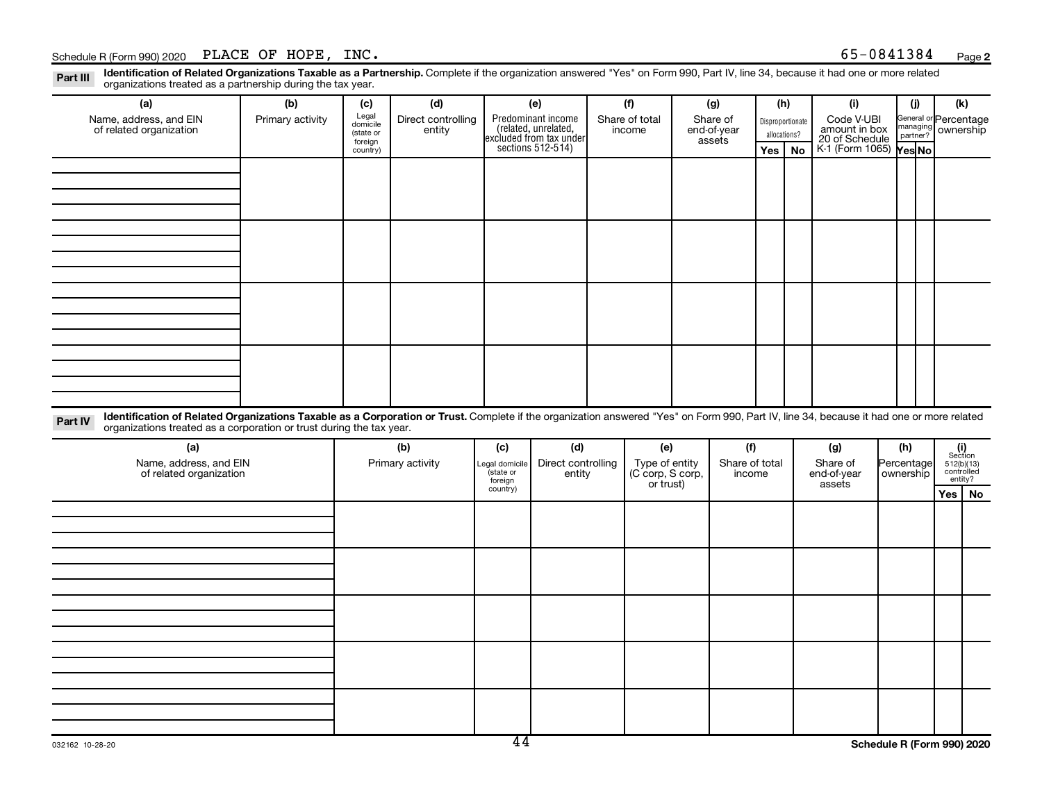## Schedule R (Form 990) 2020 PLACE OF HOPE,  $INC.$

Part III Identification of Related Organizations Taxable as a Partnership. Complete if the organization answered "Yes" on Form 990, Part IV, line 34, because it had one or more related<br>Read to the organizations tracted as organizations treated as a partnership during the tax year.

| organizations treated as a partnership during the tax year.                                                                                                                                                                                                                 |                  |                                                       |                              |                                        |                                                                                           |     |                          |                                                 |                                   |                          |  |                                                                                                                   |                         |          |                                                                                                                          |           |
|-----------------------------------------------------------------------------------------------------------------------------------------------------------------------------------------------------------------------------------------------------------------------------|------------------|-------------------------------------------------------|------------------------------|----------------------------------------|-------------------------------------------------------------------------------------------|-----|--------------------------|-------------------------------------------------|-----------------------------------|--------------------------|--|-------------------------------------------------------------------------------------------------------------------|-------------------------|----------|--------------------------------------------------------------------------------------------------------------------------|-----------|
| (a)                                                                                                                                                                                                                                                                         | (b)              | (c)                                                   | (d)                          | (e)                                    |                                                                                           | (f) |                          | (g)                                             |                                   |                          |  | (i)<br>(h)                                                                                                        |                         | (i)      | (k)                                                                                                                      |           |
| Name, address, and EIN<br>of related organization                                                                                                                                                                                                                           | Primary activity | Legal<br>domicile<br>(state or<br>foreign<br>country) | Direct controlling<br>entity |                                        | Predominant income<br>related, unrelated,<br>excluded from tax under<br>sections 512-514) |     | Share of total<br>income |                                                 | Share of<br>end-of-year<br>assets | Yes                      |  | Code V-UBI<br>Disproportionate<br>amount in box<br>20 of Schedule<br>allocations?<br>K-1 (Form 1065) Yes No<br>No |                         | partner? | General or Percentage<br>managing ownership                                                                              |           |
|                                                                                                                                                                                                                                                                             |                  |                                                       |                              |                                        |                                                                                           |     |                          |                                                 |                                   |                          |  |                                                                                                                   |                         |          |                                                                                                                          |           |
|                                                                                                                                                                                                                                                                             |                  |                                                       |                              |                                        |                                                                                           |     |                          |                                                 |                                   |                          |  |                                                                                                                   |                         |          |                                                                                                                          |           |
|                                                                                                                                                                                                                                                                             |                  |                                                       |                              |                                        |                                                                                           |     |                          |                                                 |                                   |                          |  |                                                                                                                   |                         |          |                                                                                                                          |           |
|                                                                                                                                                                                                                                                                             |                  |                                                       |                              |                                        |                                                                                           |     |                          |                                                 |                                   |                          |  |                                                                                                                   |                         |          |                                                                                                                          |           |
|                                                                                                                                                                                                                                                                             |                  |                                                       |                              |                                        |                                                                                           |     |                          |                                                 |                                   |                          |  |                                                                                                                   |                         |          |                                                                                                                          |           |
|                                                                                                                                                                                                                                                                             |                  |                                                       |                              |                                        |                                                                                           |     |                          |                                                 |                                   |                          |  |                                                                                                                   |                         |          |                                                                                                                          |           |
|                                                                                                                                                                                                                                                                             |                  |                                                       |                              |                                        |                                                                                           |     |                          |                                                 |                                   |                          |  |                                                                                                                   |                         |          |                                                                                                                          |           |
|                                                                                                                                                                                                                                                                             |                  |                                                       |                              |                                        |                                                                                           |     |                          |                                                 |                                   |                          |  |                                                                                                                   |                         |          |                                                                                                                          |           |
|                                                                                                                                                                                                                                                                             |                  |                                                       |                              |                                        |                                                                                           |     |                          |                                                 |                                   |                          |  |                                                                                                                   |                         |          |                                                                                                                          |           |
|                                                                                                                                                                                                                                                                             |                  |                                                       |                              |                                        |                                                                                           |     |                          |                                                 |                                   |                          |  |                                                                                                                   |                         |          |                                                                                                                          |           |
|                                                                                                                                                                                                                                                                             |                  |                                                       |                              |                                        |                                                                                           |     |                          |                                                 |                                   |                          |  |                                                                                                                   |                         |          |                                                                                                                          |           |
|                                                                                                                                                                                                                                                                             |                  |                                                       |                              |                                        |                                                                                           |     |                          |                                                 |                                   |                          |  |                                                                                                                   |                         |          |                                                                                                                          |           |
|                                                                                                                                                                                                                                                                             |                  |                                                       |                              |                                        |                                                                                           |     |                          |                                                 |                                   |                          |  |                                                                                                                   |                         |          |                                                                                                                          |           |
| Identification of Related Organizations Taxable as a Corporation or Trust. Complete if the organization answered "Yes" on Form 990, Part IV, line 34, because it had one or more related<br>Part IV<br>organizations treated as a corporation or trust during the tax year. |                  |                                                       |                              |                                        |                                                                                           |     |                          |                                                 |                                   |                          |  |                                                                                                                   |                         |          |                                                                                                                          |           |
| (a)                                                                                                                                                                                                                                                                         |                  |                                                       | (b)                          | (c)                                    | (d)                                                                                       |     | (e)                      |                                                 | (f)                               |                          |  | (g)                                                                                                               |                         | (h)      |                                                                                                                          |           |
| Name, address, and EIN<br>of related organization                                                                                                                                                                                                                           |                  | Primary activity                                      |                              | Legal domicile<br>(state or<br>foreign | Direct controlling<br>entity                                                              |     |                          | Type of entity<br>(C corp, S corp,<br>or trust) |                                   | Share of total<br>income |  | Share of<br>end-of-year<br>assets                                                                                 | Percentage<br>ownership |          | $\begin{array}{c} \textbf{(i)}\\ \text{Section}\\ 512 \text{(b)} \text{(13)}\\ \text{controlled} \end{array}$<br>entity? |           |
|                                                                                                                                                                                                                                                                             |                  |                                                       |                              | country)                               |                                                                                           |     |                          |                                                 |                                   |                          |  |                                                                                                                   |                         |          | Yes                                                                                                                      | <b>No</b> |
|                                                                                                                                                                                                                                                                             |                  |                                                       |                              |                                        |                                                                                           |     |                          |                                                 |                                   |                          |  |                                                                                                                   |                         |          |                                                                                                                          |           |
|                                                                                                                                                                                                                                                                             |                  |                                                       |                              |                                        |                                                                                           |     |                          |                                                 |                                   |                          |  |                                                                                                                   |                         |          |                                                                                                                          |           |
|                                                                                                                                                                                                                                                                             |                  |                                                       |                              |                                        |                                                                                           |     |                          |                                                 |                                   |                          |  |                                                                                                                   |                         |          |                                                                                                                          |           |
|                                                                                                                                                                                                                                                                             |                  |                                                       |                              |                                        |                                                                                           |     |                          |                                                 |                                   |                          |  |                                                                                                                   |                         |          |                                                                                                                          |           |
|                                                                                                                                                                                                                                                                             |                  |                                                       |                              |                                        |                                                                                           |     |                          |                                                 |                                   |                          |  |                                                                                                                   |                         |          |                                                                                                                          |           |
|                                                                                                                                                                                                                                                                             |                  |                                                       |                              |                                        |                                                                                           |     |                          |                                                 |                                   |                          |  |                                                                                                                   |                         |          |                                                                                                                          |           |
|                                                                                                                                                                                                                                                                             |                  |                                                       |                              |                                        |                                                                                           |     |                          |                                                 |                                   |                          |  |                                                                                                                   |                         |          |                                                                                                                          |           |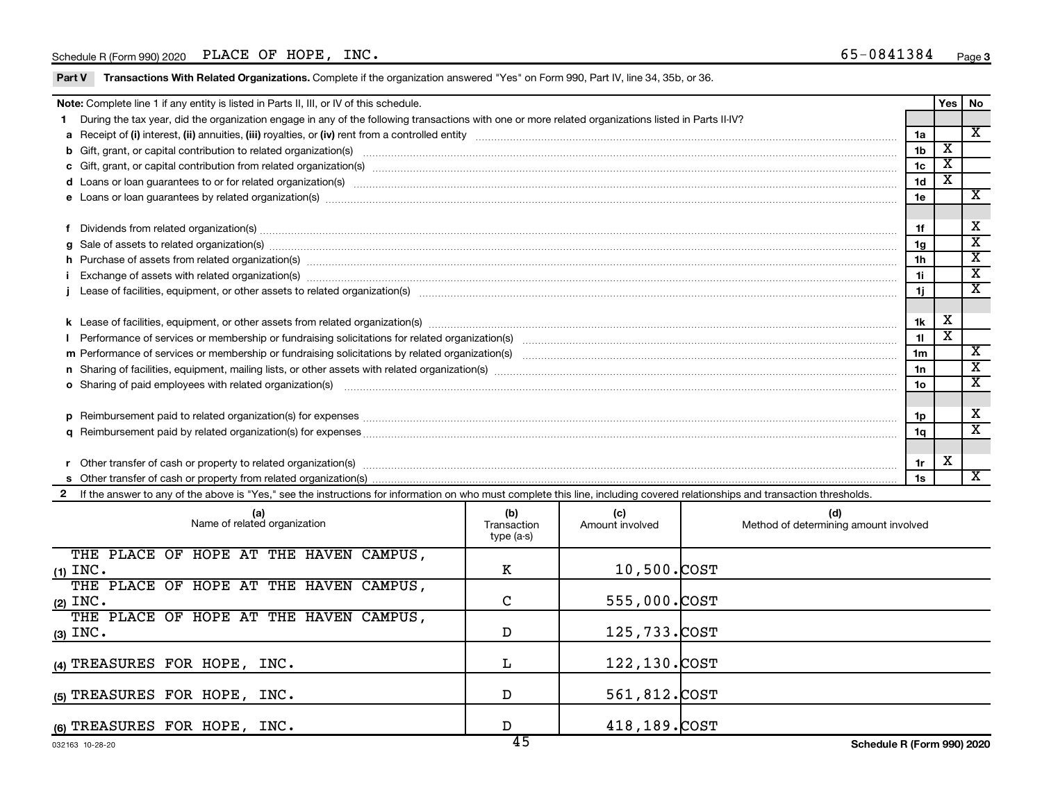## Schedule R (Form 990) 2020 PLACE OF HOPE,  $INC.$

Part V Transactions With Related Organizations. Complete if the organization answered "Yes" on Form 990, Part IV, line 34, 35b, or 36.

| Note: Complete line 1 if any entity is listed in Parts II, III, or IV of this schedule. |                                                                                                                                                                                                                                |                |                         |                         |  |
|-----------------------------------------------------------------------------------------|--------------------------------------------------------------------------------------------------------------------------------------------------------------------------------------------------------------------------------|----------------|-------------------------|-------------------------|--|
|                                                                                         | 1 During the tax year, did the organization engage in any of the following transactions with one or more related organizations listed in Parts II-IV?                                                                          |                |                         |                         |  |
|                                                                                         |                                                                                                                                                                                                                                | 1a             |                         | $\overline{\mathbf{x}}$ |  |
|                                                                                         |                                                                                                                                                                                                                                | 1 <sub>b</sub> | $\overline{\textbf{x}}$ |                         |  |
|                                                                                         |                                                                                                                                                                                                                                | 1 <sub>c</sub> | $\overline{\texttt{x}}$ |                         |  |
|                                                                                         | d Loans or loan guarantees to or for related organization(s) www.communities.com/www.communities.com/www.communities-                                                                                                          | 1 <sub>d</sub> | x                       |                         |  |
|                                                                                         |                                                                                                                                                                                                                                | 1e             |                         | $\mathbf x$             |  |
|                                                                                         |                                                                                                                                                                                                                                |                |                         |                         |  |
|                                                                                         |                                                                                                                                                                                                                                | 1f             |                         | X                       |  |
|                                                                                         | $g$ Sale of assets to related organization(s) with the contraction of the contraction of the contract of the contract of the contract of the contract of the contract of the contract of the contract of the contract of the   | 1 <sub>q</sub> |                         | X                       |  |
|                                                                                         | h Purchase of assets from related organization(s) manufactured content to content the content of an experiment of an experiment of a set of assets from related organization(s) manufactured content to content the content of | 1 <sub>h</sub> |                         | $\mathbf{x}$            |  |
|                                                                                         | Exchange of assets with related organization(s) www.wales.com/www.wales.com/www.wales.com/www.wales.com/www.wales.com/www.wales.com/www.wales.com/www.wales.com/www.wales.com/www.wales.com/www.wales.com/www.wales.com/www.wa | 1i             |                         | X                       |  |
|                                                                                         | Lease of facilities, equipment, or other assets to related organization(s) www.community.com/www.community.com/                                                                                                                | 1i             |                         | X                       |  |
|                                                                                         |                                                                                                                                                                                                                                |                |                         |                         |  |
|                                                                                         |                                                                                                                                                                                                                                | 1k             | х                       |                         |  |
|                                                                                         |                                                                                                                                                                                                                                | 11             |                         |                         |  |
|                                                                                         |                                                                                                                                                                                                                                | 1 <sub>m</sub> |                         | X                       |  |
|                                                                                         | n Sharing of facilities, equipment, mailing lists, or other assets with related organization(s) marror manufactured manufactured content and the Sharing of facilities, equipment, mailing lists, or other assets with related | 1n             |                         | х                       |  |
|                                                                                         | o Sharing of paid employees with related organization(s) manufactured content to the state of paid employees with related organization(s) manufactured content to the state of the state of the state of the state of the stat | 1o             |                         | х                       |  |
|                                                                                         |                                                                                                                                                                                                                                |                |                         |                         |  |
|                                                                                         |                                                                                                                                                                                                                                | 1p             |                         | х                       |  |
|                                                                                         |                                                                                                                                                                                                                                | 1q             |                         | X                       |  |
|                                                                                         |                                                                                                                                                                                                                                |                |                         |                         |  |
|                                                                                         |                                                                                                                                                                                                                                | 1r             | х                       |                         |  |
|                                                                                         |                                                                                                                                                                                                                                | 1s             |                         | $\overline{\mathbf{X}}$ |  |

2 If the answer to any of the above is "Yes," see the instructions for information on who must complete this line, including covered relationships and transaction thresholds. **(a) (b) (c) (d)**

| (a)<br>Name of related organization    | (D)<br>Transaction<br>type (a-s) | (C)<br>Amount involved | (a)<br>Method of determining amount involved |
|----------------------------------------|----------------------------------|------------------------|----------------------------------------------|
| THE PLACE OF HOPE AT THE HAVEN CAMPUS, |                                  |                        |                                              |
| $(1)$ INC.                             | К                                | $10,500$ . $COST$      |                                              |
| THE PLACE OF HOPE AT THE HAVEN CAMPUS, |                                  |                        |                                              |
| (2) INC.                               | C                                | 555,000.COST           |                                              |
| THE PLACE OF HOPE AT THE HAVEN CAMPUS, |                                  |                        |                                              |
| $(3)$ INC.                             | D                                | 125,733.COST           |                                              |
| (4) TREASURES FOR HOPE, INC.           |                                  | 122,130.COST           |                                              |
| (5) TREASURES FOR HOPE, INC.           | D                                | 561,812.COST           |                                              |
| (6) TREASURES FOR HOPE, INC.           | $\overline{A}$                   | 418,189. COST          |                                              |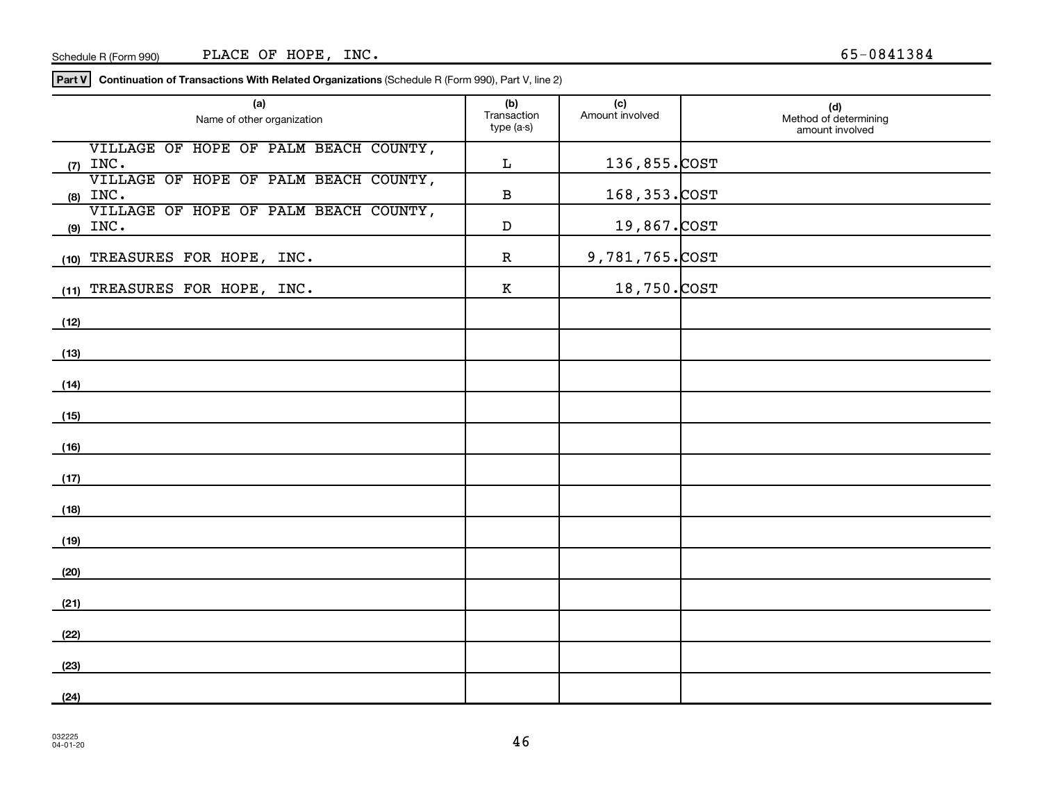**Part V Continuation of Transactions With Related Organizations**  (Schedule R (Form 990), Part V, line 2)

| (a)<br>Name of other organization                   | (b)<br>Transaction<br>type (a-s) | (c)<br>Amount involved | (d)<br>Method of determining<br>amount involved |
|-----------------------------------------------------|----------------------------------|------------------------|-------------------------------------------------|
| VILLAGE OF HOPE OF PALM BEACH COUNTY,<br>$(7)$ INC. | L                                | 136,855.COST           |                                                 |
| VILLAGE OF HOPE OF PALM BEACH COUNTY,<br>$(8)$ INC. | $\, {\bf B}$                     | 168, 353. COST         |                                                 |
| VILLAGE OF HOPE OF PALM BEACH COUNTY,<br>$(9)$ INC. | $\mathbf D$                      | 19,867.COST            |                                                 |
| (10) TREASURES FOR HOPE, INC.                       | $\mathbf R$                      | 9,781,765.COST         |                                                 |
| (11) TREASURES FOR HOPE, INC.                       | $\,$ K                           | 18,750.COST            |                                                 |
| (12)                                                |                                  |                        |                                                 |
| (13)                                                |                                  |                        |                                                 |
| (14)                                                |                                  |                        |                                                 |
| (15)                                                |                                  |                        |                                                 |
| (16)                                                |                                  |                        |                                                 |
| (17)                                                |                                  |                        |                                                 |
| (18)                                                |                                  |                        |                                                 |
| (19)                                                |                                  |                        |                                                 |
| (20)                                                |                                  |                        |                                                 |
| (21)                                                |                                  |                        |                                                 |
| (22)                                                |                                  |                        |                                                 |
| (23)                                                |                                  |                        |                                                 |
| (24)                                                |                                  |                        |                                                 |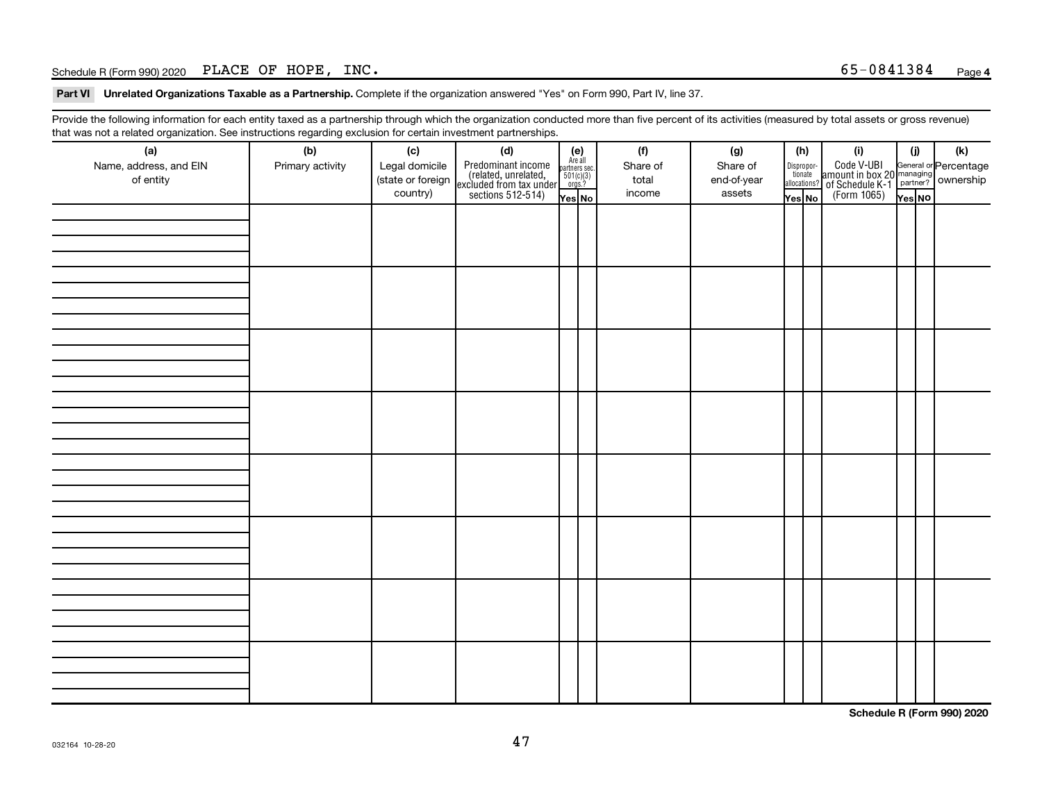## Schedule R (Form 990) 2020 PLACE OF HOPE,  $INC.$

Part VI Unrelated Organizations Taxable as a Partnership. Complete if the organization answered "Yes" on Form 990, Part IV, line 37.

Provide the following information for each entity taxed as a partnership through which the organization conducted more than five percent of its activities (measured by total assets or gross revenue) that was not a related organization. See instructions regarding exclusion for certain investment partnerships.

| (a)<br>Name, address, and EIN<br>of entity | - - -<br>(b)<br>Primary activity | (c)<br>Legal domicile<br>(state or foreign<br>country) | - - - - <sub>1</sub> - - 1<br>(d)<br>Predominant income<br>(related, unrelated,<br>excluded from tax under<br>sections 512-514) | (e)<br>Are all<br>partners sec.<br>$\frac{501(c)(3)}{0rgs?}$<br>Yes No | (f)<br>Share of<br>total<br>income | (g)<br>Share of<br>end-of-year<br>assets | (h)<br>Dispropor-<br>tionate<br>allocations?<br>Yes No | (i)<br>Code V-UBI<br>amount in box 20 managing<br>of Schedule K-1<br>(Form 1065)<br>$\overline{Y_{\text{res}}}\overline{NQ}$ | (i)<br>Yes NO | (k) |
|--------------------------------------------|----------------------------------|--------------------------------------------------------|---------------------------------------------------------------------------------------------------------------------------------|------------------------------------------------------------------------|------------------------------------|------------------------------------------|--------------------------------------------------------|------------------------------------------------------------------------------------------------------------------------------|---------------|-----|
|                                            |                                  |                                                        |                                                                                                                                 |                                                                        |                                    |                                          |                                                        |                                                                                                                              |               |     |
|                                            |                                  |                                                        |                                                                                                                                 |                                                                        |                                    |                                          |                                                        |                                                                                                                              |               |     |
|                                            |                                  |                                                        |                                                                                                                                 |                                                                        |                                    |                                          |                                                        |                                                                                                                              |               |     |
|                                            |                                  |                                                        |                                                                                                                                 |                                                                        |                                    |                                          |                                                        |                                                                                                                              |               |     |
|                                            |                                  |                                                        |                                                                                                                                 |                                                                        |                                    |                                          |                                                        |                                                                                                                              |               |     |
|                                            |                                  |                                                        |                                                                                                                                 |                                                                        |                                    |                                          |                                                        |                                                                                                                              |               |     |
|                                            |                                  |                                                        |                                                                                                                                 |                                                                        |                                    |                                          |                                                        |                                                                                                                              |               |     |
|                                            |                                  |                                                        |                                                                                                                                 |                                                                        |                                    |                                          |                                                        |                                                                                                                              |               |     |

**Schedule R (Form 990) 2020**